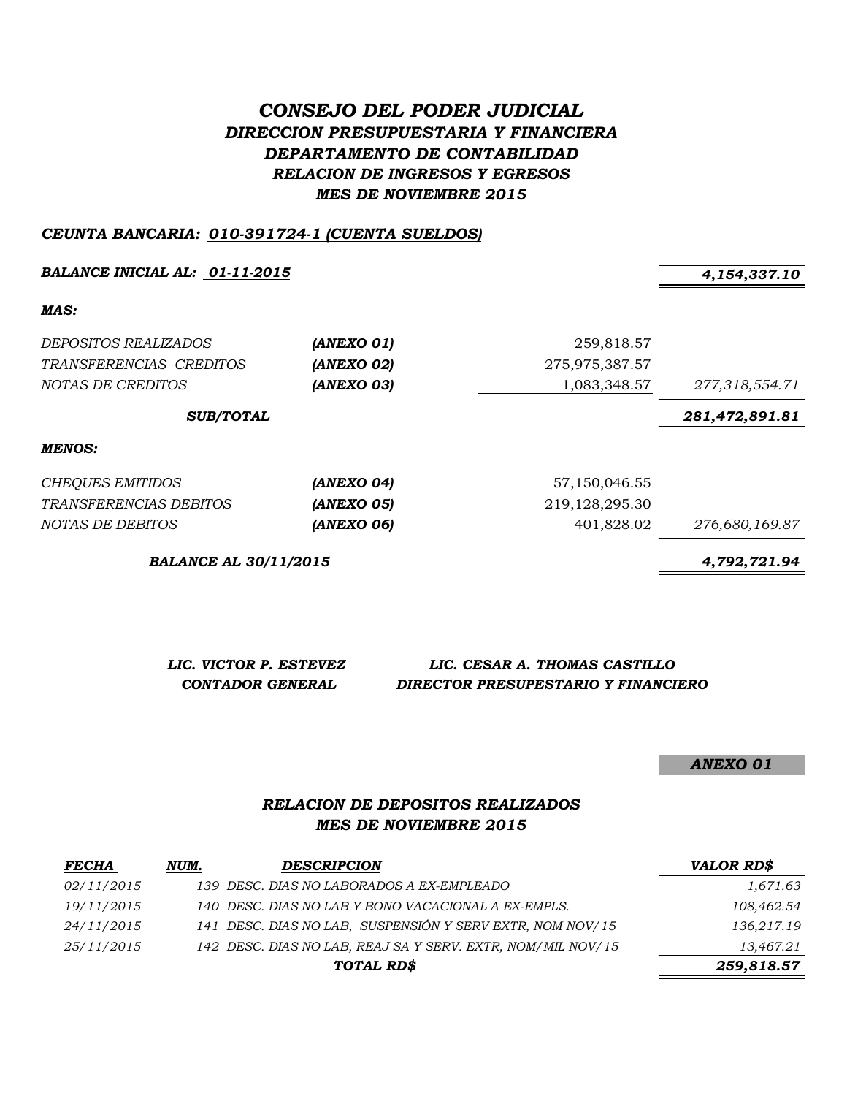# *CONSEJO DEL PODER JUDICIAL DIRECCION PRESUPUESTARIA Y FINANCIERA DEPARTAMENTO DE CONTABILIDAD RELACION DE INGRESOS Y EGRESOS MES DE NOVIEMBRE 2015*

#### *CEUNTA BANCARIA: 010-391724-1 (CUENTA SUELDOS)*

*BALANCE INICIAL AL: 01-11-2015 4,154,337.10*

*MAS:*

| <i>DEPOSITOS REALIZADOS</i><br>TRANSFERENCIAS CREDITOS<br>NOTAS DE CREDITOS | (ANEXO 01)<br>(ANEXO 02)<br>(ANEXO 03) | 259,818.57<br>275,975,387.57<br>1,083,348.57 | 277,318,554.71 |
|-----------------------------------------------------------------------------|----------------------------------------|----------------------------------------------|----------------|
| <b>SUB/TOTAL</b>                                                            |                                        |                                              | 281,472,891.81 |
| MENOS:                                                                      |                                        |                                              |                |
| CHEQUES EMITIDOS                                                            | (ANEXO 04)                             | 57,150,046.55                                |                |
| <i>TRANSFERENCIAS DEBITOS</i>                                               | (ANEXO 05)                             | 219, 128, 295. 30                            |                |
| NOTAS DE DEBITOS                                                            | (ANEXO 06)                             | 401,828.02                                   | 276,680,169.87 |

*BALANCE AL 30/11/2015 4,792,721.94*

*LIC. VICTOR P. ESTEVEZ LIC. CESAR A. THOMAS CASTILLO CONTADOR GENERAL DIRECTOR PRESUPESTARIO Y FINANCIERO*

*ANEXO 01*

### *RELACION DE DEPOSITOS REALIZADOS MES DE NOVIEMBRE 2015*

| <i>FECHA</i> | NUM. | <b>DESCRIPCION</b>                                          | <b>VALOR RD\$</b> |
|--------------|------|-------------------------------------------------------------|-------------------|
| 02/11/2015   |      | 139 DESC. DIAS NO LABORADOS A EX-EMPLEADO                   | 1,671.63          |
| 19/11/2015   |      | 140 DESC. DIAS NO LAB Y BONO VACACIONAL A EX-EMPLS.         | 108,462.54        |
| 24/11/2015   |      | 141 DESC. DIAS NO LAB, SUSPENSIÓN Y SERV EXTR, NOM NOV/15   | 136,217.19        |
| 25/11/2015   |      | 142 DESC. DIAS NO LAB, REAJ SA Y SERV. EXTR, NOM/MIL NOV/15 | 13,467.21         |
|              |      | TOTAL RD\$                                                  | 259,818.57        |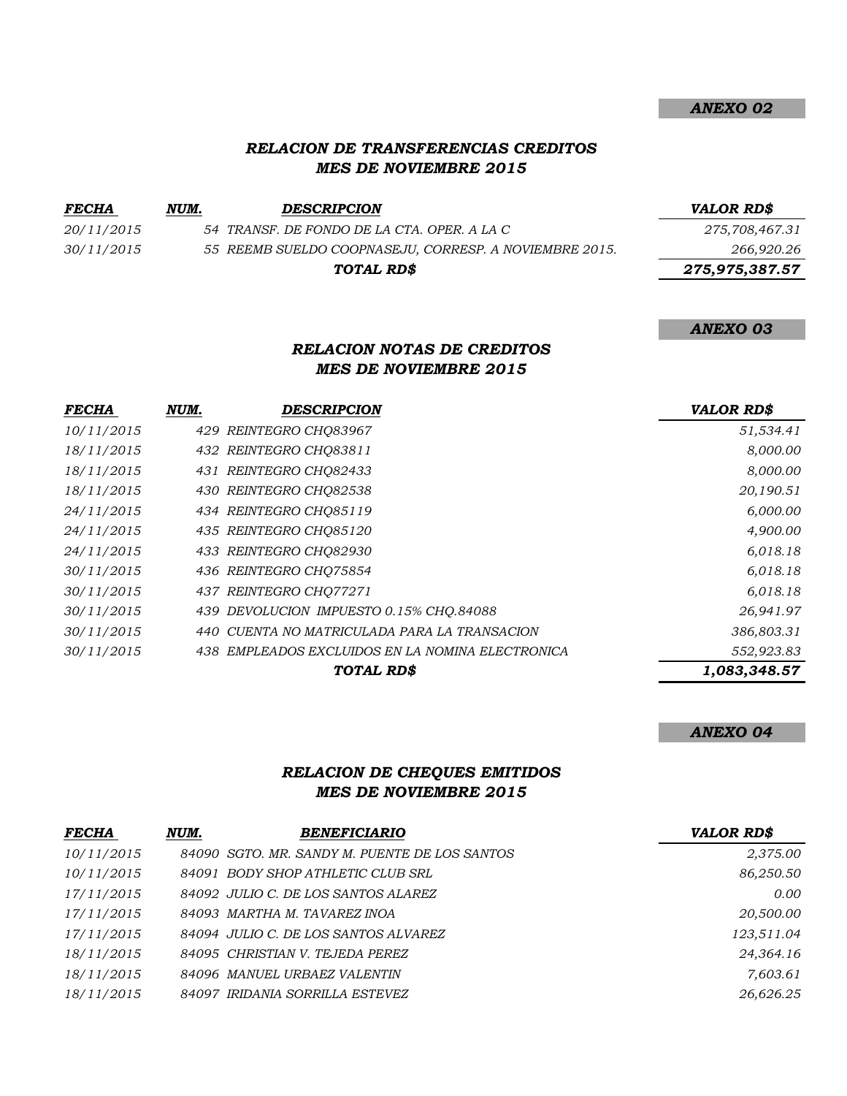### *RELACION DE TRANSFERENCIAS CREDITOS MES DE NOVIEMBRE 2015*

| <b>FECHA</b> | NUM. | <b>DESCRIPCION</b>                                     | <b>VALOR RD\$</b> |
|--------------|------|--------------------------------------------------------|-------------------|
| 20/11/2015   |      | 54 TRANSF. DE FONDO DE LA CTA. OPER. A LA C            | 275,708,467.31    |
| 30/11/2015   |      | 55 REEMB SUELDO COOPNASEJU, CORRESP. A NOVIEMBRE 2015. | 266,920.26        |
|              |      | TOTAL RD\$                                             | 275,975,387.57    |

#### *RELACION NOTAS DE CREDITOS MES DE NOVIEMBRE 2015*

| <b>FECHA</b> | NUM. | DESCRIPCION                                      | <b>VALOR RD\$</b> |
|--------------|------|--------------------------------------------------|-------------------|
| 10/11/2015   |      | 429 REINTEGRO CHQ83967                           | 51,534.41         |
| 18/11/2015   |      | 432 REINTEGRO CHO83811                           | 8,000.00          |
| 18/11/2015   |      | 431 REINTEGRO CHQ82433                           | 8,000.00          |
| 18/11/2015   |      | 430 REINTEGRO CHQ82538                           | 20,190.51         |
| 24/11/2015   |      | 434 REINTEGRO CHO85119                           | 6,000.00          |
| 24/11/2015   |      | 435 REINTEGRO CHO85120                           | 4,900.00          |
| 24/11/2015   |      | 433 REINTEGRO CHO82930                           | 6,018.18          |
| 30/11/2015   |      | 436 REINTEGRO CHO75854                           | 6,018.18          |
| 30/11/2015   |      | 437 REINTEGRO CHO77271                           | 6,018.18          |
| 30/11/2015   |      | 439 DEVOLUCION IMPUESTO 0.15% CHO.84088          | 26,941.97         |
| 30/11/2015   | 440  | CUENTA NO MATRICULADA PARA LA TRANSACION         | 386,803.31        |
| 30/11/2015   |      | 438 EMPLEADOS EXCLUIDOS EN LA NOMINA ELECTRONICA | 552,923.83        |
|              |      | <b>TOTAL RD\$</b>                                | 1,083,348.57      |

#### *ANEXO 04*

*ANEXO 02*

*ANEXO 03*

## *RELACION DE CHEQUES EMITIDOS MES DE NOVIEMBRE 2015*

| <b>FECHA</b> | NUM. | <b>BENEFICIARIO</b>                           | <b>VALOR RD\$</b> |
|--------------|------|-----------------------------------------------|-------------------|
| 10/11/2015   |      | 84090 SGTO. MR. SANDY M. PUENTE DE LOS SANTOS | 2,375.00          |
| 10/11/2015   |      | 84091 BODY SHOP ATHLETIC CLUB SRL             | 86,250.50         |
| 17/11/2015   |      | 84092 JULIO C. DE LOS SANTOS ALAREZ           | 0.00              |
| 17/11/2015   |      | 84093 MARTHA M. TAVAREZ INOA                  | 20,500.00         |
| 17/11/2015   |      | 84094 JULIO C. DE LOS SANTOS ALVAREZ          | 123,511.04        |
| 18/11/2015   |      | 84095 CHRISTIAN V. TEJEDA PEREZ               | 24,364.16         |
| 18/11/2015   |      | 84096 MANUEL URBAEZ VALENTIN                  | 7,603.61          |
| 18/11/2015   |      | 84097 IRIDANIA SORRILLA ESTEVEZ               | 26,626.25         |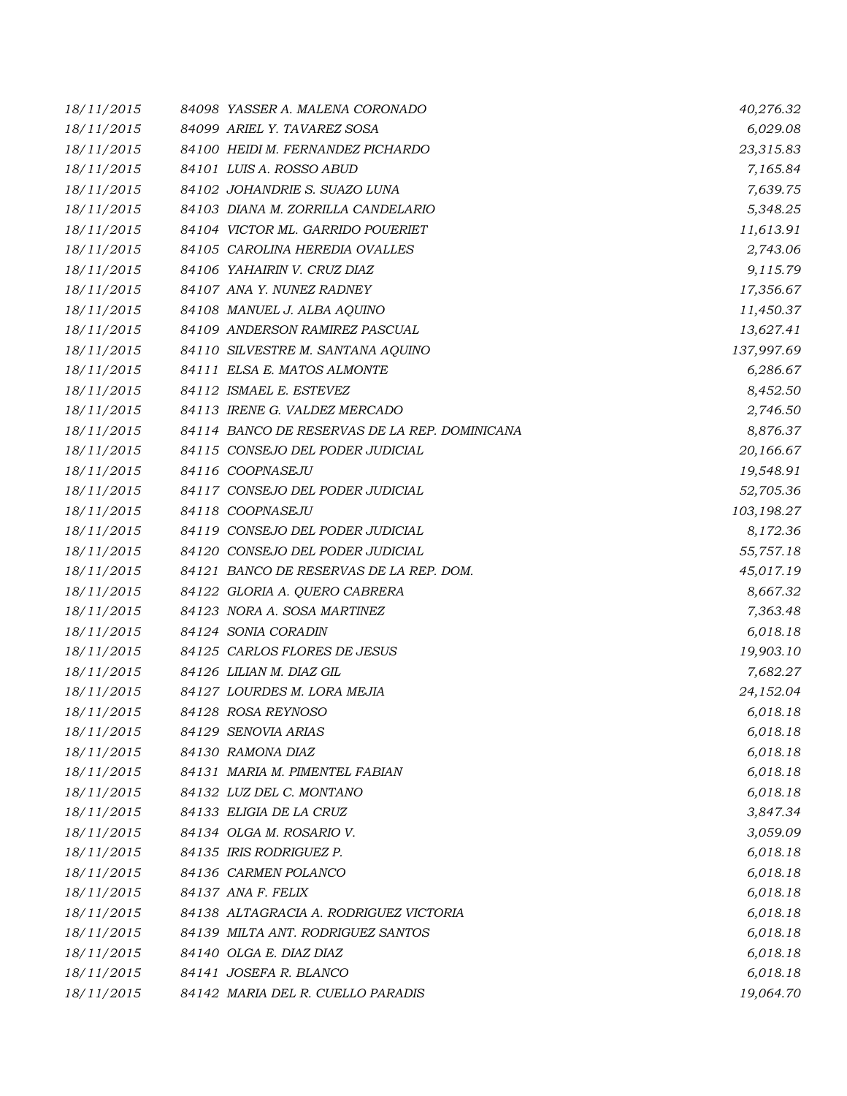| 18/11/2015 | 84098 YASSER A. MALENA CORONADO               | 40,276.32  |
|------------|-----------------------------------------------|------------|
| 18/11/2015 | 84099 ARIEL Y. TAVAREZ SOSA                   | 6,029.08   |
| 18/11/2015 | 84100 HEIDI M. FERNANDEZ PICHARDO             | 23,315.83  |
| 18/11/2015 | 84101 LUIS A. ROSSO ABUD                      | 7,165.84   |
| 18/11/2015 | 84102 JOHANDRIE S. SUAZO LUNA                 | 7,639.75   |
| 18/11/2015 | 84103 DIANA M. ZORRILLA CANDELARIO            | 5,348.25   |
| 18/11/2015 | 84104 VICTOR ML. GARRIDO POUERIET             | 11,613.91  |
| 18/11/2015 | 84105 CAROLINA HEREDIA OVALLES                | 2,743.06   |
| 18/11/2015 | 84106 YAHAIRIN V. CRUZ DIAZ                   | 9,115.79   |
| 18/11/2015 | 84107 ANA Y. NUNEZ RADNEY                     | 17,356.67  |
| 18/11/2015 | 84108 MANUEL J. ALBA AQUINO                   | 11,450.37  |
| 18/11/2015 | 84109 ANDERSON RAMIREZ PASCUAL                | 13,627.41  |
| 18/11/2015 | 84110 SILVESTRE M. SANTANA AQUINO             | 137,997.69 |
| 18/11/2015 | 84111 ELSA E. MATOS ALMONTE                   | 6,286.67   |
| 18/11/2015 | 84112 ISMAEL E. ESTEVEZ                       | 8,452.50   |
| 18/11/2015 | 84113 IRENE G. VALDEZ MERCADO                 | 2,746.50   |
| 18/11/2015 | 84114 BANCO DE RESERVAS DE LA REP. DOMINICANA | 8,876.37   |
| 18/11/2015 | 84115 CONSEJO DEL PODER JUDICIAL              | 20,166.67  |
| 18/11/2015 | 84116 COOPNASEJU                              | 19,548.91  |
| 18/11/2015 | 84117 CONSEJO DEL PODER JUDICIAL              | 52,705.36  |
| 18/11/2015 | 84118 COOPNASEJU                              | 103,198.27 |
| 18/11/2015 | 84119 CONSEJO DEL PODER JUDICIAL              | 8,172.36   |
| 18/11/2015 | 84120 CONSEJO DEL PODER JUDICIAL              | 55,757.18  |
| 18/11/2015 | 84121 BANCO DE RESERVAS DE LA REP. DOM.       | 45,017.19  |
| 18/11/2015 | 84122 GLORIA A. QUERO CABRERA                 | 8,667.32   |
| 18/11/2015 | 84123 NORA A. SOSA MARTINEZ                   | 7,363.48   |
| 18/11/2015 | 84124 SONIA CORADIN                           | 6,018.18   |
| 18/11/2015 | 84125 CARLOS FLORES DE JESUS                  | 19,903.10  |
| 18/11/2015 | 84126 LILIAN M. DIAZ GIL                      | 7,682.27   |
| 18/11/2015 | 84127 LOURDES M. LORA MEJIA                   | 24,152.04  |
| 18/11/2015 | 84128 ROSA REYNOSO                            | 6,018.18   |
| 18/11/2015 | 84129 SENOVIA ARIAS                           | 6,018.18   |
| 18/11/2015 | 84130 RAMONA DIAZ                             | 6,018.18   |
| 18/11/2015 | 84131 MARIA M. PIMENTEL FABIAN                | 6,018.18   |
| 18/11/2015 | 84132 LUZ DEL C. MONTANO                      | 6,018.18   |
| 18/11/2015 | 84133 ELIGIA DE LA CRUZ                       | 3,847.34   |
| 18/11/2015 | 84134 OLGA M. ROSARIO V.                      | 3,059.09   |
| 18/11/2015 | 84135 IRIS RODRIGUEZ P.                       | 6,018.18   |
| 18/11/2015 | 84136 CARMEN POLANCO                          | 6,018.18   |
| 18/11/2015 | 84137 ANA F. FELIX                            | 6,018.18   |
| 18/11/2015 | 84138 ALTAGRACIA A. RODRIGUEZ VICTORIA        | 6,018.18   |
| 18/11/2015 | 84139 MILTA ANT. RODRIGUEZ SANTOS             | 6,018.18   |
| 18/11/2015 | 84140 OLGA E. DIAZ DIAZ                       | 6,018.18   |
| 18/11/2015 | 84141 JOSEFA R. BLANCO                        | 6,018.18   |
| 18/11/2015 | 84142 MARIA DEL R. CUELLO PARADIS             | 19,064.70  |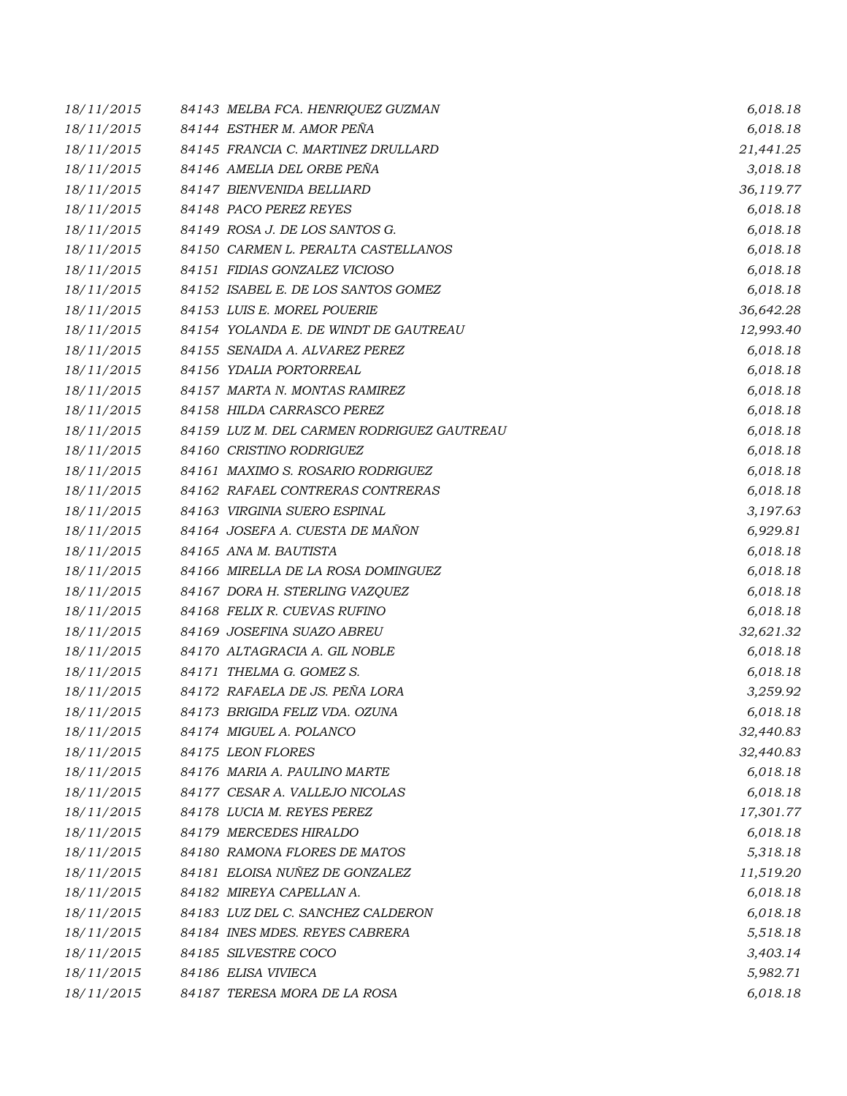| 18/11/2015 | 84143 MELBA FCA. HENRIQUEZ GUZMAN          | 6,018.18  |
|------------|--------------------------------------------|-----------|
| 18/11/2015 | 84144 ESTHER M. AMOR PEÑA                  | 6,018.18  |
| 18/11/2015 | 84145 FRANCIA C. MARTINEZ DRULLARD         | 21,441.25 |
| 18/11/2015 | 84146 AMELIA DEL ORBE PEÑA                 | 3,018.18  |
| 18/11/2015 | 84147 BIENVENIDA BELLIARD                  | 36,119.77 |
| 18/11/2015 | 84148 PACO PEREZ REYES                     | 6,018.18  |
| 18/11/2015 | 84149 ROSA J. DE LOS SANTOS G.             | 6,018.18  |
| 18/11/2015 | 84150 CARMEN L. PERALTA CASTELLANOS        | 6,018.18  |
| 18/11/2015 | 84151 FIDIAS GONZALEZ VICIOSO              | 6,018.18  |
| 18/11/2015 | 84152 ISABEL E. DE LOS SANTOS GOMEZ        | 6,018.18  |
| 18/11/2015 | 84153 LUIS E. MOREL POUERIE                | 36,642.28 |
| 18/11/2015 | 84154 YOLANDA E. DE WINDT DE GAUTREAU      | 12,993.40 |
| 18/11/2015 | 84155 SENAIDA A. ALVAREZ PEREZ             | 6,018.18  |
| 18/11/2015 | 84156 YDALIA PORTORREAL                    | 6,018.18  |
| 18/11/2015 | 84157 MARTA N. MONTAS RAMIREZ              | 6,018.18  |
| 18/11/2015 | 84158 HILDA CARRASCO PEREZ                 | 6,018.18  |
| 18/11/2015 | 84159 LUZ M. DEL CARMEN RODRIGUEZ GAUTREAU | 6,018.18  |
| 18/11/2015 | 84160 CRISTINO RODRIGUEZ                   | 6,018.18  |
| 18/11/2015 | 84161 MAXIMO S. ROSARIO RODRIGUEZ          | 6,018.18  |
| 18/11/2015 | 84162 RAFAEL CONTRERAS CONTRERAS           | 6,018.18  |
| 18/11/2015 | 84163 VIRGINIA SUERO ESPINAL               | 3,197.63  |
| 18/11/2015 | 84164 JOSEFA A. CUESTA DE MAÑON            | 6,929.81  |
| 18/11/2015 | 84165 ANA M. BAUTISTA                      | 6,018.18  |
| 18/11/2015 | 84166 MIRELLA DE LA ROSA DOMINGUEZ         | 6,018.18  |
| 18/11/2015 | 84167 DORA H. STERLING VAZQUEZ             | 6,018.18  |
| 18/11/2015 | 84168 FELIX R. CUEVAS RUFINO               | 6,018.18  |
| 18/11/2015 | 84169 JOSEFINA SUAZO ABREU                 | 32,621.32 |
| 18/11/2015 | 84170 ALTAGRACIA A. GIL NOBLE              | 6,018.18  |
| 18/11/2015 | 84171 THELMA G. GOMEZ S.                   | 6,018.18  |
| 18/11/2015 | 84172 RAFAELA DE JS. PEÑA LORA             | 3,259.92  |
| 18/11/2015 | 84173 BRIGIDA FELIZ VDA. OZUNA             | 6,018.18  |
| 18/11/2015 | 84174 MIGUEL A. POLANCO                    | 32,440.83 |
| 18/11/2015 | 84175 LEON FLORES                          | 32,440.83 |
| 18/11/2015 | 84176 MARIA A. PAULINO MARTE               | 6,018.18  |
| 18/11/2015 | 84177 CESAR A. VALLEJO NICOLAS             | 6,018.18  |
| 18/11/2015 | 84178 LUCIA M. REYES PEREZ                 | 17,301.77 |
| 18/11/2015 | 84179 MERCEDES HIRALDO                     | 6,018.18  |
| 18/11/2015 | 84180 RAMONA FLORES DE MATOS               | 5,318.18  |
| 18/11/2015 | 84181 ELOISA NUÑEZ DE GONZALEZ             | 11,519.20 |
| 18/11/2015 | 84182 MIREYA CAPELLAN A.                   | 6,018.18  |
| 18/11/2015 | 84183 LUZ DEL C. SANCHEZ CALDERON          | 6,018.18  |
| 18/11/2015 | 84184 INES MDES. REYES CABRERA             | 5,518.18  |
| 18/11/2015 | 84185 SILVESTRE COCO                       | 3,403.14  |
| 18/11/2015 | 84186 ELISA VIVIECA                        | 5,982.71  |
| 18/11/2015 | 84187 TERESA MORA DE LA ROSA               | 6,018.18  |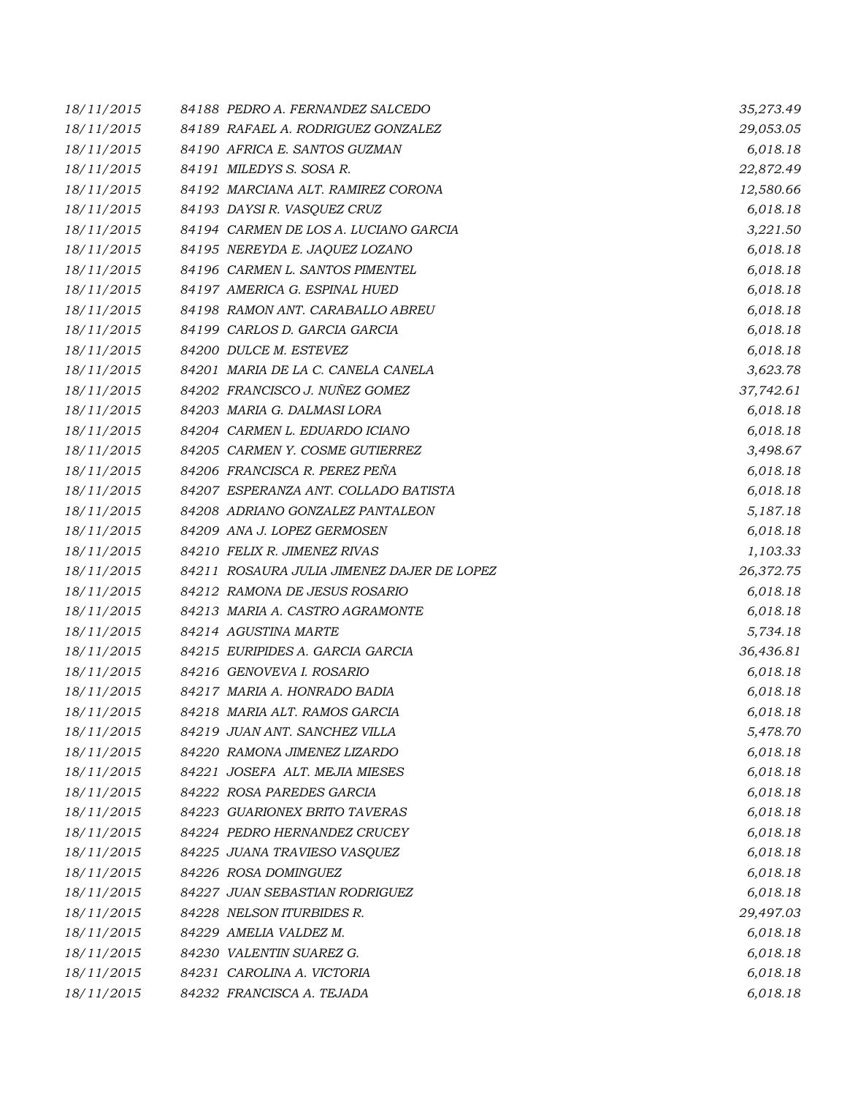| 18/11/2015 | 84188 PEDRO A. FERNANDEZ SALCEDO           | 35,273.49 |
|------------|--------------------------------------------|-----------|
| 18/11/2015 | 84189 RAFAEL A. RODRIGUEZ GONZALEZ         | 29,053.05 |
| 18/11/2015 | 84190 AFRICA E. SANTOS GUZMAN              | 6,018.18  |
| 18/11/2015 | 84191 MILEDYS S. SOSA R.                   | 22,872.49 |
| 18/11/2015 | 84192 MARCIANA ALT. RAMIREZ CORONA         | 12,580.66 |
| 18/11/2015 | 84193 DAYSIR. VASQUEZ CRUZ                 | 6,018.18  |
| 18/11/2015 | 84194 CARMEN DE LOS A. LUCIANO GARCIA      | 3,221.50  |
| 18/11/2015 | 84195 NEREYDA E. JAQUEZ LOZANO             | 6,018.18  |
| 18/11/2015 | 84196 CARMEN L. SANTOS PIMENTEL            | 6,018.18  |
| 18/11/2015 | 84197 AMERICA G. ESPINAL HUED              | 6,018.18  |
| 18/11/2015 | 84198 RAMON ANT. CARABALLO ABREU           | 6,018.18  |
| 18/11/2015 | 84199 CARLOS D. GARCIA GARCIA              | 6,018.18  |
| 18/11/2015 | 84200 DULCE M. ESTEVEZ                     | 6,018.18  |
| 18/11/2015 | 84201 MARIA DE LA C. CANELA CANELA         | 3,623.78  |
| 18/11/2015 | 84202 FRANCISCO J. NUÑEZ GOMEZ             | 37,742.61 |
| 18/11/2015 | 84203 MARIA G. DALMASI LORA                | 6,018.18  |
| 18/11/2015 | 84204 CARMEN L. EDUARDO ICIANO             | 6,018.18  |
| 18/11/2015 | 84205 CARMEN Y. COSME GUTIERREZ            | 3,498.67  |
| 18/11/2015 | 84206 FRANCISCA R. PEREZ PEÑA              | 6,018.18  |
| 18/11/2015 | 84207 ESPERANZA ANT. COLLADO BATISTA       | 6,018.18  |
| 18/11/2015 | 84208 ADRIANO GONZALEZ PANTALEON           | 5,187.18  |
| 18/11/2015 | 84209 ANA J. LOPEZ GERMOSEN                | 6,018.18  |
| 18/11/2015 | 84210 FELIX R. JIMENEZ RIVAS               | 1,103.33  |
| 18/11/2015 | 84211 ROSAURA JULIA JIMENEZ DAJER DE LOPEZ | 26,372.75 |
| 18/11/2015 | 84212 RAMONA DE JESUS ROSARIO              | 6,018.18  |
| 18/11/2015 | 84213 MARIA A. CASTRO AGRAMONTE            | 6,018.18  |
| 18/11/2015 | 84214 AGUSTINA MARTE                       | 5,734.18  |
| 18/11/2015 | 84215 EURIPIDES A. GARCIA GARCIA           | 36,436.81 |
| 18/11/2015 | 84216 GENOVEVA I. ROSARIO                  | 6,018.18  |
| 18/11/2015 | 84217 MARIA A. HONRADO BADIA               | 6,018.18  |
| 18/11/2015 | 84218 MARIA ALT. RAMOS GARCIA              | 6,018.18  |
| 18/11/2015 | 84219 JUAN ANT. SANCHEZ VILLA              | 5,478.70  |
| 18/11/2015 | 84220 RAMONA JIMENEZ LIZARDO               | 6,018.18  |
| 18/11/2015 | 84221 JOSEFA ALT. MEJIA MIESES             | 6,018.18  |
| 18/11/2015 | 84222 ROSA PAREDES GARCIA                  | 6,018.18  |
| 18/11/2015 | 84223 GUARIONEX BRITO TAVERAS              | 6,018.18  |
| 18/11/2015 | 84224 PEDRO HERNANDEZ CRUCEY               | 6,018.18  |
| 18/11/2015 | 84225 JUANA TRAVIESO VASQUEZ               | 6,018.18  |
| 18/11/2015 | 84226 ROSA DOMINGUEZ                       | 6,018.18  |
| 18/11/2015 | 84227 JUAN SEBASTIAN RODRIGUEZ             | 6,018.18  |
| 18/11/2015 | 84228 NELSON ITURBIDES R.                  | 29,497.03 |
| 18/11/2015 | 84229 AMELIA VALDEZ M.                     | 6,018.18  |
| 18/11/2015 | 84230 VALENTIN SUAREZ G.                   | 6,018.18  |
| 18/11/2015 | 84231 CAROLINA A. VICTORIA                 | 6,018.18  |
| 18/11/2015 | 84232 FRANCISCA A. TEJADA                  | 6,018.18  |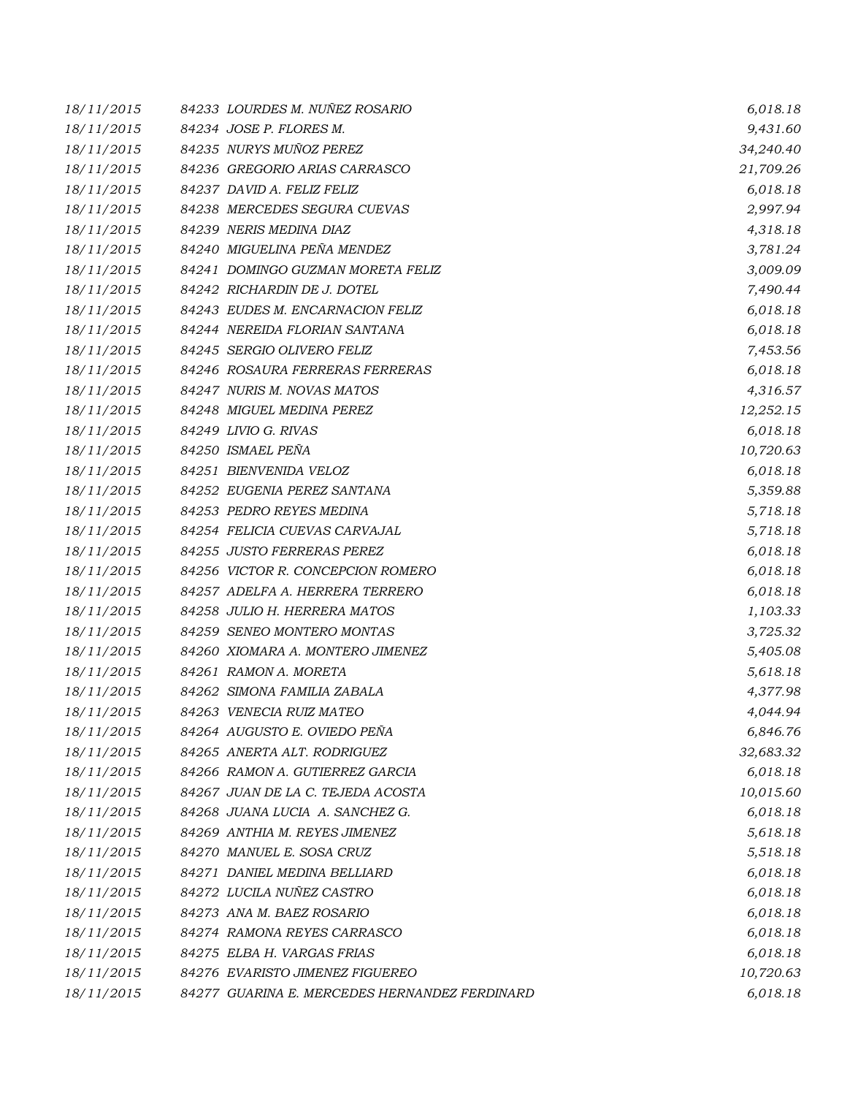| 18/11/2015 | 84233 LOURDES M. NUÑEZ ROSARIO                | 6,018.18  |
|------------|-----------------------------------------------|-----------|
| 18/11/2015 | 84234 JOSE P. FLORES M.                       | 9,431.60  |
| 18/11/2015 | 84235 NURYS MUÑOZ PEREZ                       | 34,240.40 |
| 18/11/2015 | 84236 GREGORIO ARIAS CARRASCO                 | 21,709.26 |
| 18/11/2015 | 84237 DAVID A. FELIZ FELIZ                    | 6,018.18  |
| 18/11/2015 | 84238 MERCEDES SEGURA CUEVAS                  | 2,997.94  |
| 18/11/2015 | 84239 NERIS MEDINA DIAZ                       | 4,318.18  |
| 18/11/2015 | 84240 MIGUELINA PEÑA MENDEZ                   | 3,781.24  |
| 18/11/2015 | 84241 DOMINGO GUZMAN MORETA FELIZ             | 3,009.09  |
| 18/11/2015 | 84242 RICHARDIN DE J. DOTEL                   | 7,490.44  |
| 18/11/2015 | 84243 EUDES M. ENCARNACION FELIZ              | 6,018.18  |
| 18/11/2015 | 84244 NEREIDA FLORIAN SANTANA                 | 6,018.18  |
| 18/11/2015 | 84245 SERGIO OLIVERO FELIZ                    | 7,453.56  |
| 18/11/2015 | 84246 ROSAURA FERRERAS FERRERAS               | 6,018.18  |
| 18/11/2015 | 84247 NURIS M. NOVAS MATOS                    | 4,316.57  |
| 18/11/2015 | 84248 MIGUEL MEDINA PEREZ                     | 12,252.15 |
| 18/11/2015 | 84249 LIVIO G. RIVAS                          | 6,018.18  |
| 18/11/2015 | 84250 ISMAEL PEÑA                             | 10,720.63 |
| 18/11/2015 | 84251 BIENVENIDA VELOZ                        | 6,018.18  |
| 18/11/2015 | 84252 EUGENIA PEREZ SANTANA                   | 5,359.88  |
| 18/11/2015 | 84253 PEDRO REYES MEDINA                      | 5,718.18  |
| 18/11/2015 | 84254 FELICIA CUEVAS CARVAJAL                 | 5,718.18  |
| 18/11/2015 | 84255 JUSTO FERRERAS PEREZ                    | 6,018.18  |
| 18/11/2015 | 84256 VICTOR R. CONCEPCION ROMERO             | 6,018.18  |
| 18/11/2015 | 84257 ADELFA A. HERRERA TERRERO               | 6,018.18  |
| 18/11/2015 | 84258 JULIO H. HERRERA MATOS                  | 1,103.33  |
| 18/11/2015 | 84259 SENEO MONTERO MONTAS                    | 3,725.32  |
| 18/11/2015 | 84260 XIOMARA A. MONTERO JIMENEZ              | 5,405.08  |
| 18/11/2015 | 84261 RAMON A. MORETA                         | 5,618.18  |
| 18/11/2015 | 84262 SIMONA FAMILIA ZABALA                   | 4,377.98  |
| 18/11/2015 | 84263 VENECIA RUIZ MATEO                      | 4,044.94  |
| 18/11/2015 | 84264 AUGUSTO E. OVIEDO PEÑA                  | 6,846.76  |
| 18/11/2015 | 84265 ANERTA ALT. RODRIGUEZ                   | 32,683.32 |
| 18/11/2015 | 84266 RAMON A. GUTIERREZ GARCIA               | 6,018.18  |
| 18/11/2015 | 84267 JUAN DE LA C. TEJEDA ACOSTA             | 10,015.60 |
| 18/11/2015 | 84268 JUANA LUCIA A. SANCHEZ G.               | 6,018.18  |
| 18/11/2015 | 84269 ANTHIA M. REYES JIMENEZ                 | 5,618.18  |
| 18/11/2015 | 84270 MANUEL E. SOSA CRUZ                     | 5,518.18  |
| 18/11/2015 | 84271 DANIEL MEDINA BELLIARD                  | 6,018.18  |
| 18/11/2015 | 84272 LUCILA NUÑEZ CASTRO                     | 6,018.18  |
| 18/11/2015 | 84273 ANA M. BAEZ ROSARIO                     | 6,018.18  |
| 18/11/2015 | 84274 RAMONA REYES CARRASCO                   | 6,018.18  |
| 18/11/2015 | 84275 ELBA H. VARGAS FRIAS                    | 6,018.18  |
| 18/11/2015 | 84276 EVARISTO JIMENEZ FIGUEREO               | 10,720.63 |
| 18/11/2015 | 84277 GUARINA E. MERCEDES HERNANDEZ FERDINARD | 6,018.18  |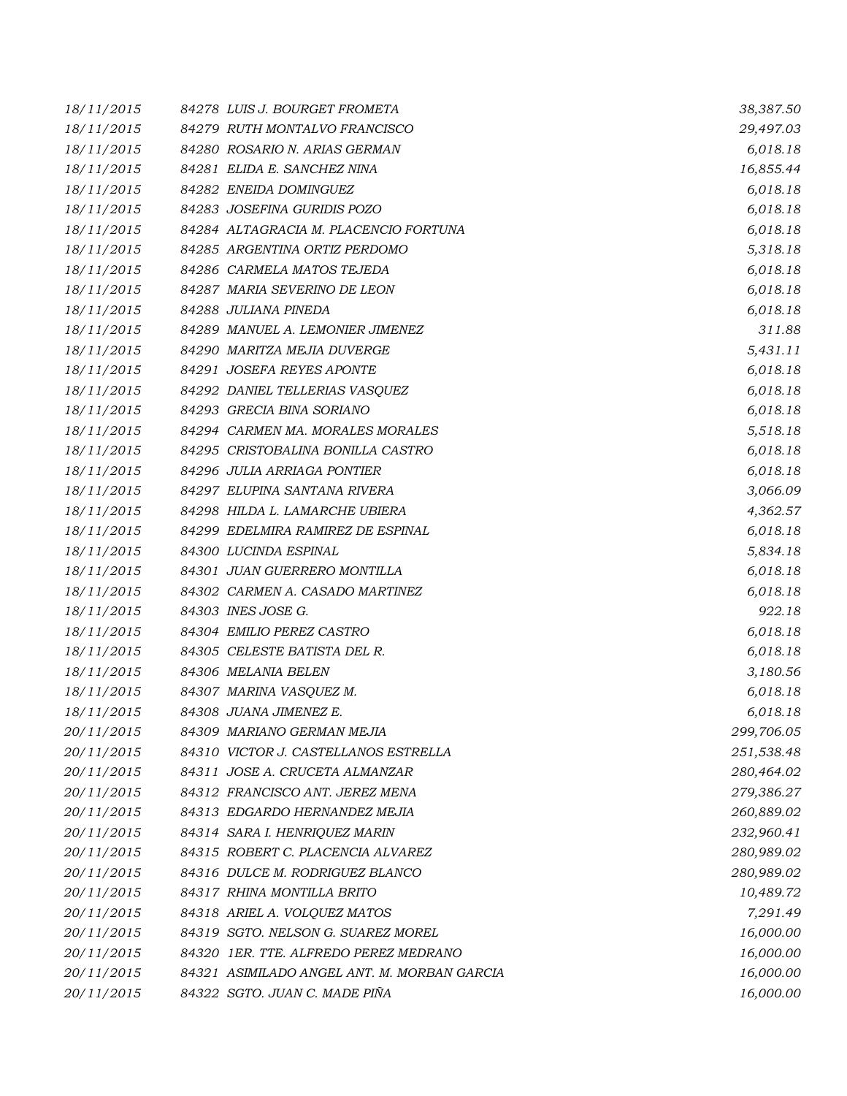| 18/11/2015 | 84278 LUIS J. BOURGET FROMETA               | 38,387.50  |
|------------|---------------------------------------------|------------|
| 18/11/2015 | 84279 RUTH MONTALVO FRANCISCO               | 29,497.03  |
| 18/11/2015 | 84280 ROSARIO N. ARIAS GERMAN               | 6,018.18   |
| 18/11/2015 | 84281 ELIDA E. SANCHEZ NINA                 | 16,855.44  |
| 18/11/2015 | 84282 ENEIDA DOMINGUEZ                      | 6,018.18   |
| 18/11/2015 | 84283 JOSEFINA GURIDIS POZO                 | 6,018.18   |
| 18/11/2015 | 84284 ALTAGRACIA M. PLACENCIO FORTUNA       | 6,018.18   |
| 18/11/2015 | 84285 ARGENTINA ORTIZ PERDOMO               | 5,318.18   |
| 18/11/2015 | 84286 CARMELA MATOS TEJEDA                  | 6,018.18   |
| 18/11/2015 | 84287 MARIA SEVERINO DE LEON                | 6,018.18   |
| 18/11/2015 | 84288 JULIANA PINEDA                        | 6,018.18   |
| 18/11/2015 | 84289 MANUEL A. LEMONIER JIMENEZ            | 311.88     |
| 18/11/2015 | 84290 MARITZA MEJIA DUVERGE                 | 5,431.11   |
| 18/11/2015 | 84291 JOSEFA REYES APONTE                   | 6,018.18   |
| 18/11/2015 | 84292 DANIEL TELLERIAS VASOUEZ              | 6,018.18   |
| 18/11/2015 | 84293 GRECIA BINA SORIANO                   | 6,018.18   |
| 18/11/2015 | 84294 CARMEN MA. MORALES MORALES            | 5,518.18   |
| 18/11/2015 | 84295 CRISTOBALINA BONILLA CASTRO           | 6,018.18   |
| 18/11/2015 | 84296 JULIA ARRIAGA PONTIER                 | 6,018.18   |
| 18/11/2015 | 84297 ELUPINA SANTANA RIVERA                | 3,066.09   |
| 18/11/2015 | 84298 HILDA L. LAMARCHE UBIERA              | 4,362.57   |
| 18/11/2015 | 84299 EDELMIRA RAMIREZ DE ESPINAL           | 6,018.18   |
| 18/11/2015 | 84300 LUCINDA ESPINAL                       | 5,834.18   |
| 18/11/2015 | 84301 JUAN GUERRERO MONTILLA                | 6,018.18   |
| 18/11/2015 | 84302 CARMEN A. CASADO MARTINEZ             | 6,018.18   |
| 18/11/2015 | 84303 INES JOSE G.                          | 922.18     |
| 18/11/2015 | 84304 EMILIO PEREZ CASTRO                   | 6,018.18   |
| 18/11/2015 | 84305 CELESTE BATISTA DEL R.                | 6,018.18   |
| 18/11/2015 | 84306 MELANIA BELEN                         | 3,180.56   |
| 18/11/2015 | 84307 MARINA VASQUEZ M.                     | 6,018.18   |
| 18/11/2015 | 84308 JUANA JIMENEZ E.                      | 6,018.18   |
| 20/11/2015 | 84309 MARIANO GERMAN MEJIA                  | 299,706.05 |
| 20/11/2015 | 84310 VICTOR J. CASTELLANOS ESTRELLA        | 251,538.48 |
| 20/11/2015 | 84311 JOSE A. CRUCETA ALMANZAR              | 280,464.02 |
| 20/11/2015 | 84312 FRANCISCO ANT. JEREZ MENA             | 279,386.27 |
| 20/11/2015 | 84313 EDGARDO HERNANDEZ MEJIA               | 260,889.02 |
| 20/11/2015 | 84314 SARA I. HENRIQUEZ MARIN               | 232,960.41 |
| 20/11/2015 | 84315 ROBERT C. PLACENCIA ALVAREZ           | 280,989.02 |
| 20/11/2015 | 84316 DULCE M. RODRIGUEZ BLANCO             | 280,989.02 |
| 20/11/2015 | 84317 RHINA MONTILLA BRITO                  | 10,489.72  |
| 20/11/2015 | 84318 ARIEL A. VOLQUEZ MATOS                | 7,291.49   |
| 20/11/2015 | 84319 SGTO. NELSON G. SUAREZ MOREL          | 16,000.00  |
| 20/11/2015 | 84320 1ER. TTE. ALFREDO PEREZ MEDRANO       | 16,000.00  |
| 20/11/2015 | 84321 ASIMILADO ANGEL ANT. M. MORBAN GARCIA | 16,000.00  |
| 20/11/2015 | 84322 SGTO. JUAN C. MADE PIÑA               | 16,000.00  |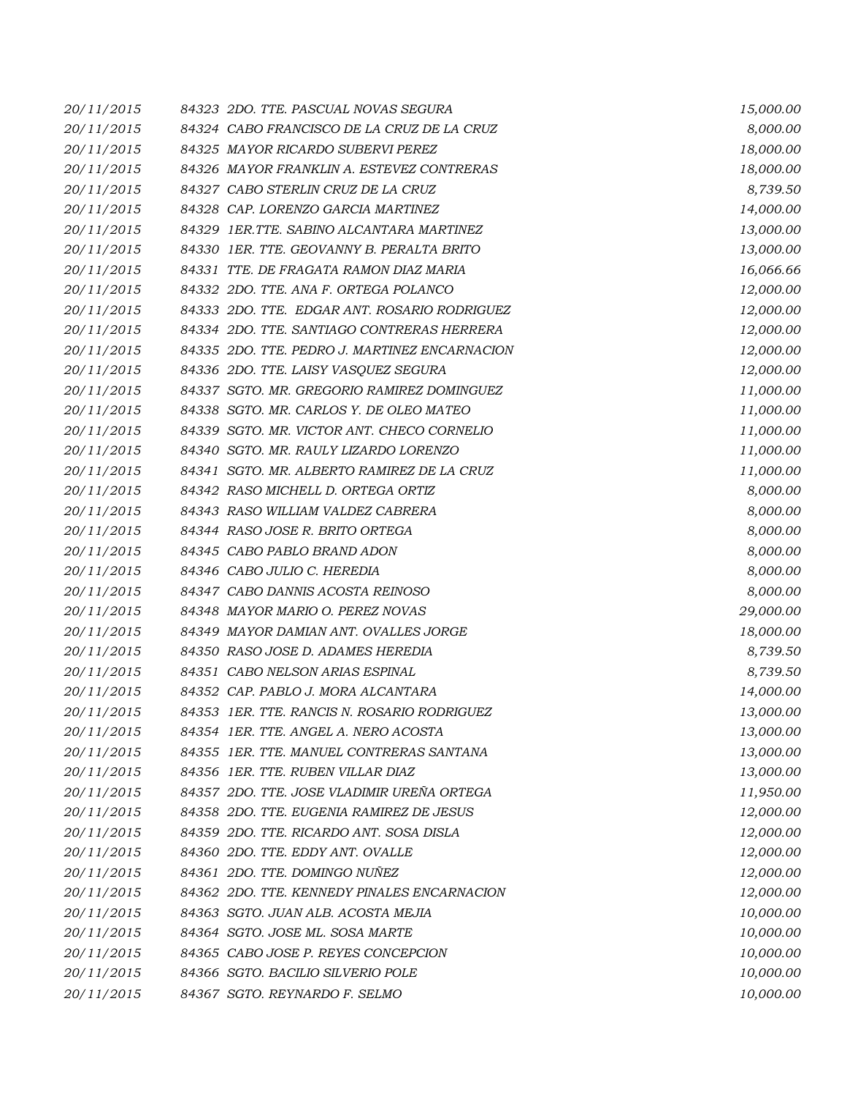| 20/11/2015 | 84323 2DO. TTE. PASCUAL NOVAS SEGURA          | 15,000.00 |
|------------|-----------------------------------------------|-----------|
| 20/11/2015 | 84324 CABO FRANCISCO DE LA CRUZ DE LA CRUZ    | 8,000.00  |
| 20/11/2015 | 84325 MAYOR RICARDO SUBERVI PEREZ             | 18,000.00 |
| 20/11/2015 | 84326 MAYOR FRANKLIN A. ESTEVEZ CONTRERAS     | 18,000.00 |
| 20/11/2015 | 84327 CABO STERLIN CRUZ DE LA CRUZ            | 8,739.50  |
| 20/11/2015 | 84328 CAP. LORENZO GARCIA MARTINEZ            | 14,000.00 |
| 20/11/2015 | 84329 IER.TTE. SABINO ALCANTARA MARTINEZ      | 13,000.00 |
| 20/11/2015 | 84330 IER. TTE. GEOVANNY B. PERALTA BRITO     | 13,000.00 |
| 20/11/2015 | 84331 TTE. DE FRAGATA RAMON DIAZ MARIA        | 16,066.66 |
| 20/11/2015 | 84332 2DO. TTE. ANA F. ORTEGA POLANCO         | 12,000.00 |
| 20/11/2015 | 84333 2DO. TTE. EDGAR ANT. ROSARIO RODRIGUEZ  | 12,000.00 |
| 20/11/2015 | 84334 2DO. TTE. SANTIAGO CONTRERAS HERRERA    | 12,000.00 |
| 20/11/2015 | 84335 2DO. TTE. PEDRO J. MARTINEZ ENCARNACION | 12,000.00 |
| 20/11/2015 | 84336 2DO. TTE. LAISY VASQUEZ SEGURA          | 12,000.00 |
| 20/11/2015 | 84337 SGTO. MR. GREGORIO RAMIREZ DOMINGUEZ    | 11,000.00 |
| 20/11/2015 | 84338 SGTO. MR. CARLOS Y. DE OLEO MATEO       | 11,000.00 |
| 20/11/2015 | 84339 SGTO. MR. VICTOR ANT. CHECO CORNELIO    | 11,000.00 |
| 20/11/2015 | 84340 SGTO. MR. RAULY LIZARDO LORENZO         | 11,000.00 |
| 20/11/2015 | 84341 SGTO. MR. ALBERTO RAMIREZ DE LA CRUZ    | 11,000.00 |
| 20/11/2015 | 84342 RASO MICHELL D. ORTEGA ORTIZ            | 8,000.00  |
| 20/11/2015 | 84343 RASO WILLIAM VALDEZ CABRERA             | 8,000.00  |
| 20/11/2015 | 84344 RASO JOSE R. BRITO ORTEGA               | 8,000.00  |
| 20/11/2015 | 84345 CABO PABLO BRAND ADON                   | 8,000.00  |
| 20/11/2015 | 84346 CABO JULIO C. HEREDIA                   | 8,000.00  |
| 20/11/2015 | 84347 CABO DANNIS ACOSTA REINOSO              | 8,000.00  |
| 20/11/2015 | 84348 MAYOR MARIO O. PEREZ NOVAS              | 29,000.00 |
| 20/11/2015 | 84349 MAYOR DAMIAN ANT. OVALLES JORGE         | 18,000.00 |
| 20/11/2015 | 84350 RASO JOSE D. ADAMES HEREDIA             | 8,739.50  |
| 20/11/2015 | 84351 CABO NELSON ARIAS ESPINAL               | 8,739.50  |
| 20/11/2015 | 84352 CAP. PABLO J. MORA ALCANTARA            | 14,000.00 |
| 20/11/2015 | 84353 IER. TTE. RANCIS N. ROSARIO RODRIGUEZ   | 13,000.00 |
| 20/11/2015 | 84354 IER. TTE. ANGEL A. NERO ACOSTA          | 13,000.00 |
| 20/11/2015 | 84355 1ER. TTE, MANUEL CONTRERAS SANTANA      | 13,000.00 |
| 20/11/2015 | 84356 IER. TTE. RUBEN VILLAR DIAZ             | 13,000.00 |
| 20/11/2015 | 84357 2DO. TTE. JOSE VLADIMIR UREÑA ORTEGA    | 11,950.00 |
| 20/11/2015 | 84358 2DO. TTE. EUGENIA RAMIREZ DE JESUS      | 12,000.00 |
| 20/11/2015 | 84359 2DO. TTE. RICARDO ANT. SOSA DISLA       | 12,000.00 |
| 20/11/2015 | 84360 2DO. TTE. EDDY ANT. OVALLE              | 12,000.00 |
| 20/11/2015 | 84361 2DO. TTE. DOMINGO NUÑEZ                 | 12,000.00 |
| 20/11/2015 | 84362 2DO. TTE. KENNEDY PINALES ENCARNACION   | 12,000.00 |
| 20/11/2015 | 84363 SGTO. JUAN ALB. ACOSTA MEJIA            | 10,000.00 |
| 20/11/2015 | 84364 SGTO. JOSE ML. SOSA MARTE               | 10,000.00 |
| 20/11/2015 | 84365 CABO JOSE P. REYES CONCEPCION           | 10,000.00 |
| 20/11/2015 | 84366 SGTO. BACILIO SILVERIO POLE             | 10,000.00 |
| 20/11/2015 | 84367 SGTO. REYNARDO F. SELMO                 | 10,000.00 |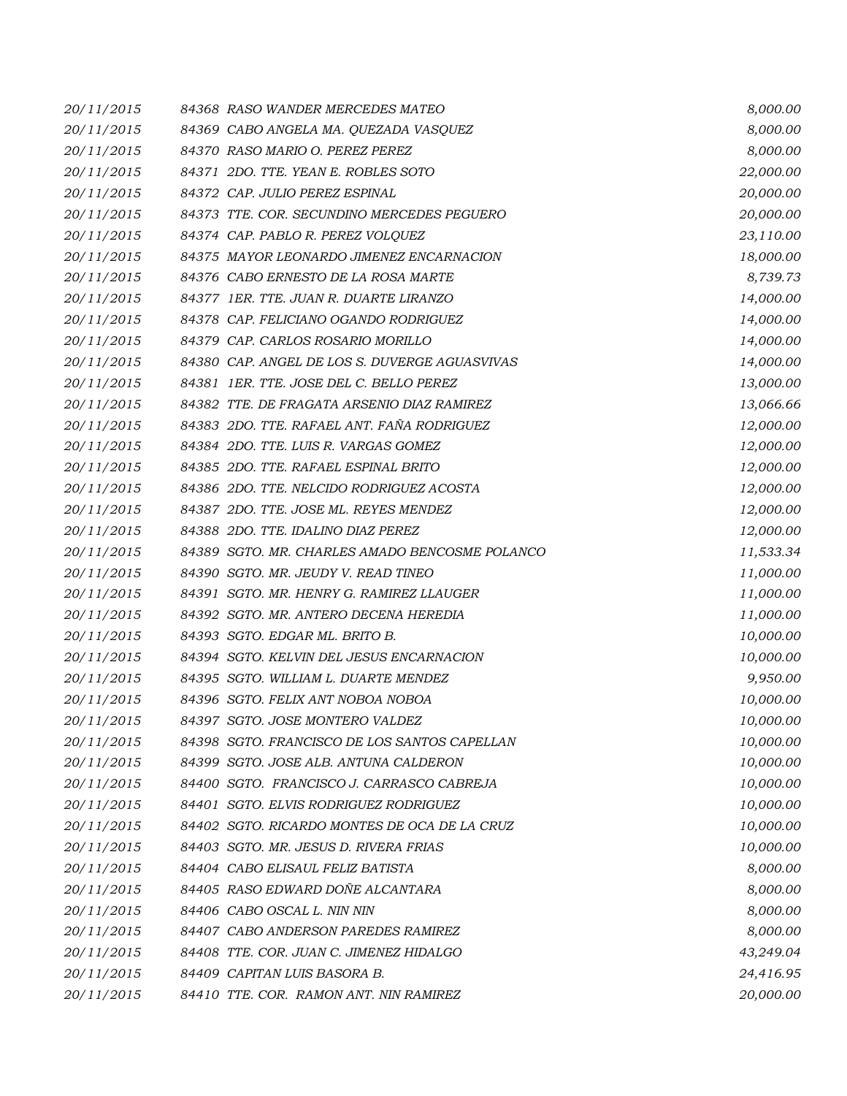| 20/11/2015 | 84368 RASO WANDER MERCEDES MATEO               | 8,000.00  |
|------------|------------------------------------------------|-----------|
| 20/11/2015 | 84369 CABO ANGELA MA. QUEZADA VASQUEZ          | 8,000.00  |
| 20/11/2015 | 84370 RASO MARIO O. PEREZ PEREZ                | 8,000.00  |
| 20/11/2015 | 84371 2DO. TTE. YEAN E. ROBLES SOTO            | 22,000.00 |
| 20/11/2015 | 84372 CAP. JULIO PEREZ ESPINAL                 | 20,000.00 |
| 20/11/2015 | 84373 TTE. COR. SECUNDINO MERCEDES PEGUERO     | 20,000.00 |
| 20/11/2015 | 84374 CAP. PABLO R. PEREZ VOLQUEZ              | 23,110.00 |
| 20/11/2015 | 84375 MAYOR LEONARDO JIMENEZ ENCARNACION       | 18,000.00 |
| 20/11/2015 | 84376 CABO ERNESTO DE LA ROSA MARTE            | 8,739.73  |
| 20/11/2015 | 84377 IER. TTE. JUAN R. DUARTE LIRANZO         | 14,000.00 |
| 20/11/2015 | 84378 CAP. FELICIANO OGANDO RODRIGUEZ          | 14,000.00 |
| 20/11/2015 | 84379 CAP. CARLOS ROSARIO MORILLO              | 14,000.00 |
| 20/11/2015 | 84380 CAP. ANGEL DE LOS S. DUVERGE AGUASVIVAS  | 14,000.00 |
| 20/11/2015 | 84381 IER. TTE. JOSE DEL C. BELLO PEREZ        | 13,000.00 |
| 20/11/2015 | 84382 TTE. DE FRAGATA ARSENIO DIAZ RAMIREZ     | 13,066.66 |
| 20/11/2015 | 84383 2DO. TTE, RAFAEL ANT, FAÑA RODRIGUEZ     | 12,000.00 |
| 20/11/2015 | 84384 2DO. TTE. LUIS R. VARGAS GOMEZ           | 12,000.00 |
| 20/11/2015 | 84385 2DO. TTE. RAFAEL ESPINAL BRITO           | 12,000.00 |
| 20/11/2015 | 84386 2DO. TTE. NELCIDO RODRIGUEZ ACOSTA       | 12,000.00 |
| 20/11/2015 | 84387 2DO. TTE. JOSE ML. REYES MENDEZ          | 12,000.00 |
| 20/11/2015 | 84388 2DO. TTE. IDALINO DIAZ PEREZ             | 12,000.00 |
| 20/11/2015 | 84389 SGTO. MR. CHARLES AMADO BENCOSME POLANCO | 11,533.34 |
| 20/11/2015 | 84390 SGTO. MR. JEUDY V. READ TINEO            | 11,000.00 |
| 20/11/2015 | 84391 SGTO. MR. HENRY G. RAMIREZ LLAUGER       | 11,000.00 |
| 20/11/2015 | 84392 SGTO. MR. ANTERO DECENA HEREDIA          | 11,000.00 |
| 20/11/2015 | 84393 SGTO. EDGAR ML. BRITO B.                 | 10,000.00 |
| 20/11/2015 | 84394 SGTO. KELVIN DEL JESUS ENCARNACION       | 10,000.00 |
| 20/11/2015 | 84395 SGTO. WILLIAM L. DUARTE MENDEZ           | 9,950.00  |
| 20/11/2015 | 84396 SGTO. FELIX ANT NOBOA NOBOA              | 10,000.00 |
| 20/11/2015 | 84397 SGTO. JOSE MONTERO VALDEZ                | 10,000.00 |
| 20/11/2015 | 84398 SGTO. FRANCISCO DE LOS SANTOS CAPELLAN   | 10,000.00 |
| 20/11/2015 | 84399 SGTO. JOSE ALB. ANTUNA CALDERON          | 10,000.00 |
| 20/11/2015 | 84400 SGTO. FRANCISCO J. CARRASCO CABREJA      | 10,000.00 |
| 20/11/2015 | 84401 SGTO. ELVIS RODRIGUEZ RODRIGUEZ          | 10,000.00 |
| 20/11/2015 | 84402 SGTO. RICARDO MONTES DE OCA DE LA CRUZ   | 10,000.00 |
| 20/11/2015 | 84403 SGTO. MR. JESUS D. RIVERA FRIAS          | 10,000.00 |
| 20/11/2015 | 84404 CABO ELISAUL FELIZ BATISTA               | 8,000.00  |
| 20/11/2015 | 84405 RASO EDWARD DOÑE ALCANTARA               | 8,000.00  |
| 20/11/2015 | 84406 CABO OSCAL L. NIN NIN                    | 8,000.00  |
| 20/11/2015 | 84407 CABO ANDERSON PAREDES RAMIREZ            | 8,000.00  |
| 20/11/2015 | 84408 TTE. COR. JUAN C. JIMENEZ HIDALGO        | 43,249.04 |
| 20/11/2015 | 84409 CAPITAN LUIS BASORA B.                   | 24,416.95 |
| 20/11/2015 | 84410 TTE. COR. RAMON ANT. NIN RAMIREZ         | 20,000.00 |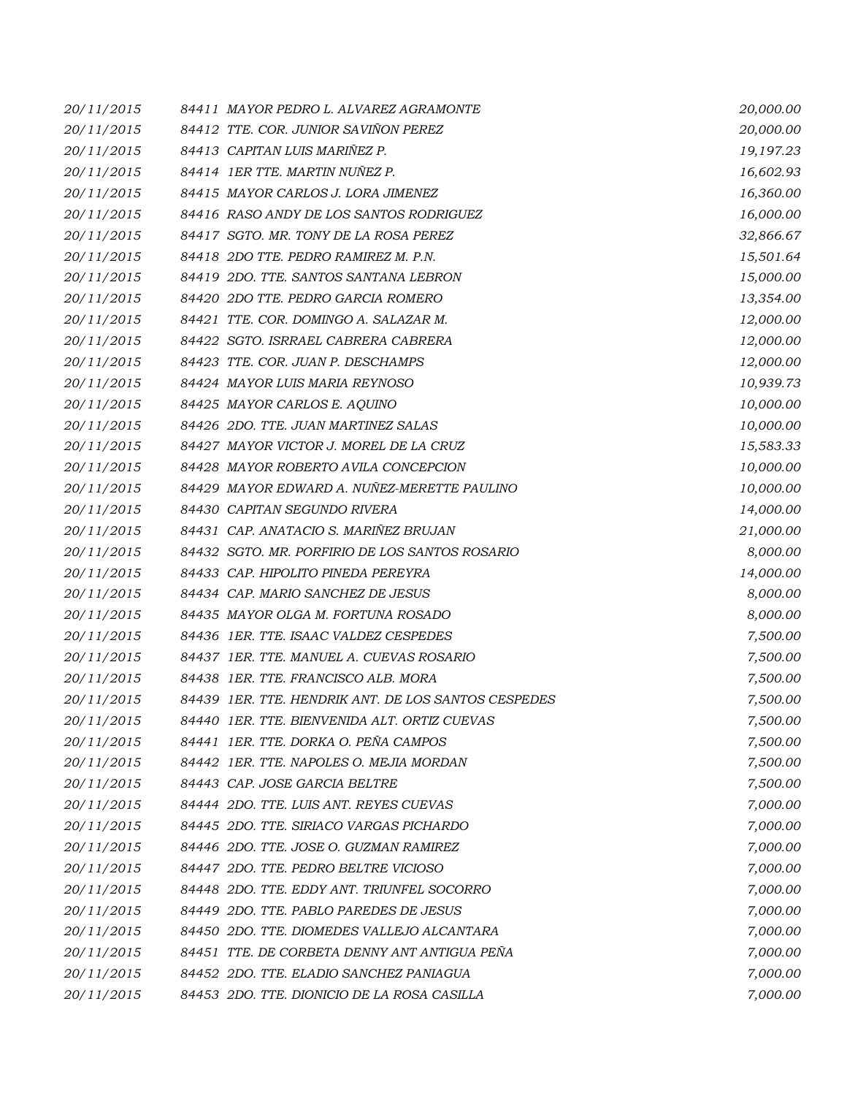| 20/11/2015 | 84411 MAYOR PEDRO L. ALVAREZ AGRAMONTE              | 20,000.00 |
|------------|-----------------------------------------------------|-----------|
| 20/11/2015 | 84412 TTE. COR. JUNIOR SAVIÑON PEREZ                | 20,000.00 |
| 20/11/2015 | 84413 CAPITAN LUIS MARIÑEZ P.                       | 19,197.23 |
| 20/11/2015 | 84414 IER TTE. MARTIN NUÑEZ P.                      | 16,602.93 |
| 20/11/2015 | 84415 MAYOR CARLOS J. LORA JIMENEZ                  | 16,360.00 |
| 20/11/2015 | 84416 RASO ANDY DE LOS SANTOS RODRIGUEZ             | 16,000.00 |
| 20/11/2015 | 84417 SGTO. MR. TONY DE LA ROSA PEREZ               | 32,866.67 |
| 20/11/2015 | 84418 2DO TTE. PEDRO RAMIREZ M. P.N.                | 15,501.64 |
| 20/11/2015 | 84419 2DO. TTE. SANTOS SANTANA LEBRON               | 15,000.00 |
| 20/11/2015 | 84420 2DO TTE. PEDRO GARCIA ROMERO                  | 13,354.00 |
| 20/11/2015 | 84421 TTE. COR. DOMINGO A. SALAZAR M.               | 12,000.00 |
| 20/11/2015 | 84422 SGTO. ISRRAEL CABRERA CABRERA                 | 12,000.00 |
| 20/11/2015 | 84423 TTE. COR. JUAN P. DESCHAMPS                   | 12,000.00 |
| 20/11/2015 | 84424 MAYOR LUIS MARIA REYNOSO                      | 10,939.73 |
| 20/11/2015 | 84425 MAYOR CARLOS E. AQUINO                        | 10,000.00 |
| 20/11/2015 | 84426 2DO. TTE. JUAN MARTINEZ SALAS                 | 10,000.00 |
| 20/11/2015 | 84427 MAYOR VICTOR J. MOREL DE LA CRUZ              | 15,583.33 |
| 20/11/2015 | 84428 MAYOR ROBERTO AVILA CONCEPCION                | 10,000.00 |
| 20/11/2015 | 84429 MAYOR EDWARD A. NUÑEZ-MERETTE PAULINO         | 10,000.00 |
| 20/11/2015 | 84430 CAPITAN SEGUNDO RIVERA                        | 14,000.00 |
| 20/11/2015 | 84431 CAP. ANATACIO S. MARIÑEZ BRUJAN               | 21,000.00 |
| 20/11/2015 | 84432 SGTO. MR. PORFIRIO DE LOS SANTOS ROSARIO      | 8,000.00  |
| 20/11/2015 | 84433 CAP. HIPOLITO PINEDA PEREYRA                  | 14,000.00 |
| 20/11/2015 | 84434 CAP. MARIO SANCHEZ DE JESUS                   | 8,000.00  |
| 20/11/2015 | 84435 MAYOR OLGA M. FORTUNA ROSADO                  | 8,000.00  |
| 20/11/2015 | 84436 1ER. TTE. ISAAC VALDEZ CESPEDES               | 7,500.00  |
| 20/11/2015 | 84437 IER. TTE. MANUEL A. CUEVAS ROSARIO            | 7,500.00  |
| 20/11/2015 | 84438 1ER. TTE. FRANCISCO ALB. MORA                 | 7,500.00  |
| 20/11/2015 | 84439 IER. TTE. HENDRIK ANT. DE LOS SANTOS CESPEDES | 7,500.00  |
| 20/11/2015 | 84440 IER. TTE. BIENVENIDA ALT. ORTIZ CUEVAS        | 7,500.00  |
| 20/11/2015 | 84441 IER. TTE. DORKA O. PEÑA CAMPOS                | 7,500.00  |
| 20/11/2015 | 84442 IER. TTE. NAPOLES O. MEJIA MORDAN             | 7,500.00  |
| 20/11/2015 | 84443 CAP. JOSE GARCIA BELTRE                       | 7,500.00  |
| 20/11/2015 | 84444 2DO. TTE. LUIS ANT. REYES CUEVAS              | 7,000.00  |
| 20/11/2015 | 84445 2DO. TTE. SIRIACO VARGAS PICHARDO             | 7,000.00  |
| 20/11/2015 | 84446 2DO. TTE. JOSE O. GUZMAN RAMIREZ              | 7,000.00  |
| 20/11/2015 | 84447 2DO. TTE, PEDRO BELTRE VICIOSO                | 7,000.00  |
| 20/11/2015 | 84448 2DO. TTE. EDDY ANT. TRIUNFEL SOCORRO          | 7,000.00  |
| 20/11/2015 | 84449 2DO. TTE, PABLO PAREDES DE JESUS              | 7,000.00  |
| 20/11/2015 | 84450 2DO. TTE. DIOMEDES VALLEJO ALCANTARA          | 7,000.00  |
| 20/11/2015 | 84451 TTE, DE CORBETA DENNY ANT ANTIGUA PEÑA        | 7,000.00  |
| 20/11/2015 | 84452 2DO. TTE, ELADIO SANCHEZ PANIAGUA             | 7,000.00  |
| 20/11/2015 | 84453 2DO. TTE. DIONICIO DE LA ROSA CASILLA         | 7,000.00  |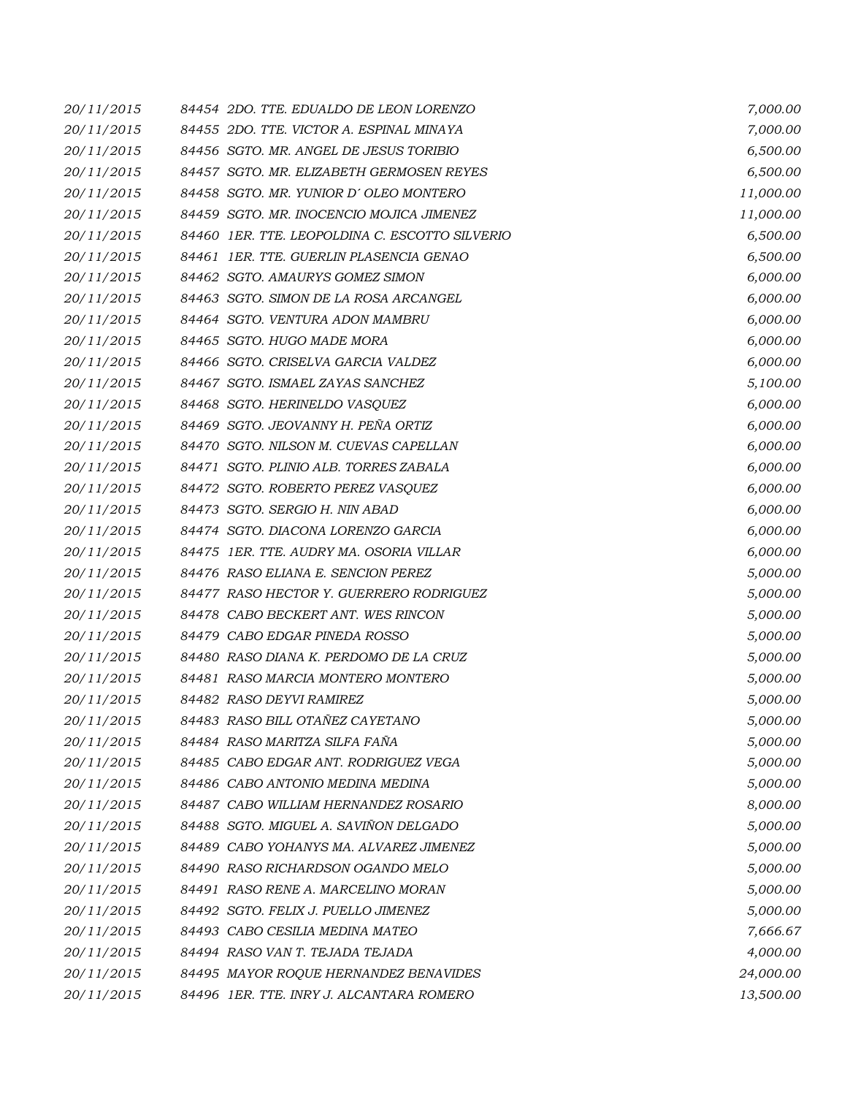| 20/11/2015 | 84454 2DO. TTE. EDUALDO DE LEON LORENZO        | 7,000.00  |
|------------|------------------------------------------------|-----------|
| 20/11/2015 | 84455 2DO. TTE. VICTOR A. ESPINAL MINAYA       | 7,000.00  |
| 20/11/2015 | 84456 SGTO. MR. ANGEL DE JESUS TORIBIO         | 6,500.00  |
| 20/11/2015 | 84457 SGTO. MR. ELIZABETH GERMOSEN REYES       | 6,500.00  |
| 20/11/2015 | 84458 SGTO. MR. YUNIOR D'OLEO MONTERO          | 11,000.00 |
| 20/11/2015 | 84459 SGTO. MR. INOCENCIO MOJICA JIMENEZ       | 11,000.00 |
| 20/11/2015 | 84460 1ER. TTE. LEOPOLDINA C. ESCOTTO SILVERIO | 6,500.00  |
| 20/11/2015 | 84461 IER. TTE. GUERLIN PLASENCIA GENAO        | 6,500.00  |
| 20/11/2015 | 84462 SGTO. AMAURYS GOMEZ SIMON                | 6,000.00  |
| 20/11/2015 | 84463 SGTO. SIMON DE LA ROSA ARCANGEL          | 6,000.00  |
| 20/11/2015 | 84464 SGTO. VENTURA ADON MAMBRU                | 6,000.00  |
| 20/11/2015 | 84465 SGTO. HUGO MADE MORA                     | 6,000.00  |
| 20/11/2015 | 84466 SGTO. CRISELVA GARCIA VALDEZ             | 6,000.00  |
| 20/11/2015 | 84467 SGTO. ISMAEL ZAYAS SANCHEZ               | 5,100.00  |
| 20/11/2015 | 84468 SGTO. HERINELDO VASQUEZ                  | 6,000.00  |
| 20/11/2015 | 84469 SGTO. JEOVANNY H. PEÑA ORTIZ             | 6,000.00  |
| 20/11/2015 | 84470 SGTO. NILSON M. CUEVAS CAPELLAN          | 6,000.00  |
| 20/11/2015 | 84471 SGTO. PLINIO ALB. TORRES ZABALA          | 6,000.00  |
| 20/11/2015 | 84472 SGTO. ROBERTO PEREZ VASQUEZ              | 6,000.00  |
| 20/11/2015 | 84473 SGTO. SERGIO H. NIN ABAD                 | 6,000.00  |
| 20/11/2015 | 84474 SGTO. DIACONA LORENZO GARCIA             | 6,000.00  |
| 20/11/2015 | 84475 IER. TTE. AUDRY MA. OSORIA VILLAR        | 6,000.00  |
| 20/11/2015 | 84476 RASO ELIANA E. SENCION PEREZ             | 5,000.00  |
| 20/11/2015 | 84477 RASO HECTOR Y. GUERRERO RODRIGUEZ        | 5,000.00  |
| 20/11/2015 | 84478 CABO BECKERT ANT. WES RINCON             | 5,000.00  |
| 20/11/2015 | 84479 CABO EDGAR PINEDA ROSSO                  | 5,000.00  |
| 20/11/2015 | 84480 RASO DIANA K. PERDOMO DE LA CRUZ         | 5,000.00  |
| 20/11/2015 | 84481 RASO MARCIA MONTERO MONTERO              | 5,000.00  |
| 20/11/2015 | 84482 RASO DEYVI RAMIREZ                       | 5,000.00  |
| 20/11/2015 | 84483 RASO BILL OTAÑEZ CAYETANO                | 5,000.00  |
| 20/11/2015 | 84484 RASO MARITZA SILFA FAÑA                  | 5,000.00  |
| 20/11/2015 | 84485 CABO EDGAR ANT. RODRIGUEZ VEGA           | 5,000.00  |
| 20/11/2015 | 84486 CABO ANTONIO MEDINA MEDINA               | 5,000.00  |
| 20/11/2015 | 84487 CABO WILLIAM HERNANDEZ ROSARIO           | 8,000.00  |
| 20/11/2015 | 84488 SGTO. MIGUEL A. SAVIÑON DELGADO          | 5,000.00  |
| 20/11/2015 | 84489 CABO YOHANYS MA. ALVAREZ JIMENEZ         | 5,000.00  |
| 20/11/2015 | 84490 RASO RICHARDSON OGANDO MELO              | 5,000.00  |
| 20/11/2015 | 84491 RASO RENE A. MARCELINO MORAN             | 5,000.00  |
| 20/11/2015 | 84492 SGTO. FELIX J. PUELLO JIMENEZ            | 5,000.00  |
| 20/11/2015 | 84493 CABO CESILIA MEDINA MATEO                | 7,666.67  |
| 20/11/2015 | 84494 RASO VAN T. TEJADA TEJADA                | 4,000.00  |
| 20/11/2015 | 84495 MAYOR ROQUE HERNANDEZ BENAVIDES          | 24,000.00 |
| 20/11/2015 | 84496 1ER. TTE. INRY J. ALCANTARA ROMERO       | 13,500.00 |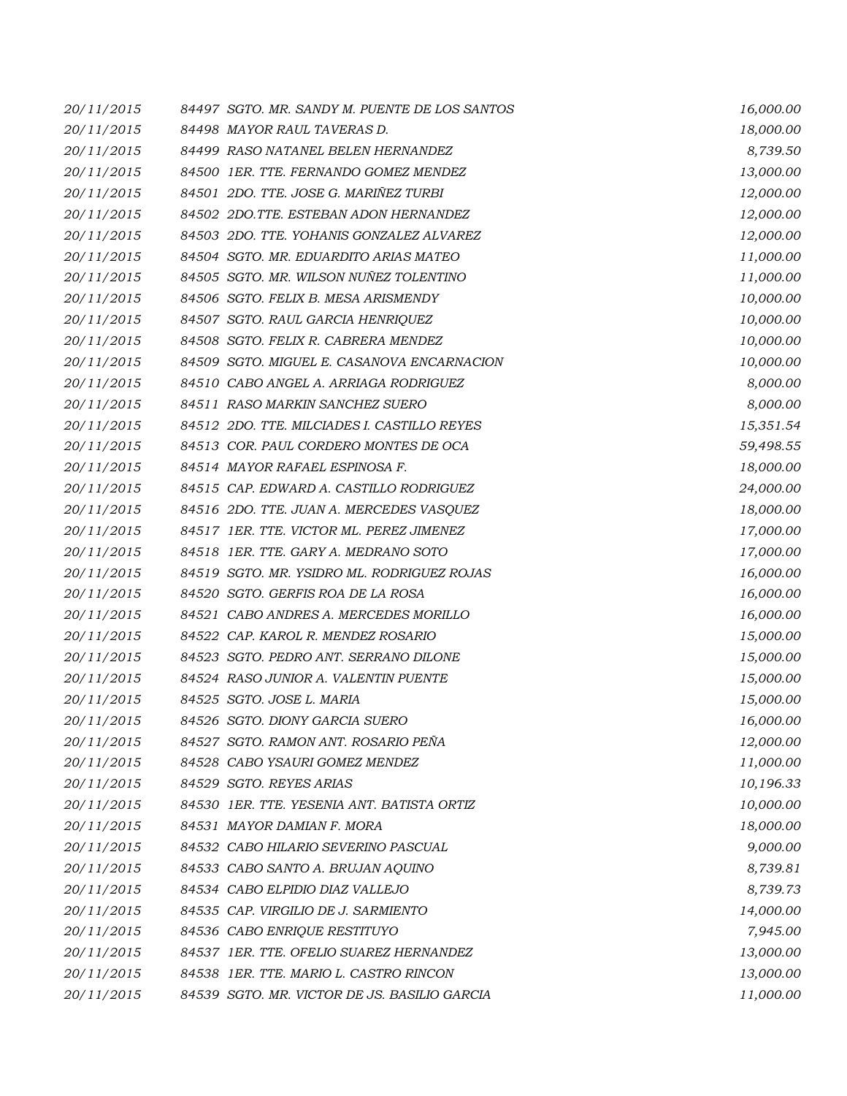| 20/11/2015 | 84497 SGTO. MR. SANDY M. PUENTE DE LOS SANTOS | 16,000.00 |
|------------|-----------------------------------------------|-----------|
| 20/11/2015 | 84498 MAYOR RAUL TAVERAS D.                   | 18,000.00 |
| 20/11/2015 | 84499 RASO NATANEL BELEN HERNANDEZ            | 8,739.50  |
| 20/11/2015 | 84500 1ER. TTE. FERNANDO GOMEZ MENDEZ         | 13,000.00 |
| 20/11/2015 | 84501 2DO. TTE. JOSE G. MARIÑEZ TURBI         | 12,000.00 |
| 20/11/2015 | 84502 2DO.TTE. ESTEBAN ADON HERNANDEZ         | 12,000.00 |
| 20/11/2015 | 84503 2DO. TTE. YOHANIS GONZALEZ ALVAREZ      | 12,000.00 |
| 20/11/2015 | 84504 SGTO. MR. EDUARDITO ARIAS MATEO         | 11,000.00 |
| 20/11/2015 | 84505 SGTO. MR. WILSON NUÑEZ TOLENTINO        | 11,000.00 |
| 20/11/2015 | 84506 SGTO. FELIX B. MESA ARISMENDY           | 10,000.00 |
| 20/11/2015 | 84507 SGTO. RAUL GARCIA HENRIQUEZ             | 10,000.00 |
| 20/11/2015 | 84508 SGTO. FELIX R. CABRERA MENDEZ           | 10,000.00 |
| 20/11/2015 | 84509 SGTO. MIGUEL E. CASANOVA ENCARNACION    | 10,000.00 |
| 20/11/2015 | 84510 CABO ANGEL A. ARRIAGA RODRIGUEZ         | 8,000.00  |
| 20/11/2015 | 84511 RASO MARKIN SANCHEZ SUERO               | 8,000.00  |
| 20/11/2015 | 84512 2DO. TTE. MILCIADES I. CASTILLO REYES   | 15,351.54 |
| 20/11/2015 | 84513 COR. PAUL CORDERO MONTES DE OCA         | 59,498.55 |
| 20/11/2015 | 84514 MAYOR RAFAEL ESPINOSA F.                | 18,000.00 |
| 20/11/2015 | 84515 CAP. EDWARD A. CASTILLO RODRIGUEZ       | 24,000.00 |
| 20/11/2015 | 84516 2DO. TTE. JUAN A. MERCEDES VASQUEZ      | 18,000.00 |
| 20/11/2015 | 84517 IER. TTE. VICTOR ML. PEREZ JIMENEZ      | 17,000.00 |
| 20/11/2015 | 84518 1ER. TTE. GARY A. MEDRANO SOTO          | 17,000.00 |
| 20/11/2015 | 84519 SGTO. MR. YSIDRO ML. RODRIGUEZ ROJAS    | 16,000.00 |
| 20/11/2015 | 84520 SGTO. GERFIS ROA DE LA ROSA             | 16,000.00 |
| 20/11/2015 | 84521 CABO ANDRES A. MERCEDES MORILLO         | 16,000.00 |
| 20/11/2015 | 84522 CAP. KAROL R. MENDEZ ROSARIO            | 15,000.00 |
| 20/11/2015 | 84523 SGTO. PEDRO ANT. SERRANO DILONE         | 15,000.00 |
| 20/11/2015 | 84524 RASO JUNIOR A. VALENTIN PUENTE          | 15,000.00 |
| 20/11/2015 | 84525 SGTO. JOSE L. MARIA                     | 15,000.00 |
| 20/11/2015 | 84526 SGTO. DIONY GARCIA SUERO                | 16,000.00 |
| 20/11/2015 | 84527 SGTO. RAMON ANT. ROSARIO PEÑA           | 12,000.00 |
| 20/11/2015 | 84528 CABO YSAURI GOMEZ MENDEZ                | 11,000.00 |
| 20/11/2015 | 84529 SGTO. REYES ARIAS                       | 10,196.33 |
| 20/11/2015 | 84530 IER. TTE. YESENIA ANT. BATISTA ORTIZ    | 10,000.00 |
| 20/11/2015 | 84531 MAYOR DAMIAN F. MORA                    | 18,000.00 |
| 20/11/2015 | 84532 CABO HILARIO SEVERINO PASCUAL           | 9,000.00  |
| 20/11/2015 | 84533 CABO SANTO A. BRUJAN AQUINO             | 8,739.81  |
| 20/11/2015 | 84534 CABO ELPIDIO DIAZ VALLEJO               | 8,739.73  |
| 20/11/2015 | 84535 CAP. VIRGILIO DE J. SARMIENTO           | 14,000.00 |
| 20/11/2015 | 84536 CABO ENRIQUE RESTITUYO                  | 7,945.00  |
| 20/11/2015 | 84537 IER. TTE. OFELIO SUAREZ HERNANDEZ       | 13,000.00 |
| 20/11/2015 | 84538 1ER. TTE. MARIO L. CASTRO RINCON        | 13,000.00 |
| 20/11/2015 | 84539 SGTO. MR. VICTOR DE JS. BASILIO GARCIA  | 11,000.00 |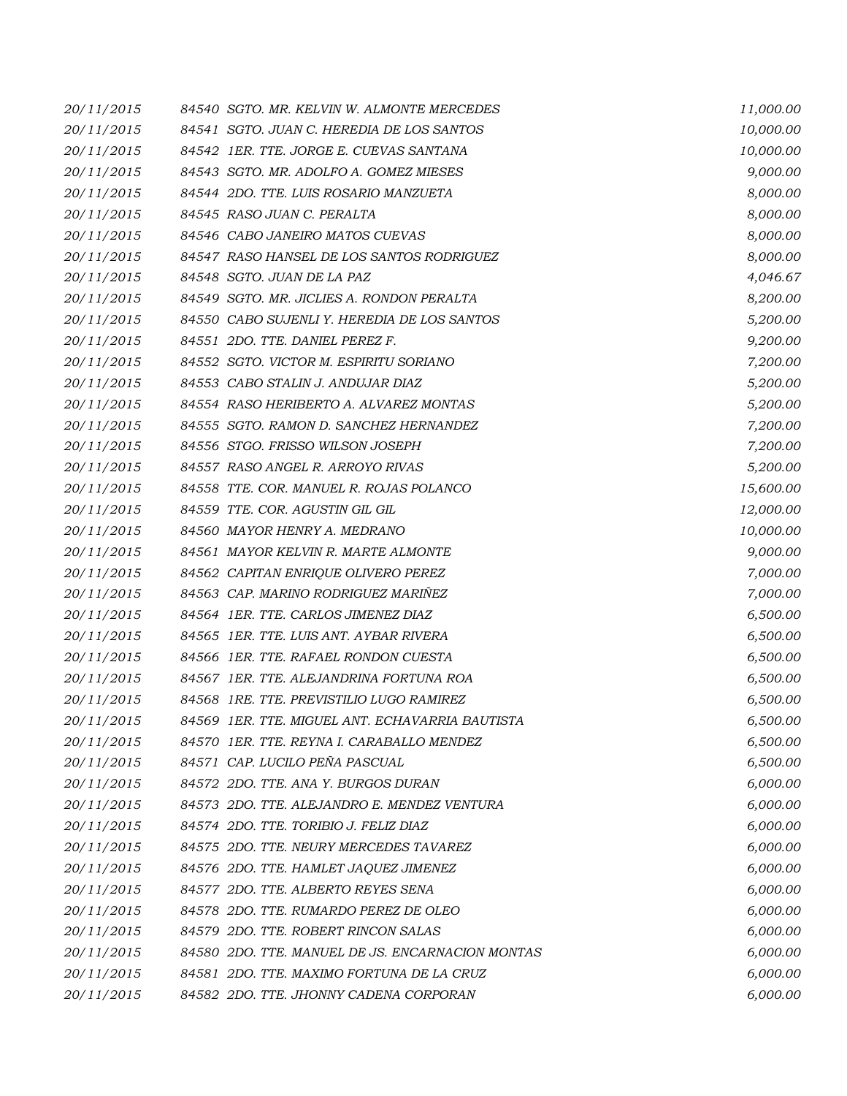| 20/11/2015 | 84540 SGTO. MR. KELVIN W. ALMONTE MERCEDES       | 11,000.00 |
|------------|--------------------------------------------------|-----------|
| 20/11/2015 | 84541 SGTO. JUAN C. HEREDIA DE LOS SANTOS        | 10,000.00 |
| 20/11/2015 | 84542 IER. TTE. JORGE E. CUEVAS SANTANA          | 10,000.00 |
| 20/11/2015 | 84543 SGTO. MR. ADOLFO A. GOMEZ MIESES           | 9,000.00  |
| 20/11/2015 | 84544 2DO. TTE. LUIS ROSARIO MANZUETA            | 8,000.00  |
| 20/11/2015 | 84545 RASO JUAN C. PERALTA                       | 8,000.00  |
| 20/11/2015 | 84546 CABO JANEIRO MATOS CUEVAS                  | 8,000.00  |
| 20/11/2015 | 84547 RASO HANSEL DE LOS SANTOS RODRIGUEZ        | 8,000.00  |
| 20/11/2015 | 84548 SGTO. JUAN DE LA PAZ                       | 4,046.67  |
| 20/11/2015 | 84549 SGTO. MR. JICLIES A. RONDON PERALTA        | 8,200.00  |
| 20/11/2015 | 84550 CABO SUJENLI Y. HEREDIA DE LOS SANTOS      | 5,200.00  |
| 20/11/2015 | 84551 2DO. TTE. DANIEL PEREZ F.                  | 9,200.00  |
| 20/11/2015 | 84552 SGTO. VICTOR M. ESPIRITU SORIANO           | 7,200.00  |
| 20/11/2015 | 84553 CABO STALIN J. ANDUJAR DIAZ                | 5,200.00  |
| 20/11/2015 | 84554 RASO HERIBERTO A. ALVAREZ MONTAS           | 5,200.00  |
| 20/11/2015 | 84555 SGTO. RAMON D. SANCHEZ HERNANDEZ           | 7,200.00  |
| 20/11/2015 | 84556 STGO. FRISSO WILSON JOSEPH                 | 7,200.00  |
| 20/11/2015 | 84557 RASO ANGEL R. ARROYO RIVAS                 | 5,200.00  |
| 20/11/2015 | 84558 TTE. COR. MANUEL R. ROJAS POLANCO          | 15,600.00 |
| 20/11/2015 | 84559 TTE. COR. AGUSTIN GIL GIL                  | 12,000.00 |
| 20/11/2015 | 84560 MAYOR HENRY A. MEDRANO                     | 10,000.00 |
| 20/11/2015 | 84561 MAYOR KELVIN R. MARTE ALMONTE              | 9,000.00  |
| 20/11/2015 | 84562 CAPITAN ENRIQUE OLIVERO PEREZ              | 7,000.00  |
| 20/11/2015 | 84563 CAP. MARINO RODRIGUEZ MARIÑEZ              | 7,000.00  |
| 20/11/2015 | 84564 IER. TTE. CARLOS JIMENEZ DIAZ              | 6,500.00  |
| 20/11/2015 | 84565 IER. TTE. LUIS ANT. AYBAR RIVERA           | 6,500.00  |
| 20/11/2015 | 84566 1ER. TTE. RAFAEL RONDON CUESTA             | 6,500.00  |
| 20/11/2015 | 84567 IER. TTE. ALEJANDRINA FORTUNA ROA          | 6,500.00  |
| 20/11/2015 | 84568 1RE. TTE. PREVISTILIO LUGO RAMIREZ         | 6,500.00  |
| 20/11/2015 | 84569 IER. TTE. MIGUEL ANT. ECHAVARRIA BAUTISTA  | 6,500.00  |
| 20/11/2015 | 84570 IER. TTE. REYNA I. CARABALLO MENDEZ        | 6,500.00  |
| 20/11/2015 | 84571 CAP. LUCILO PEÑA PASCUAL                   | 6,500.00  |
| 20/11/2015 | 84572 2DO. TTE, ANA Y. BURGOS DURAN              | 6,000.00  |
| 20/11/2015 | 84573 2DO. TTE, ALEJANDRO E, MENDEZ VENTURA      | 6,000.00  |
| 20/11/2015 | 84574 2DO. TTE. TORIBIO J. FELIZ DIAZ            | 6,000.00  |
| 20/11/2015 | 84575 2DO. TTE. NEURY MERCEDES TAVAREZ           | 6,000.00  |
| 20/11/2015 | 84576 2DO. TTE. HAMLET JAQUEZ JIMENEZ            | 6,000.00  |
| 20/11/2015 | 84577 2DO. TTE. ALBERTO REYES SENA               | 6,000.00  |
| 20/11/2015 | 84578 2DO. TTE. RUMARDO PEREZ DE OLEO            | 6,000.00  |
| 20/11/2015 | 84579 2DO. TTE. ROBERT RINCON SALAS              | 6,000.00  |
| 20/11/2015 | 84580 2DO. TTE. MANUEL DE JS. ENCARNACION MONTAS | 6,000.00  |
| 20/11/2015 | 84581 2DO. TTE. MAXIMO FORTUNA DE LA CRUZ        | 6,000.00  |
| 20/11/2015 | 84582 2DO. TTE. JHONNY CADENA CORPORAN           | 6,000.00  |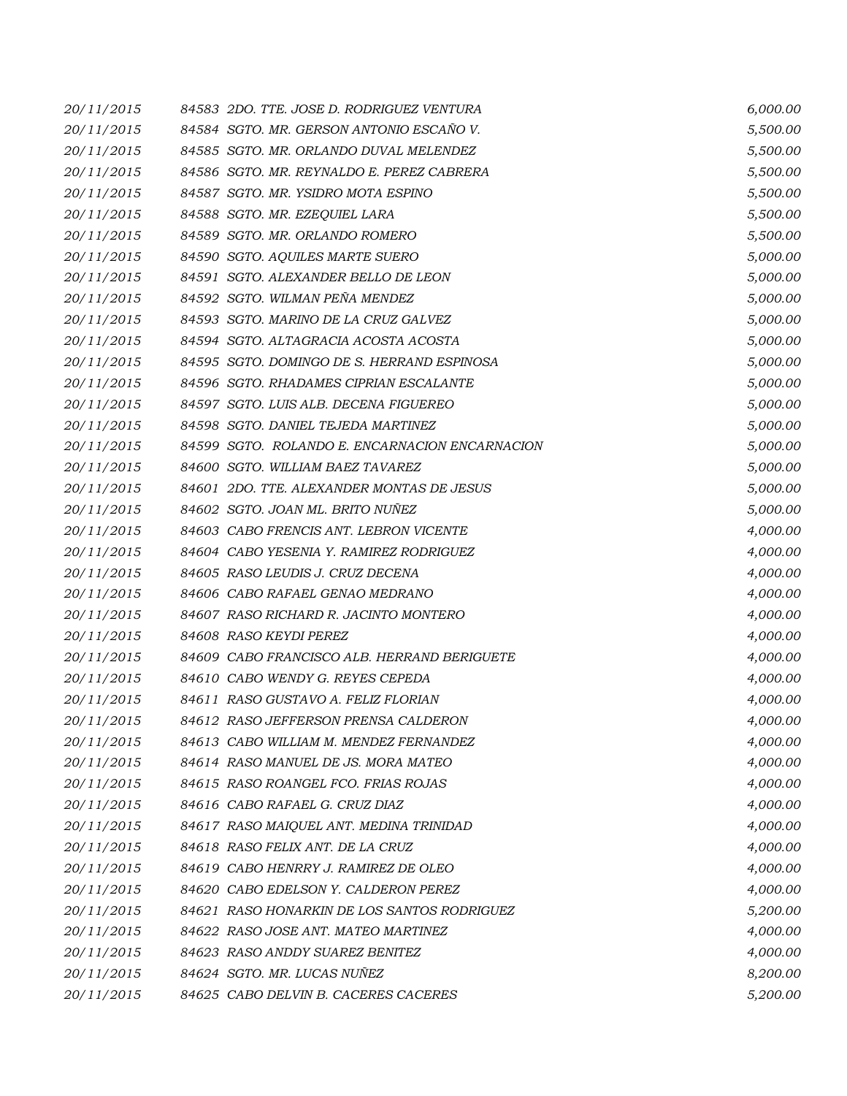| 20/11/2015 |                        | 84583 2DO. TTE. JOSE D. RODRIGUEZ VENTURA      | 6,000.00 |
|------------|------------------------|------------------------------------------------|----------|
| 20/11/2015 |                        | 84584 SGTO. MR. GERSON ANTONIO ESCAÑO V.       | 5,500.00 |
| 20/11/2015 |                        | 84585 SGTO. MR. ORLANDO DUVAL MELENDEZ         | 5,500.00 |
| 20/11/2015 |                        | 84586 SGTO. MR. REYNALDO E. PEREZ CABRERA      | 5,500.00 |
| 20/11/2015 |                        | 84587 SGTO. MR. YSIDRO MOTA ESPINO             | 5,500.00 |
| 20/11/2015 |                        | 84588 SGTO. MR. EZEQUIEL LARA                  | 5,500.00 |
| 20/11/2015 |                        | 84589 SGTO. MR. ORLANDO ROMERO                 | 5,500.00 |
| 20/11/2015 |                        | 84590 SGTO. AQUILES MARTE SUERO                | 5,000.00 |
| 20/11/2015 |                        | 84591 SGTO. ALEXANDER BELLO DE LEON            | 5,000.00 |
| 20/11/2015 |                        | 84592 SGTO. WILMAN PEÑA MENDEZ                 | 5,000.00 |
| 20/11/2015 |                        | 84593 SGTO. MARINO DE LA CRUZ GALVEZ           | 5,000.00 |
| 20/11/2015 |                        | 84594 SGTO. ALTAGRACIA ACOSTA ACOSTA           | 5,000.00 |
| 20/11/2015 |                        | 84595 SGTO. DOMINGO DE S. HERRAND ESPINOSA     | 5,000.00 |
| 20/11/2015 |                        | 84596 SGTO. RHADAMES CIPRIAN ESCALANTE         | 5,000.00 |
| 20/11/2015 |                        | 84597 SGTO. LUIS ALB. DECENA FIGUEREO          | 5,000.00 |
| 20/11/2015 |                        | 84598 SGTO. DANIEL TEJEDA MARTINEZ             | 5,000.00 |
| 20/11/2015 |                        | 84599 SGTO. ROLANDO E. ENCARNACION ENCARNACION | 5,000.00 |
| 20/11/2015 |                        | 84600 SGTO. WILLIAM BAEZ TAVAREZ               | 5,000.00 |
| 20/11/2015 |                        | 84601 2DO. TTE. ALEXANDER MONTAS DE JESUS      | 5,000.00 |
| 20/11/2015 |                        | 84602 SGTO. JOAN ML. BRITO NUÑEZ               | 5,000.00 |
| 20/11/2015 |                        | 84603 CABO FRENCIS ANT. LEBRON VICENTE         | 4,000.00 |
| 20/11/2015 |                        | 84604 CABO YESENIA Y. RAMIREZ RODRIGUEZ        | 4,000.00 |
| 20/11/2015 |                        | 84605 RASO LEUDIS J. CRUZ DECENA               | 4,000.00 |
| 20/11/2015 |                        | 84606 CABO RAFAEL GENAO MEDRANO                | 4,000.00 |
| 20/11/2015 |                        | 84607 RASO RICHARD R. JACINTO MONTERO          | 4,000.00 |
| 20/11/2015 | 84608 RASO KEYDI PEREZ |                                                | 4,000.00 |
| 20/11/2015 |                        | 84609 CABO FRANCISCO ALB. HERRAND BERIGUETE    | 4,000.00 |
| 20/11/2015 |                        | 84610 CABO WENDY G. REYES CEPEDA               | 4,000.00 |
| 20/11/2015 |                        | 84611 RASO GUSTAVO A. FELIZ FLORIAN            | 4,000.00 |
| 20/11/2015 |                        | 84612 RASO JEFFERSON PRENSA CALDERON           | 4,000.00 |
| 20/11/2015 |                        | 84613 CABO WILLIAM M. MENDEZ FERNANDEZ         | 4,000.00 |
| 20/11/2015 |                        | 84614 RASO MANUEL DE JS. MORA MATEO            | 4,000.00 |
| 20/11/2015 |                        | 84615 RASO ROANGEL FCO. FRIAS ROJAS            | 4,000.00 |
| 20/11/2015 |                        | 84616 CABO RAFAEL G. CRUZ DIAZ                 | 4,000.00 |
| 20/11/2015 |                        | 84617 RASO MAIQUEL ANT. MEDINA TRINIDAD        | 4,000.00 |
| 20/11/2015 |                        | 84618 RASO FELIX ANT. DE LA CRUZ               | 4,000.00 |
| 20/11/2015 |                        | 84619 CABO HENRRY J. RAMIREZ DE OLEO           | 4,000.00 |
| 20/11/2015 |                        | 84620 CABO EDELSON Y. CALDERON PEREZ           | 4,000.00 |
| 20/11/2015 |                        | 84621 RASO HONARKIN DE LOS SANTOS RODRIGUEZ    | 5,200.00 |
| 20/11/2015 |                        | 84622 RASO JOSE ANT. MATEO MARTINEZ            | 4,000.00 |
| 20/11/2015 |                        | 84623 RASO ANDDY SUAREZ BENITEZ                | 4,000.00 |
| 20/11/2015 |                        | 84624 SGTO. MR. LUCAS NUÑEZ                    | 8,200.00 |
| 20/11/2015 |                        | 84625 CABO DELVIN B. CACERES CACERES           | 5,200.00 |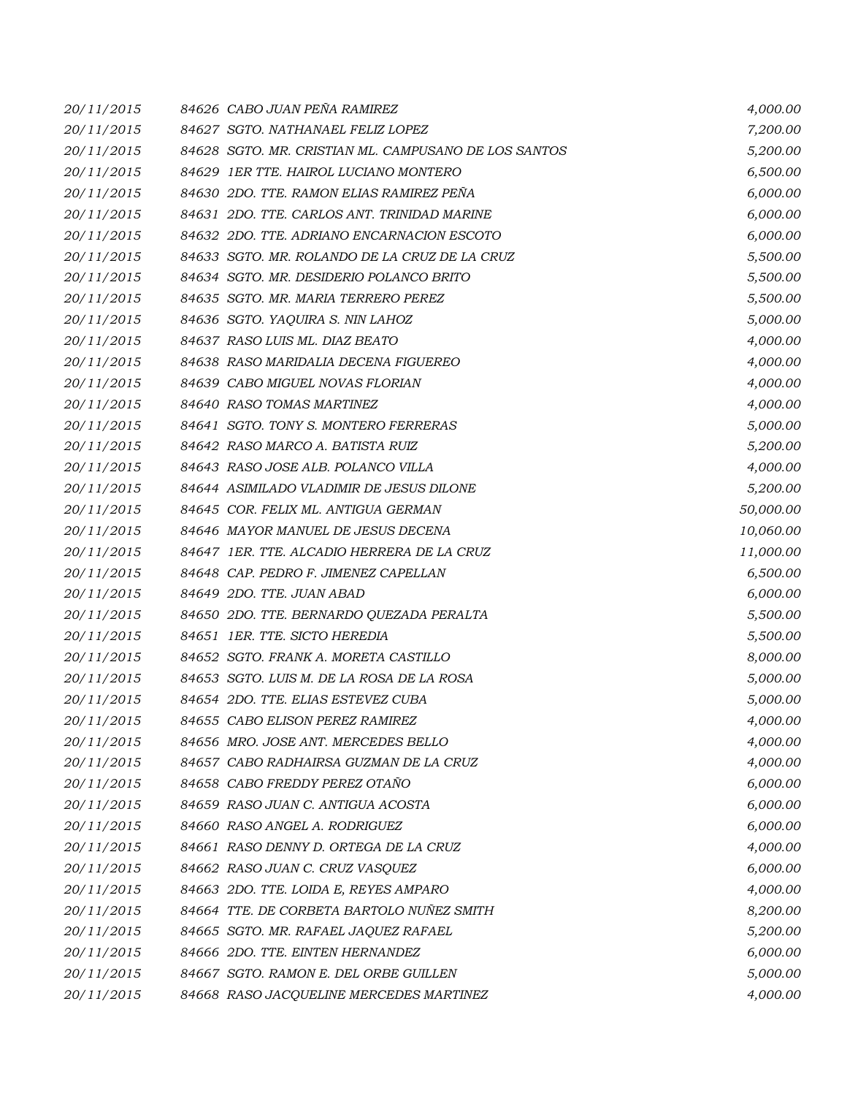| 20/11/2015 | 84626 CABO JUAN PEÑA RAMIREZ                         | 4,000.00  |
|------------|------------------------------------------------------|-----------|
| 20/11/2015 | 84627 SGTO. NATHANAEL FELIZ LOPEZ                    | 7,200.00  |
| 20/11/2015 | 84628 SGTO. MR. CRISTIAN ML. CAMPUSANO DE LOS SANTOS | 5,200.00  |
| 20/11/2015 | 84629 IER TTE. HAIROL LUCIANO MONTERO                | 6,500.00  |
| 20/11/2015 | 84630 2DO. TTE. RAMON ELIAS RAMIREZ PEÑA             | 6,000.00  |
| 20/11/2015 | 84631 2DO. TTE. CARLOS ANT. TRINIDAD MARINE          | 6,000.00  |
| 20/11/2015 | 84632 2DO. TTE. ADRIANO ENCARNACION ESCOTO           | 6,000.00  |
| 20/11/2015 | 84633 SGTO. MR. ROLANDO DE LA CRUZ DE LA CRUZ        | 5,500.00  |
| 20/11/2015 | 84634 SGTO. MR. DESIDERIO POLANCO BRITO              | 5,500.00  |
| 20/11/2015 | 84635 SGTO. MR. MARIA TERRERO PEREZ                  | 5,500.00  |
| 20/11/2015 | 84636 SGTO. YAQUIRA S. NIN LAHOZ                     | 5,000.00  |
| 20/11/2015 | 84637 RASO LUIS ML. DIAZ BEATO                       | 4,000.00  |
| 20/11/2015 | 84638 RASO MARIDALIA DECENA FIGUEREO                 | 4,000.00  |
| 20/11/2015 | 84639 CABO MIGUEL NOVAS FLORIAN                      | 4,000.00  |
| 20/11/2015 | 84640 RASO TOMAS MARTINEZ                            | 4,000.00  |
| 20/11/2015 | 84641 SGTO. TONY S. MONTERO FERRERAS                 | 5,000.00  |
| 20/11/2015 | 84642 RASO MARCO A. BATISTA RUIZ                     | 5,200.00  |
| 20/11/2015 | 84643 RASO JOSE ALB. POLANCO VILLA                   | 4,000.00  |
| 20/11/2015 | 84644 ASIMILADO VLADIMIR DE JESUS DILONE             | 5,200.00  |
| 20/11/2015 | 84645 COR. FELIX ML. ANTIGUA GERMAN                  | 50,000.00 |
| 20/11/2015 | 84646 MAYOR MANUEL DE JESUS DECENA                   | 10,060.00 |
| 20/11/2015 | 84647 IER. TTE. ALCADIO HERRERA DE LA CRUZ           | 11,000.00 |
| 20/11/2015 | 84648 CAP. PEDRO F. JIMENEZ CAPELLAN                 | 6,500.00  |
| 20/11/2015 | 84649 2DO. TTE. JUAN ABAD                            | 6,000.00  |
| 20/11/2015 | 84650 2DO. TTE. BERNARDO QUEZADA PERALTA             | 5,500.00  |
| 20/11/2015 | 84651 IER. TTE. SICTO HEREDIA                        | 5,500.00  |
| 20/11/2015 | 84652 SGTO. FRANK A. MORETA CASTILLO                 | 8,000.00  |
| 20/11/2015 | 84653 SGTO. LUIS M. DE LA ROSA DE LA ROSA            | 5,000.00  |
| 20/11/2015 | 84654 2DO. TTE. ELIAS ESTEVEZ CUBA                   | 5,000.00  |
| 20/11/2015 | 84655 CABO ELISON PEREZ RAMIREZ                      | 4,000.00  |
| 20/11/2015 | 84656 MRO. JOSE ANT. MERCEDES BELLO                  | 4,000.00  |
| 20/11/2015 | 84657 CABO RADHAIRSA GUZMAN DE LA CRUZ               | 4,000.00  |
| 20/11/2015 | 84658 CABO FREDDY PEREZ OTAÑO                        | 6,000.00  |
| 20/11/2015 | 84659 RASO JUAN C. ANTIGUA ACOSTA                    | 6,000.00  |
| 20/11/2015 | 84660 RASO ANGEL A. RODRIGUEZ                        | 6,000.00  |
| 20/11/2015 | 84661 RASO DENNY D. ORTEGA DE LA CRUZ                | 4,000.00  |
| 20/11/2015 | 84662 RASO JUAN C. CRUZ VASQUEZ                      | 6,000.00  |
| 20/11/2015 | 84663 2DO. TTE. LOIDA E, REYES AMPARO                | 4,000.00  |
| 20/11/2015 | 84664 TTE. DE CORBETA BARTOLO NUÑEZ SMITH            | 8,200.00  |
| 20/11/2015 | 84665 SGTO. MR. RAFAEL JAQUEZ RAFAEL                 | 5,200.00  |
| 20/11/2015 | 84666 2DO. TTE. EINTEN HERNANDEZ                     | 6,000.00  |
| 20/11/2015 | 84667 SGTO. RAMON E. DEL ORBE GUILLEN                | 5,000.00  |
| 20/11/2015 | 84668 RASO JACQUELINE MERCEDES MARTINEZ              | 4,000.00  |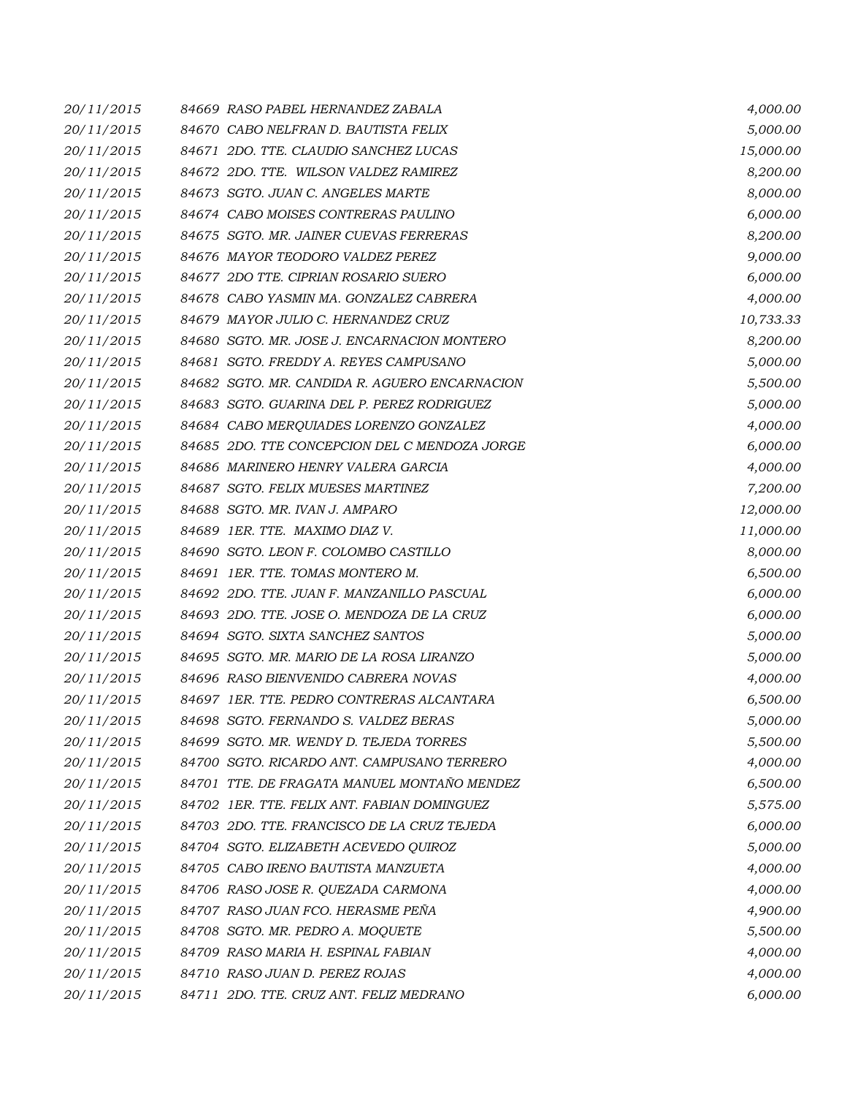| 20/11/2015 | 84669 RASO PABEL HERNANDEZ ZABALA             | 4,000.00  |
|------------|-----------------------------------------------|-----------|
| 20/11/2015 | 84670 CABO NELFRAN D. BAUTISTA FELIX          | 5,000.00  |
| 20/11/2015 | 84671 2DO. TTE. CLAUDIO SANCHEZ LUCAS         | 15,000.00 |
| 20/11/2015 | 84672 2DO. TTE. WILSON VALDEZ RAMIREZ         | 8,200.00  |
| 20/11/2015 | 84673 SGTO. JUAN C. ANGELES MARTE             | 8,000.00  |
| 20/11/2015 | 84674 CABO MOISES CONTRERAS PAULINO           | 6,000.00  |
| 20/11/2015 | 84675 SGTO. MR. JAINER CUEVAS FERRERAS        | 8,200.00  |
| 20/11/2015 | 84676 MAYOR TEODORO VALDEZ PEREZ              | 9,000.00  |
| 20/11/2015 | 84677 2DO TTE. CIPRIAN ROSARIO SUERO          | 6,000.00  |
| 20/11/2015 | 84678 CABO YASMIN MA. GONZALEZ CABRERA        | 4,000.00  |
| 20/11/2015 | 84679 MAYOR JULIO C. HERNANDEZ CRUZ           | 10,733.33 |
| 20/11/2015 | 84680 SGTO. MR. JOSE J. ENCARNACION MONTERO   | 8,200.00  |
| 20/11/2015 | 84681 SGTO. FREDDY A. REYES CAMPUSANO         | 5,000.00  |
| 20/11/2015 | 84682 SGTO. MR. CANDIDA R. AGUERO ENCARNACION | 5,500.00  |
| 20/11/2015 | 84683 SGTO. GUARINA DEL P. PEREZ RODRIGUEZ    | 5,000.00  |
| 20/11/2015 | 84684 CABO MERQUIADES LORENZO GONZALEZ        | 4,000.00  |
| 20/11/2015 | 84685 2DO. TTE CONCEPCION DEL C MENDOZA JORGE | 6,000.00  |
| 20/11/2015 | 84686 MARINERO HENRY VALERA GARCIA            | 4,000.00  |
| 20/11/2015 | 84687 SGTO. FELIX MUESES MARTINEZ             | 7,200.00  |
| 20/11/2015 | 84688 SGTO. MR. IVAN J. AMPARO                | 12,000.00 |
| 20/11/2015 | 84689 IER. TTE. MAXIMO DIAZ V.                | 11,000.00 |
| 20/11/2015 | 84690 SGTO. LEON F. COLOMBO CASTILLO          | 8,000.00  |
| 20/11/2015 | 84691 IER. TTE. TOMAS MONTERO M.              | 6,500.00  |
| 20/11/2015 | 84692 2DO. TTE. JUAN F. MANZANILLO PASCUAL    | 6,000.00  |
| 20/11/2015 | 84693 2DO. TTE. JOSE O. MENDOZA DE LA CRUZ    | 6,000.00  |
| 20/11/2015 | 84694 SGTO. SIXTA SANCHEZ SANTOS              | 5,000.00  |
| 20/11/2015 | 84695 SGTO. MR. MARIO DE LA ROSA LIRANZO      | 5,000.00  |
| 20/11/2015 | 84696 RASO BIENVENIDO CABRERA NOVAS           | 4,000.00  |
| 20/11/2015 | 84697 IER. TTE. PEDRO CONTRERAS ALCANTARA     | 6,500.00  |
| 20/11/2015 | 84698 SGTO. FERNANDO S. VALDEZ BERAS          | 5,000.00  |
| 20/11/2015 | 84699 SGTO. MR. WENDY D. TEJEDA TORRES        | 5,500.00  |
| 20/11/2015 | 84700 SGTO. RICARDO ANT. CAMPUSANO TERRERO    | 4,000.00  |
| 20/11/2015 | 84701 TTE. DE FRAGATA MANUEL MONTAÑO MENDEZ   | 6,500.00  |
| 20/11/2015 | 84702 IER. TTE. FELIX ANT. FABIAN DOMINGUEZ   | 5,575.00  |
| 20/11/2015 | 84703 2DO. TTE. FRANCISCO DE LA CRUZ TEJEDA   | 6,000.00  |
| 20/11/2015 | 84704 SGTO. ELIZABETH ACEVEDO QUIROZ          | 5,000.00  |
| 20/11/2015 | 84705 CABO IRENO BAUTISTA MANZUETA            | 4,000.00  |
| 20/11/2015 | 84706 RASO JOSE R. QUEZADA CARMONA            | 4,000.00  |
| 20/11/2015 | 84707 RASO JUAN FCO. HERASME PEÑA             | 4,900.00  |
| 20/11/2015 | 84708 SGTO. MR. PEDRO A. MOQUETE              | 5,500.00  |
| 20/11/2015 | 84709 RASO MARIA H. ESPINAL FABIAN            | 4,000.00  |
| 20/11/2015 | 84710 RASO JUAN D. PEREZ ROJAS                | 4,000.00  |
| 20/11/2015 | 84711 2DO. TTE. CRUZ ANT. FELIZ MEDRANO       | 6,000.00  |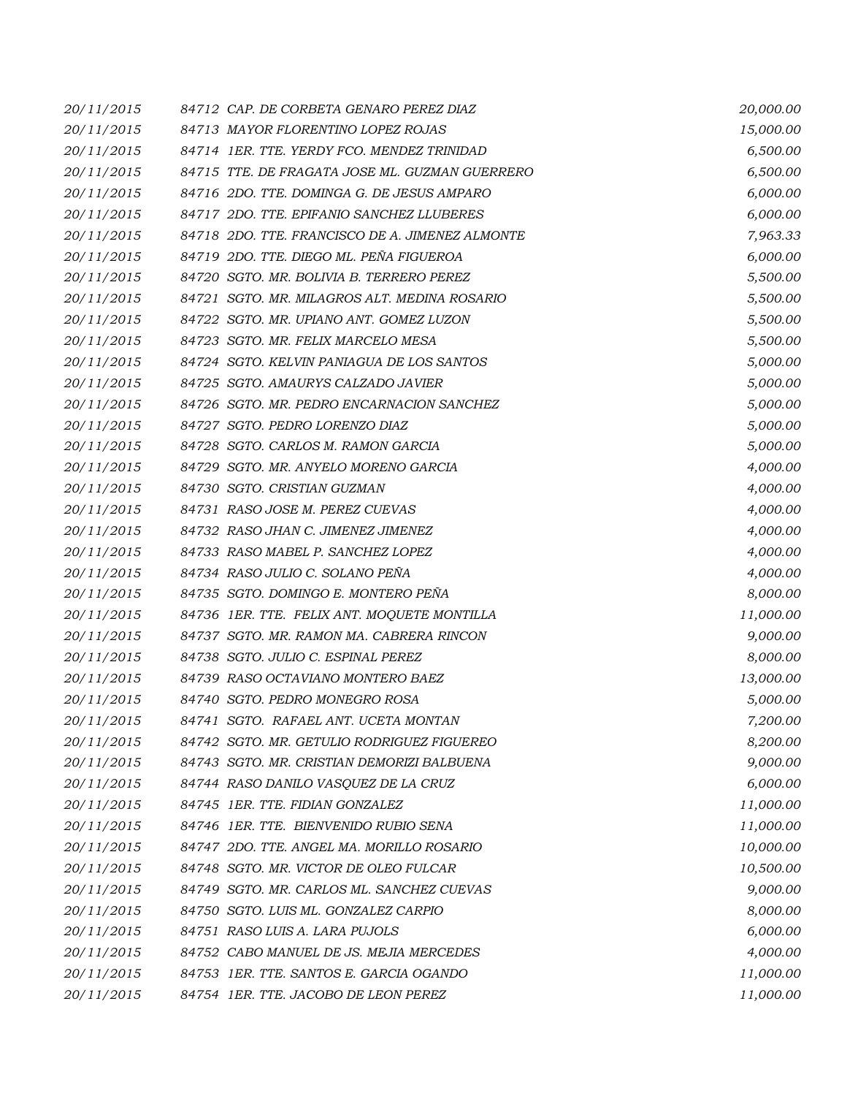| 20/11/2015 | 84712 CAP. DE CORBETA GENARO PEREZ DIAZ         | 20,000.00 |
|------------|-------------------------------------------------|-----------|
| 20/11/2015 | 84713 MAYOR FLORENTINO LOPEZ ROJAS              | 15,000.00 |
| 20/11/2015 | 84714 1ER. TTE. YERDY FCO. MENDEZ TRINIDAD      | 6,500.00  |
| 20/11/2015 | 84715 TTE. DE FRAGATA JOSE ML. GUZMAN GUERRERO  | 6,500.00  |
| 20/11/2015 | 84716 2DO. TTE, DOMINGA G. DE JESUS AMPARO      | 6,000.00  |
| 20/11/2015 | 84717 2DO. TTE. EPIFANIO SANCHEZ LLUBERES       | 6,000.00  |
| 20/11/2015 | 84718 2DO. TTE. FRANCISCO DE A. JIMENEZ ALMONTE | 7,963.33  |
| 20/11/2015 | 84719 2DO. TTE. DIEGO ML. PEÑA FIGUEROA         | 6,000.00  |
| 20/11/2015 | 84720 SGTO. MR. BOLIVIA B. TERRERO PEREZ        | 5,500.00  |
| 20/11/2015 | 84721 SGTO. MR. MILAGROS ALT. MEDINA ROSARIO    | 5,500.00  |
| 20/11/2015 | 84722 SGTO. MR. UPIANO ANT. GOMEZ LUZON         | 5,500.00  |
| 20/11/2015 | 84723 SGTO. MR. FELIX MARCELO MESA              | 5,500.00  |
| 20/11/2015 | 84724 SGTO. KELVIN PANIAGUA DE LOS SANTOS       | 5,000.00  |
| 20/11/2015 | 84725 SGTO. AMAURYS CALZADO JAVIER              | 5,000.00  |
| 20/11/2015 | 84726 SGTO. MR. PEDRO ENCARNACION SANCHEZ       | 5,000.00  |
| 20/11/2015 | 84727 SGTO. PEDRO LORENZO DIAZ                  | 5,000.00  |
| 20/11/2015 | 84728 SGTO. CARLOS M. RAMON GARCIA              | 5,000.00  |
| 20/11/2015 | 84729 SGTO. MR. ANYELO MORENO GARCIA            | 4,000.00  |
| 20/11/2015 | 84730 SGTO. CRISTIAN GUZMAN                     | 4,000.00  |
| 20/11/2015 | 84731 RASO JOSE M. PEREZ CUEVAS                 | 4,000.00  |
| 20/11/2015 | 84732 RASO JHAN C. JIMENEZ JIMENEZ              | 4,000.00  |
| 20/11/2015 | 84733 RASO MABEL P. SANCHEZ LOPEZ               | 4,000.00  |
| 20/11/2015 | 84734 RASO JULIO C. SOLANO PEÑA                 | 4,000.00  |
| 20/11/2015 | 84735 SGTO. DOMINGO E. MONTERO PEÑA             | 8,000.00  |
| 20/11/2015 | 84736 1ER. TTE. FELIX ANT. MOQUETE MONTILLA     | 11,000.00 |
| 20/11/2015 | 84737 SGTO. MR. RAMON MA. CABRERA RINCON        | 9,000.00  |
| 20/11/2015 | 84738 SGTO. JULIO C. ESPINAL PEREZ              | 8,000.00  |
| 20/11/2015 | 84739 RASO OCTAVIANO MONTERO BAEZ               | 13,000.00 |
| 20/11/2015 | 84740 SGTO. PEDRO MONEGRO ROSA                  | 5,000.00  |
| 20/11/2015 | 84741 SGTO. RAFAEL ANT. UCETA MONTAN            | 7,200.00  |
| 20/11/2015 | 84742 SGTO. MR. GETULIO RODRIGUEZ FIGUEREO      | 8,200.00  |
| 20/11/2015 | 84743 SGTO. MR. CRISTIAN DEMORIZI BALBUENA      | 9,000.00  |
| 20/11/2015 | 84744 RASO DANILO VASQUEZ DE LA CRUZ            | 6,000.00  |
| 20/11/2015 | 84745 1ER. TTE. FIDIAN GONZALEZ                 | 11,000.00 |
| 20/11/2015 | 84746 1ER. TTE. BIENVENIDO RUBIO SENA           | 11,000.00 |
| 20/11/2015 | 84747 2DO. TTE. ANGEL MA. MORILLO ROSARIO       | 10,000.00 |
| 20/11/2015 | 84748 SGTO. MR. VICTOR DE OLEO FULCAR           | 10,500.00 |
| 20/11/2015 | 84749 SGTO. MR. CARLOS ML. SANCHEZ CUEVAS       | 9,000.00  |
| 20/11/2015 | 84750 SGTO. LUIS ML. GONZALEZ CARPIO            | 8,000.00  |
| 20/11/2015 | 84751 RASO LUIS A. LARA PUJOLS                  | 6,000.00  |
| 20/11/2015 | 84752 CABO MANUEL DE JS. MEJIA MERCEDES         | 4,000.00  |
| 20/11/2015 | 84753 IER. TTE. SANTOS E. GARCIA OGANDO         | 11,000.00 |
| 20/11/2015 | 84754 1ER. TTE. JACOBO DE LEON PEREZ            | 11,000.00 |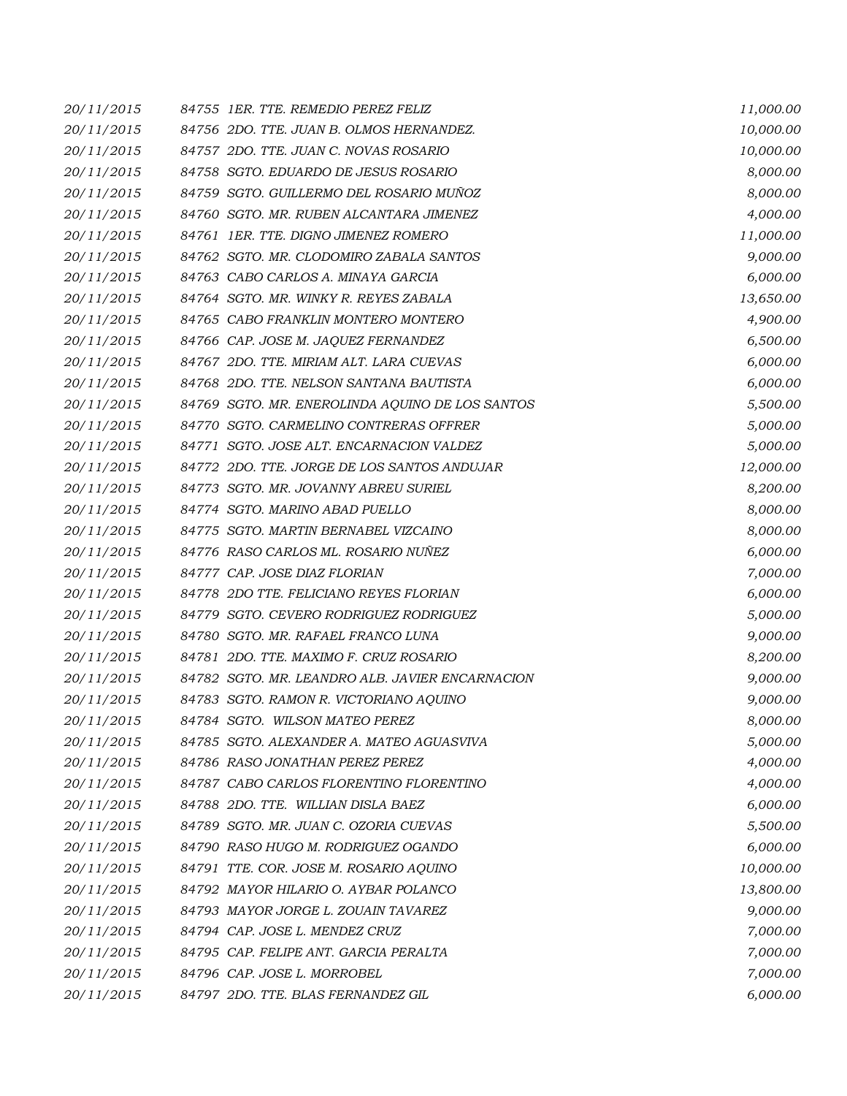| 20/11/2015 | 84755 1ER. TTE, REMEDIO PEREZ FELIZ             | 11,000.00 |
|------------|-------------------------------------------------|-----------|
| 20/11/2015 | 84756 2DO. TTE. JUAN B. OLMOS HERNANDEZ.        | 10,000.00 |
| 20/11/2015 | 84757 2DO. TTE. JUAN C. NOVAS ROSARIO           | 10,000.00 |
| 20/11/2015 | 84758 SGTO. EDUARDO DE JESUS ROSARIO            | 8,000.00  |
| 20/11/2015 | 84759 SGTO. GUILLERMO DEL ROSARIO MUÑOZ         | 8,000.00  |
| 20/11/2015 | 84760 SGTO. MR. RUBEN ALCANTARA JIMENEZ         | 4,000.00  |
| 20/11/2015 | 84761 IER. TTE. DIGNO JIMENEZ ROMERO            | 11,000.00 |
| 20/11/2015 | 84762 SGTO. MR. CLODOMIRO ZABALA SANTOS         | 9,000.00  |
| 20/11/2015 | 84763 CABO CARLOS A. MINAYA GARCIA              | 6,000.00  |
| 20/11/2015 | 84764 SGTO. MR. WINKY R. REYES ZABALA           | 13,650.00 |
| 20/11/2015 | 84765 CABO FRANKLIN MONTERO MONTERO             | 4,900.00  |
| 20/11/2015 | 84766 CAP. JOSE M. JAQUEZ FERNANDEZ             | 6,500.00  |
| 20/11/2015 | 84767 2DO. TTE, MIRIAM ALT, LARA CUEVAS         | 6,000.00  |
| 20/11/2015 | 84768 2DO. TTE. NELSON SANTANA BAUTISTA         | 6,000.00  |
| 20/11/2015 | 84769 SGTO. MR. ENEROLINDA AQUINO DE LOS SANTOS | 5,500.00  |
| 20/11/2015 | 84770 SGTO. CARMELINO CONTRERAS OFFRER          | 5,000.00  |
| 20/11/2015 | 84771 SGTO. JOSE ALT. ENCARNACION VALDEZ        | 5,000.00  |
| 20/11/2015 | 84772 2DO. TTE. JORGE DE LOS SANTOS ANDUJAR     | 12,000.00 |
| 20/11/2015 | 84773 SGTO. MR. JOVANNY ABREU SURIEL            | 8,200.00  |
| 20/11/2015 | 84774 SGTO. MARINO ABAD PUELLO                  | 8,000.00  |
| 20/11/2015 | 84775 SGTO. MARTIN BERNABEL VIZCAINO            | 8,000.00  |
| 20/11/2015 | 84776 RASO CARLOS ML. ROSARIO NUÑEZ             | 6,000.00  |
| 20/11/2015 | 84777 CAP. JOSE DIAZ FLORIAN                    | 7,000.00  |
| 20/11/2015 | 84778 2DO TTE. FELICIANO REYES FLORIAN          | 6,000.00  |
| 20/11/2015 | 84779 SGTO. CEVERO RODRIGUEZ RODRIGUEZ          | 5,000.00  |
| 20/11/2015 | 84780 SGTO. MR. RAFAEL FRANCO LUNA              | 9,000.00  |
| 20/11/2015 | 84781 2DO. TTE. MAXIMO F. CRUZ ROSARIO          | 8,200.00  |
| 20/11/2015 | 84782 SGTO. MR. LEANDRO ALB. JAVIER ENCARNACION | 9,000.00  |
| 20/11/2015 | 84783 SGTO. RAMON R. VICTORIANO AQUINO          | 9,000.00  |
| 20/11/2015 | 84784 SGTO. WILSON MATEO PEREZ                  | 8,000.00  |
| 20/11/2015 | 84785 SGTO. ALEXANDER A. MATEO AGUASVIVA        | 5,000.00  |
| 20/11/2015 | 84786 RASO JONATHAN PEREZ PEREZ                 | 4,000.00  |
| 20/11/2015 | 84787 CABO CARLOS FLORENTINO FLORENTINO         | 4,000.00  |
| 20/11/2015 | 84788 2DO. TTE. WILLIAN DISLA BAEZ              | 6,000.00  |
| 20/11/2015 | 84789 SGTO. MR. JUAN C. OZORIA CUEVAS           | 5,500.00  |
| 20/11/2015 | 84790 RASO HUGO M. RODRIGUEZ OGANDO             | 6,000.00  |
| 20/11/2015 | 84791 TTE. COR. JOSE M. ROSARIO AQUINO          | 10,000.00 |
| 20/11/2015 | 84792 MAYOR HILARIO O. AYBAR POLANCO            | 13,800.00 |
| 20/11/2015 | 84793 MAYOR JORGE L. ZOUAIN TAVAREZ             | 9,000.00  |
| 20/11/2015 | 84794 CAP. JOSE L. MENDEZ CRUZ                  | 7,000.00  |
| 20/11/2015 | 84795 CAP. FELIPE ANT. GARCIA PERALTA           | 7,000.00  |
| 20/11/2015 | 84796 CAP. JOSE L. MORROBEL                     | 7,000.00  |
| 20/11/2015 | 84797 2DO. TTE. BLAS FERNANDEZ GIL              | 6,000.00  |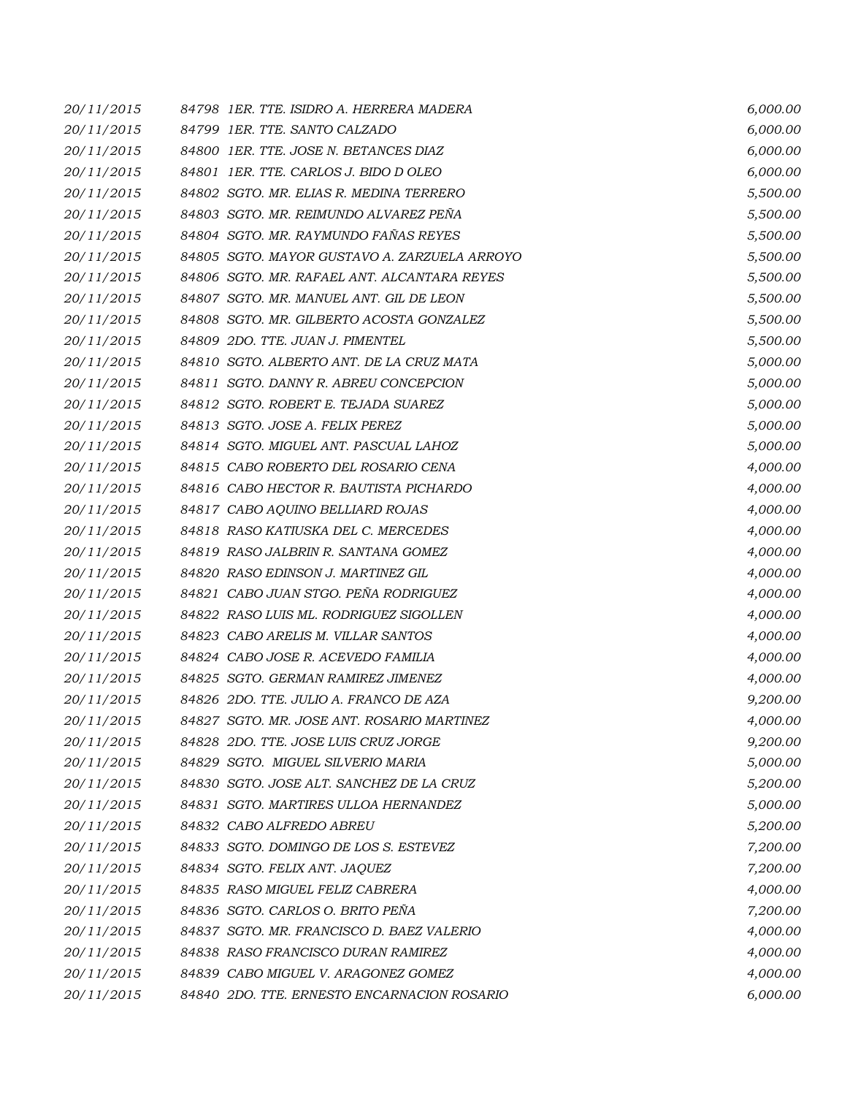| 20/11/2015 | 84798 IER. TTE. ISIDRO A. HERRERA MADERA     | 6,000.00 |
|------------|----------------------------------------------|----------|
| 20/11/2015 | 84799 IER. TTE. SANTO CALZADO                | 6,000.00 |
| 20/11/2015 | 84800 IER. TTE. JOSE N. BETANCES DIAZ        | 6,000.00 |
| 20/11/2015 | 84801 IER. TTE. CARLOS J. BIDO D OLEO        | 6,000.00 |
| 20/11/2015 | 84802 SGTO, MR. ELIAS R. MEDINA TERRERO      | 5,500.00 |
| 20/11/2015 | 84803 SGTO. MR. REIMUNDO ALVAREZ PEÑA        | 5,500.00 |
| 20/11/2015 | 84804 SGTO. MR. RAYMUNDO FAÑAS REYES         | 5,500.00 |
| 20/11/2015 | 84805 SGTO. MAYOR GUSTAVO A. ZARZUELA ARROYO | 5,500.00 |
| 20/11/2015 | 84806 SGTO. MR. RAFAEL ANT. ALCANTARA REYES  | 5,500.00 |
| 20/11/2015 | 84807 SGTO. MR. MANUEL ANT. GIL DE LEON      | 5,500.00 |
| 20/11/2015 | 84808 SGTO. MR. GILBERTO ACOSTA GONZALEZ     | 5,500.00 |
| 20/11/2015 | 84809 2DO. TTE. JUAN J. PIMENTEL             | 5,500.00 |
| 20/11/2015 | 84810 SGTO. ALBERTO ANT. DE LA CRUZ MATA     | 5,000.00 |
| 20/11/2015 | 84811 SGTO. DANNY R. ABREU CONCEPCION        | 5,000.00 |
| 20/11/2015 | 84812 SGTO. ROBERT E. TEJADA SUAREZ          | 5,000.00 |
| 20/11/2015 | 84813 SGTO. JOSE A. FELIX PEREZ              | 5,000.00 |
| 20/11/2015 | 84814 SGTO. MIGUEL ANT. PASCUAL LAHOZ        | 5,000.00 |
| 20/11/2015 | 84815 CABO ROBERTO DEL ROSARIO CENA          | 4,000.00 |
| 20/11/2015 | 84816 CABO HECTOR R. BAUTISTA PICHARDO       | 4,000.00 |
| 20/11/2015 | 84817 CABO AQUINO BELLIARD ROJAS             | 4,000.00 |
| 20/11/2015 | 84818 RASO KATIUSKA DEL C. MERCEDES          | 4,000.00 |
| 20/11/2015 | 84819 RASO JALBRIN R. SANTANA GOMEZ          | 4,000.00 |
| 20/11/2015 | 84820 RASO EDINSON J. MARTINEZ GIL           | 4,000.00 |
| 20/11/2015 | 84821 CABO JUAN STGO. PEÑA RODRIGUEZ         | 4,000.00 |
| 20/11/2015 | 84822 RASO LUIS ML. RODRIGUEZ SIGOLLEN       | 4,000.00 |
| 20/11/2015 | 84823 CABO ARELIS M. VILLAR SANTOS           | 4,000.00 |
| 20/11/2015 | 84824 CABO JOSE R. ACEVEDO FAMILIA           | 4,000.00 |
| 20/11/2015 | 84825 SGTO. GERMAN RAMIREZ JIMENEZ           | 4,000.00 |
| 20/11/2015 | 84826 2DO. TTE. JULIO A. FRANCO DE AZA       | 9,200.00 |
| 20/11/2015 | 84827 SGTO. MR. JOSE ANT. ROSARIO MARTINEZ   | 4,000.00 |
| 20/11/2015 | 84828 2DO. TTE. JOSE LUIS CRUZ JORGE         | 9,200.00 |
| 20/11/2015 | 84829 SGTO. MIGUEL SILVERIO MARIA            | 5,000.00 |
| 20/11/2015 | 84830 SGTO. JOSE ALT. SANCHEZ DE LA CRUZ     | 5,200.00 |
| 20/11/2015 | 84831 SGTO. MARTIRES ULLOA HERNANDEZ         | 5,000.00 |
| 20/11/2015 | 84832 CABO ALFREDO ABREU                     | 5,200.00 |
| 20/11/2015 | 84833 SGTO. DOMINGO DE LOS S. ESTEVEZ        | 7,200.00 |
| 20/11/2015 | 84834 SGTO. FELIX ANT. JAQUEZ                | 7,200.00 |
| 20/11/2015 | 84835 RASO MIGUEL FELIZ CABRERA              | 4,000.00 |
| 20/11/2015 | 84836 SGTO. CARLOS O. BRITO PEÑA             | 7,200.00 |
| 20/11/2015 | 84837 SGTO. MR. FRANCISCO D. BAEZ VALERIO    | 4,000.00 |
| 20/11/2015 | 84838 RASO FRANCISCO DURAN RAMIREZ           | 4,000.00 |
| 20/11/2015 | 84839 CABO MIGUEL V. ARAGONEZ GOMEZ          | 4,000.00 |
| 20/11/2015 | 84840 2DO. TTE. ERNESTO ENCARNACION ROSARIO  | 6,000.00 |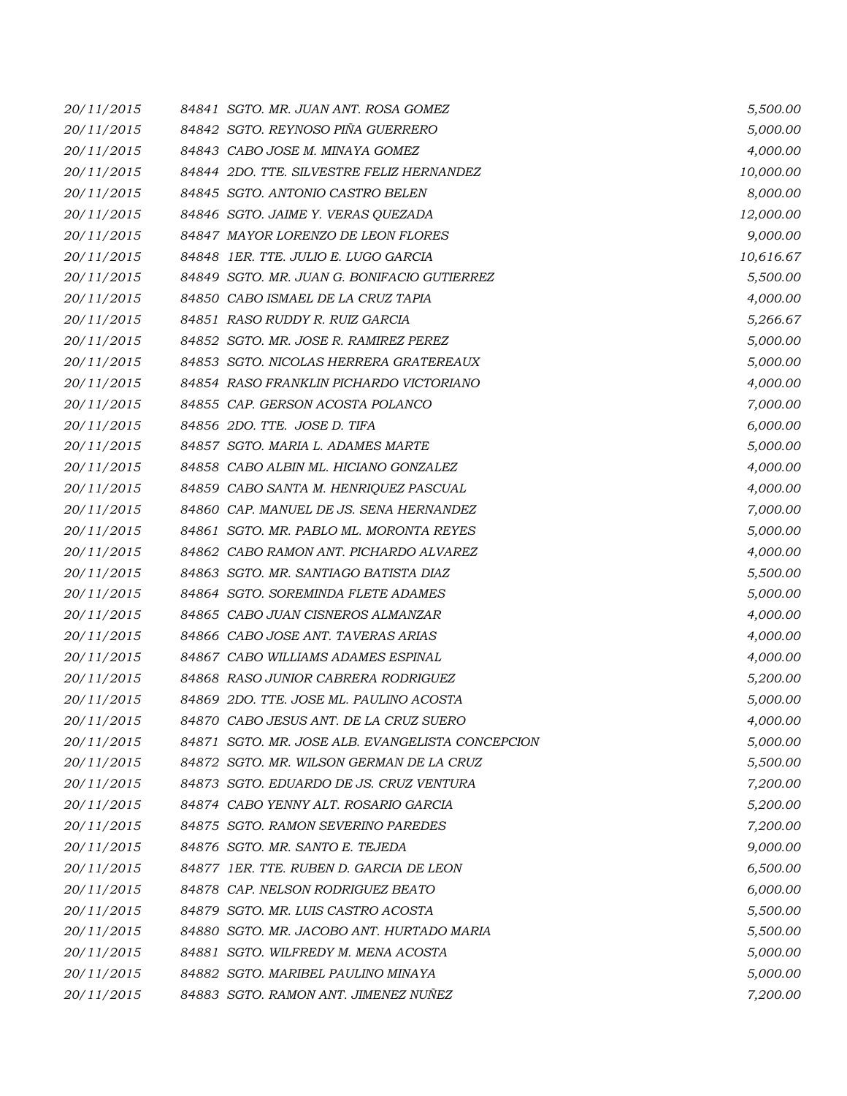| 20/11/2015 | 84841 SGTO. MR. JUAN ANT. ROSA GOMEZ             | 5,500.00  |
|------------|--------------------------------------------------|-----------|
| 20/11/2015 | 84842 SGTO. REYNOSO PIÑA GUERRERO                | 5,000.00  |
| 20/11/2015 | 84843 CABO JOSE M. MINAYA GOMEZ                  | 4,000.00  |
| 20/11/2015 | 84844 2DO. TTE. SILVESTRE FELIZ HERNANDEZ        | 10,000.00 |
| 20/11/2015 | 84845 SGTO. ANTONIO CASTRO BELEN                 | 8,000.00  |
| 20/11/2015 | 84846 SGTO. JAIME Y. VERAS QUEZADA               | 12,000.00 |
| 20/11/2015 | 84847 MAYOR LORENZO DE LEON FLORES               | 9,000.00  |
| 20/11/2015 | 84848 1ER. TTE. JULIO E. LUGO GARCIA             | 10,616.67 |
| 20/11/2015 | 84849 SGTO. MR. JUAN G. BONIFACIO GUTIERREZ      | 5,500.00  |
| 20/11/2015 | 84850 CABO ISMAEL DE LA CRUZ TAPIA               | 4,000.00  |
| 20/11/2015 | 84851 RASO RUDDY R. RUIZ GARCIA                  | 5,266.67  |
| 20/11/2015 | 84852 SGTO. MR. JOSE R. RAMIREZ PEREZ            | 5,000.00  |
| 20/11/2015 | 84853 SGTO. NICOLAS HERRERA GRATEREAUX           | 5,000.00  |
| 20/11/2015 | 84854 RASO FRANKLIN PICHARDO VICTORIANO          | 4,000.00  |
| 20/11/2015 | 84855 CAP. GERSON ACOSTA POLANCO                 | 7,000.00  |
| 20/11/2015 | 84856 2DO. TTE. JOSE D. TIFA                     | 6,000.00  |
| 20/11/2015 | 84857 SGTO. MARIA L. ADAMES MARTE                | 5,000.00  |
| 20/11/2015 | 84858 CABO ALBIN ML. HICIANO GONZALEZ            | 4,000.00  |
| 20/11/2015 | 84859 CABO SANTA M. HENRIQUEZ PASCUAL            | 4,000.00  |
| 20/11/2015 | 84860 CAP. MANUEL DE JS. SENA HERNANDEZ          | 7,000.00  |
| 20/11/2015 | 84861 SGTO. MR. PABLO ML. MORONTA REYES          | 5,000.00  |
| 20/11/2015 | 84862 CABO RAMON ANT. PICHARDO ALVAREZ           | 4,000.00  |
| 20/11/2015 | 84863 SGTO. MR. SANTIAGO BATISTA DIAZ            | 5,500.00  |
| 20/11/2015 | 84864 SGTO. SOREMINDA FLETE ADAMES               | 5,000.00  |
| 20/11/2015 | 84865 CABO JUAN CISNEROS ALMANZAR                | 4,000.00  |
| 20/11/2015 | 84866 CABO JOSE ANT. TAVERAS ARIAS               | 4,000.00  |
| 20/11/2015 | 84867 CABO WILLIAMS ADAMES ESPINAL               | 4,000.00  |
| 20/11/2015 | 84868 RASO JUNIOR CABRERA RODRIGUEZ              | 5,200.00  |
| 20/11/2015 | 84869 2DO. TTE, JOSE ML, PAULINO ACOSTA          | 5,000.00  |
| 20/11/2015 | 84870 CABO JESUS ANT. DE LA CRUZ SUERO           | 4,000.00  |
| 20/11/2015 | 84871 SGTO. MR. JOSE ALB. EVANGELISTA CONCEPCION | 5,000.00  |
| 20/11/2015 | 84872 SGTO. MR. WILSON GERMAN DE LA CRUZ         | 5,500.00  |
| 20/11/2015 | 84873 SGTO. EDUARDO DE JS. CRUZ VENTURA          | 7,200.00  |
| 20/11/2015 | 84874 CABO YENNY ALT. ROSARIO GARCIA             | 5,200.00  |
| 20/11/2015 | 84875 SGTO. RAMON SEVERINO PAREDES               | 7,200.00  |
| 20/11/2015 | 84876 SGTO. MR. SANTO E. TEJEDA                  | 9,000.00  |
| 20/11/2015 | 84877 1ER. TTE, RUBEN D. GARCIA DE LEON          | 6,500.00  |
| 20/11/2015 | 84878 CAP. NELSON RODRIGUEZ BEATO                | 6,000.00  |
| 20/11/2015 | 84879 SGTO. MR. LUIS CASTRO ACOSTA               | 5,500.00  |
| 20/11/2015 | 84880 SGTO. MR. JACOBO ANT. HURTADO MARIA        | 5,500.00  |
| 20/11/2015 | 84881 SGTO. WILFREDY M. MENA ACOSTA              | 5,000.00  |
| 20/11/2015 | 84882 SGTO. MARIBEL PAULINO MINAYA               | 5,000.00  |
| 20/11/2015 | 84883 SGTO. RAMON ANT. JIMENEZ NUÑEZ             | 7,200.00  |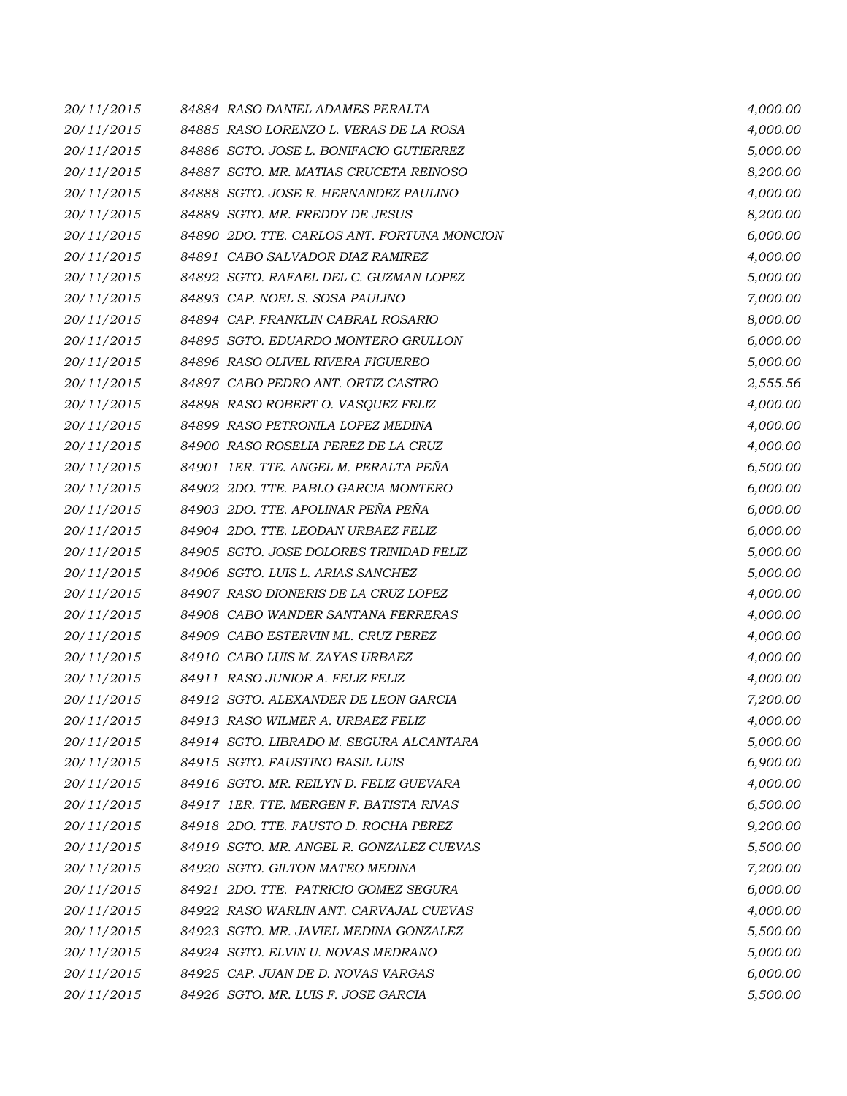| 20/11/2015 | 84884 RASO DANIEL ADAMES PERALTA            | 4,000.00 |
|------------|---------------------------------------------|----------|
| 20/11/2015 | 84885 RASO LORENZO L. VERAS DE LA ROSA      | 4,000.00 |
| 20/11/2015 | 84886 SGTO. JOSE L. BONIFACIO GUTIERREZ     | 5,000.00 |
| 20/11/2015 | 84887 SGTO. MR. MATIAS CRUCETA REINOSO      | 8,200.00 |
| 20/11/2015 | 84888 SGTO. JOSE R. HERNANDEZ PAULINO       | 4,000.00 |
| 20/11/2015 | 84889 SGTO. MR. FREDDY DE JESUS             | 8,200.00 |
| 20/11/2015 | 84890 2DO. TTE. CARLOS ANT. FORTUNA MONCION | 6,000.00 |
| 20/11/2015 | 84891 CABO SALVADOR DIAZ RAMIREZ            | 4,000.00 |
| 20/11/2015 | 84892 SGTO. RAFAEL DEL C. GUZMAN LOPEZ      | 5,000.00 |
| 20/11/2015 | 84893 CAP. NOEL S. SOSA PAULINO             | 7,000.00 |
| 20/11/2015 | 84894 CAP. FRANKLIN CABRAL ROSARIO          | 8,000.00 |
| 20/11/2015 | 84895 SGTO. EDUARDO MONTERO GRULLON         | 6,000.00 |
| 20/11/2015 | 84896 RASO OLIVEL RIVERA FIGUEREO           | 5,000.00 |
| 20/11/2015 | 84897 CABO PEDRO ANT. ORTIZ CASTRO          | 2,555.56 |
| 20/11/2015 | 84898 RASO ROBERT O. VASQUEZ FELIZ          | 4,000.00 |
| 20/11/2015 | 84899 RASO PETRONILA LOPEZ MEDINA           | 4,000.00 |
| 20/11/2015 | 84900 RASO ROSELIA PEREZ DE LA CRUZ         | 4,000.00 |
| 20/11/2015 | 84901 IER. TTE. ANGEL M. PERALTA PEÑA       | 6,500.00 |
| 20/11/2015 | 84902 2DO. TTE. PABLO GARCIA MONTERO        | 6,000.00 |
| 20/11/2015 | 84903 2DO. TTE. APOLINAR PEÑA PEÑA          | 6,000.00 |
| 20/11/2015 | 84904 2DO. TTE. LEODAN URBAEZ FELIZ         | 6,000.00 |
| 20/11/2015 | 84905 SGTO. JOSE DOLORES TRINIDAD FELIZ     | 5,000.00 |
| 20/11/2015 | 84906 SGTO. LUIS L. ARIAS SANCHEZ           | 5,000.00 |
| 20/11/2015 | 84907 RASO DIONERIS DE LA CRUZ LOPEZ        | 4,000.00 |
| 20/11/2015 | 84908 CABO WANDER SANTANA FERRERAS          | 4,000.00 |
| 20/11/2015 | 84909 CABO ESTERVIN ML. CRUZ PEREZ          | 4,000.00 |
| 20/11/2015 | 84910 CABO LUIS M. ZAYAS URBAEZ             | 4,000.00 |
| 20/11/2015 | 84911 RASO JUNIOR A. FELIZ FELIZ            | 4,000.00 |
| 20/11/2015 | 84912 SGTO. ALEXANDER DE LEON GARCIA        | 7,200.00 |
| 20/11/2015 | 84913 RASO WILMER A. URBAEZ FELIZ           | 4,000.00 |
| 20/11/2015 | 84914 SGTO. LIBRADO M. SEGURA ALCANTARA     | 5,000.00 |
| 20/11/2015 | 84915 SGTO. FAUSTINO BASIL LUIS             | 6,900.00 |
| 20/11/2015 | 84916 SGTO. MR. REILYN D. FELIZ GUEVARA     | 4,000.00 |
| 20/11/2015 | 84917 IER. TTE. MERGEN F. BATISTA RIVAS     | 6,500.00 |
| 20/11/2015 | 84918 2DO. TTE. FAUSTO D. ROCHA PEREZ       | 9,200.00 |
| 20/11/2015 | 84919 SGTO. MR. ANGEL R. GONZALEZ CUEVAS    | 5,500.00 |
| 20/11/2015 | 84920 SGTO. GILTON MATEO MEDINA             | 7,200.00 |
| 20/11/2015 | 84921 2DO. TTE. PATRICIO GOMEZ SEGURA       | 6,000.00 |
| 20/11/2015 | 84922 RASO WARLIN ANT. CARVAJAL CUEVAS      | 4,000.00 |
| 20/11/2015 | 84923 SGTO. MR. JAVIEL MEDINA GONZALEZ      | 5,500.00 |
| 20/11/2015 | 84924 SGTO. ELVIN U. NOVAS MEDRANO          | 5,000.00 |
| 20/11/2015 | 84925 CAP. JUAN DE D. NOVAS VARGAS          | 6,000.00 |
| 20/11/2015 | 84926 SGTO. MR. LUIS F. JOSE GARCIA         | 5,500.00 |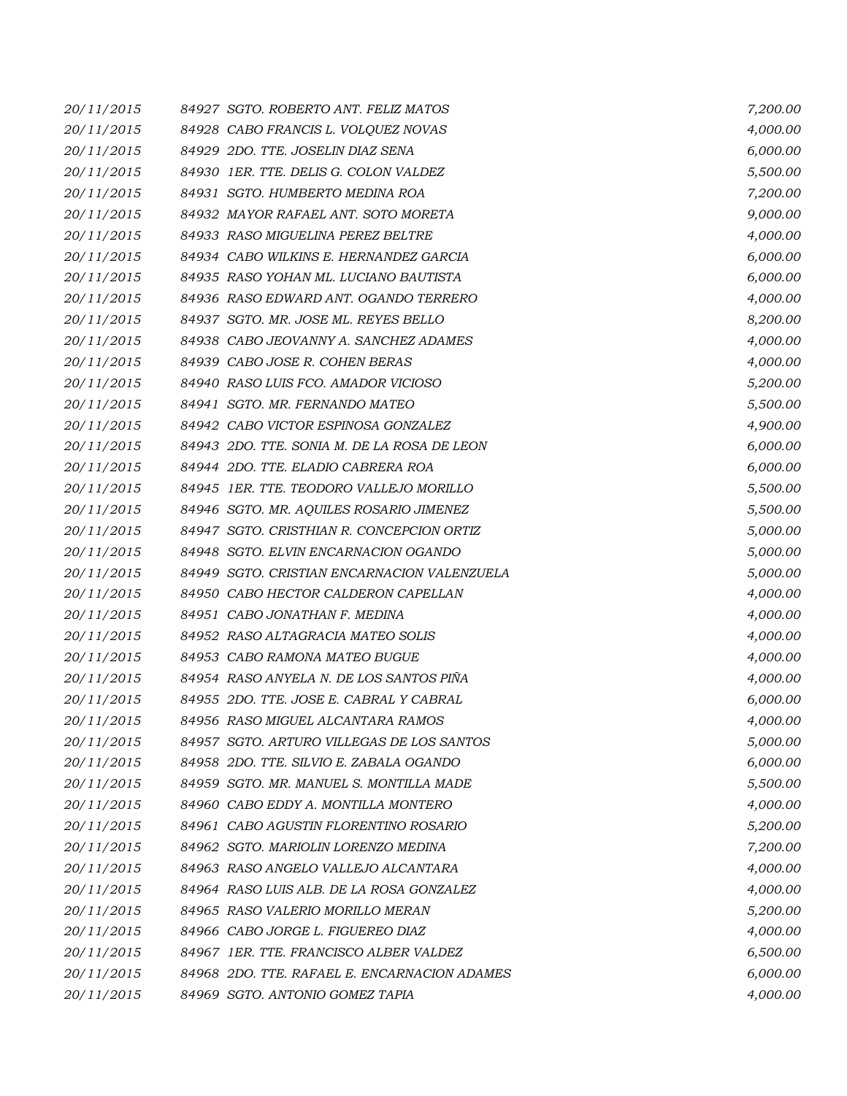| 20/11/2015 | 84927 SGTO. ROBERTO ANT. FELIZ MATOS         | 7,200.00 |
|------------|----------------------------------------------|----------|
| 20/11/2015 | 84928 CABO FRANCIS L. VOLQUEZ NOVAS          | 4,000.00 |
| 20/11/2015 | 84929 2DO. TTE. JOSELIN DIAZ SENA            | 6,000.00 |
| 20/11/2015 | 84930 1ER. TTE. DELIS G. COLON VALDEZ        | 5,500.00 |
| 20/11/2015 | 84931 SGTO. HUMBERTO MEDINA ROA              | 7,200.00 |
| 20/11/2015 | 84932 MAYOR RAFAEL ANT. SOTO MORETA          | 9,000.00 |
| 20/11/2015 | 84933 RASO MIGUELINA PEREZ BELTRE            | 4,000.00 |
| 20/11/2015 | 84934 CABO WILKINS E. HERNANDEZ GARCIA       | 6,000.00 |
| 20/11/2015 | 84935 RASO YOHAN ML. LUCIANO BAUTISTA        | 6,000.00 |
| 20/11/2015 | 84936 RASO EDWARD ANT. OGANDO TERRERO        | 4,000.00 |
| 20/11/2015 | 84937 SGTO. MR. JOSE ML. REYES BELLO         | 8,200.00 |
| 20/11/2015 | 84938 CABO JEOVANNY A. SANCHEZ ADAMES        | 4,000.00 |
| 20/11/2015 | 84939 CABO JOSE R. COHEN BERAS               | 4,000.00 |
| 20/11/2015 | 84940 RASO LUIS FCO. AMADOR VICIOSO          | 5,200.00 |
| 20/11/2015 | 84941 SGTO. MR. FERNANDO MATEO               | 5,500.00 |
| 20/11/2015 | 84942 CABO VICTOR ESPINOSA GONZALEZ          | 4,900.00 |
| 20/11/2015 | 84943 2DO. TTE. SONIA M. DE LA ROSA DE LEON  | 6,000.00 |
| 20/11/2015 | 84944 2DO. TTE. ELADIO CABRERA ROA           | 6,000.00 |
| 20/11/2015 | 84945 1ER. TTE. TEODORO VALLEJO MORILLO      | 5,500.00 |
| 20/11/2015 | 84946 SGTO. MR. AQUILES ROSARIO JIMENEZ      | 5,500.00 |
| 20/11/2015 | 84947 SGTO. CRISTHIAN R. CONCEPCION ORTIZ    | 5,000.00 |
| 20/11/2015 | 84948 SGTO. ELVIN ENCARNACION OGANDO         | 5,000.00 |
| 20/11/2015 | 84949 SGTO. CRISTIAN ENCARNACION VALENZUELA  | 5,000.00 |
| 20/11/2015 | 84950 CABO HECTOR CALDERON CAPELLAN          | 4,000.00 |
| 20/11/2015 | 84951 CABO JONATHAN F. MEDINA                | 4,000.00 |
| 20/11/2015 | 84952 RASO ALTAGRACIA MATEO SOLIS            | 4,000.00 |
| 20/11/2015 | 84953 CABO RAMONA MATEO BUGUE                | 4,000.00 |
| 20/11/2015 | 84954 RASO ANYELA N. DE LOS SANTOS PIÑA      | 4,000.00 |
| 20/11/2015 | 84955 2DO. TTE, JOSE E. CABRAL Y CABRAL      | 6,000.00 |
| 20/11/2015 | 84956 RASO MIGUEL ALCANTARA RAMOS            | 4,000.00 |
| 20/11/2015 | 84957 SGTO. ARTURO VILLEGAS DE LOS SANTOS    | 5,000.00 |
| 20/11/2015 | 84958 2DO. TTE. SILVIO E. ZABALA OGANDO      | 6,000.00 |
| 20/11/2015 | 84959 SGTO, MR. MANUEL S. MONTILLA MADE      | 5,500.00 |
| 20/11/2015 | 84960 CABO EDDY A. MONTILLA MONTERO          | 4,000.00 |
| 20/11/2015 | 84961 CABO AGUSTIN FLORENTINO ROSARIO        | 5,200.00 |
| 20/11/2015 | 84962 SGTO. MARIOLIN LORENZO MEDINA          | 7,200.00 |
| 20/11/2015 | 84963 RASO ANGELO VALLEJO ALCANTARA          | 4,000.00 |
| 20/11/2015 | 84964 RASO LUIS ALB. DE LA ROSA GONZALEZ     | 4,000.00 |
| 20/11/2015 | 84965 RASO VALERIO MORILLO MERAN             | 5,200.00 |
| 20/11/2015 | 84966 CABO JORGE L. FIGUEREO DIAZ            | 4,000.00 |
| 20/11/2015 | 84967 IER. TTE. FRANCISCO ALBER VALDEZ       | 6,500.00 |
| 20/11/2015 | 84968 2DO. TTE, RAFAEL E, ENCARNACION ADAMES | 6,000.00 |
| 20/11/2015 | 84969 SGTO. ANTONIO GOMEZ TAPIA              | 4,000.00 |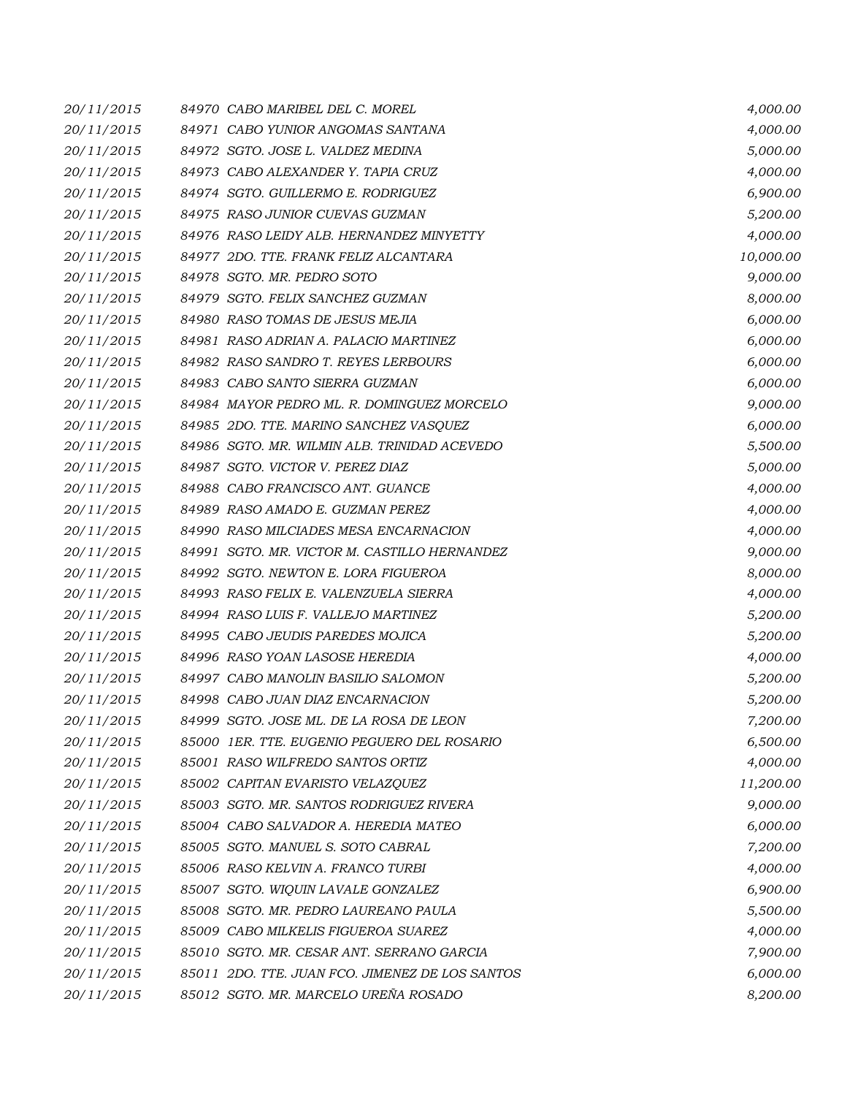| 20/11/2015 | 84970 CABO MARIBEL DEL C. MOREL                 | 4,000.00  |
|------------|-------------------------------------------------|-----------|
| 20/11/2015 | 84971 CABO YUNIOR ANGOMAS SANTANA               | 4,000.00  |
| 20/11/2015 | 84972 SGTO. JOSE L. VALDEZ MEDINA               | 5,000.00  |
| 20/11/2015 | 84973 CABO ALEXANDER Y. TAPIA CRUZ              | 4,000.00  |
| 20/11/2015 | 84974 SGTO. GUILLERMO E. RODRIGUEZ              | 6,900.00  |
| 20/11/2015 | 84975 RASO JUNIOR CUEVAS GUZMAN                 | 5,200.00  |
| 20/11/2015 | 84976 RASO LEIDY ALB. HERNANDEZ MINYETTY        | 4,000.00  |
| 20/11/2015 | 84977 2DO. TTE. FRANK FELIZ ALCANTARA           | 10,000.00 |
| 20/11/2015 | 84978 SGTO. MR. PEDRO SOTO                      | 9,000.00  |
| 20/11/2015 | 84979 SGTO. FELIX SANCHEZ GUZMAN                | 8,000.00  |
| 20/11/2015 | 84980 RASO TOMAS DE JESUS MEJIA                 | 6,000.00  |
| 20/11/2015 | 84981 RASO ADRIAN A. PALACIO MARTINEZ           | 6,000.00  |
| 20/11/2015 | 84982 RASO SANDRO T. REYES LERBOURS             | 6,000.00  |
| 20/11/2015 | 84983 CABO SANTO SIERRA GUZMAN                  | 6,000.00  |
| 20/11/2015 | 84984 MAYOR PEDRO ML. R. DOMINGUEZ MORCELO      | 9,000.00  |
| 20/11/2015 | 84985 2DO. TTE. MARINO SANCHEZ VASQUEZ          | 6,000.00  |
| 20/11/2015 | 84986 SGTO. MR. WILMIN ALB. TRINIDAD ACEVEDO    | 5,500.00  |
| 20/11/2015 | 84987 SGTO. VICTOR V. PEREZ DIAZ                | 5,000.00  |
| 20/11/2015 | 84988 CABO FRANCISCO ANT. GUANCE                | 4,000.00  |
| 20/11/2015 | 84989 RASO AMADO E. GUZMAN PEREZ                | 4,000.00  |
| 20/11/2015 | 84990 RASO MILCIADES MESA ENCARNACION           | 4,000.00  |
| 20/11/2015 | 84991 SGTO. MR. VICTOR M. CASTILLO HERNANDEZ    | 9,000.00  |
| 20/11/2015 | 84992 SGTO. NEWTON E. LORA FIGUEROA             | 8,000.00  |
| 20/11/2015 | 84993 RASO FELIX E. VALENZUELA SIERRA           | 4,000.00  |
| 20/11/2015 | 84994 RASO LUIS F. VALLEJO MARTINEZ             | 5,200.00  |
| 20/11/2015 | 84995 CABO JEUDIS PAREDES MOJICA                | 5,200.00  |
| 20/11/2015 | 84996 RASO YOAN LASOSE HEREDIA                  | 4,000.00  |
| 20/11/2015 | 84997 CABO MANOLIN BASILIO SALOMON              | 5,200.00  |
| 20/11/2015 | 84998 CABO JUAN DIAZ ENCARNACION                | 5,200.00  |
| 20/11/2015 | 84999 SGTO. JOSE ML. DE LA ROSA DE LEON         | 7,200.00  |
| 20/11/2015 | 85000 1ER. TTE. EUGENIO PEGUERO DEL ROSARIO     | 6,500.00  |
| 20/11/2015 | 85001 RASO WILFREDO SANTOS ORTIZ                | 4,000.00  |
| 20/11/2015 | 85002 CAPITAN EVARISTO VELAZQUEZ                | 11,200.00 |
| 20/11/2015 | 85003 SGTO. MR. SANTOS RODRIGUEZ RIVERA         | 9,000.00  |
| 20/11/2015 | 85004 CABO SALVADOR A. HEREDIA MATEO            | 6,000.00  |
| 20/11/2015 | 85005 SGTO. MANUEL S. SOTO CABRAL               | 7,200.00  |
| 20/11/2015 | 85006 RASO KELVIN A. FRANCO TURBI               | 4,000.00  |
| 20/11/2015 | 85007 SGTO. WIQUIN LAVALE GONZALEZ              | 6,900.00  |
| 20/11/2015 | 85008 SGTO. MR. PEDRO LAUREANO PAULA            | 5,500.00  |
| 20/11/2015 | 85009 CABO MILKELIS FIGUEROA SUAREZ             | 4,000.00  |
| 20/11/2015 | 85010 SGTO. MR. CESAR ANT. SERRANO GARCIA       | 7,900.00  |
| 20/11/2015 | 85011 2DO. TTE. JUAN FCO. JIMENEZ DE LOS SANTOS | 6,000.00  |
| 20/11/2015 | 85012 SGTO. MR. MARCELO UREÑA ROSADO            | 8,200.00  |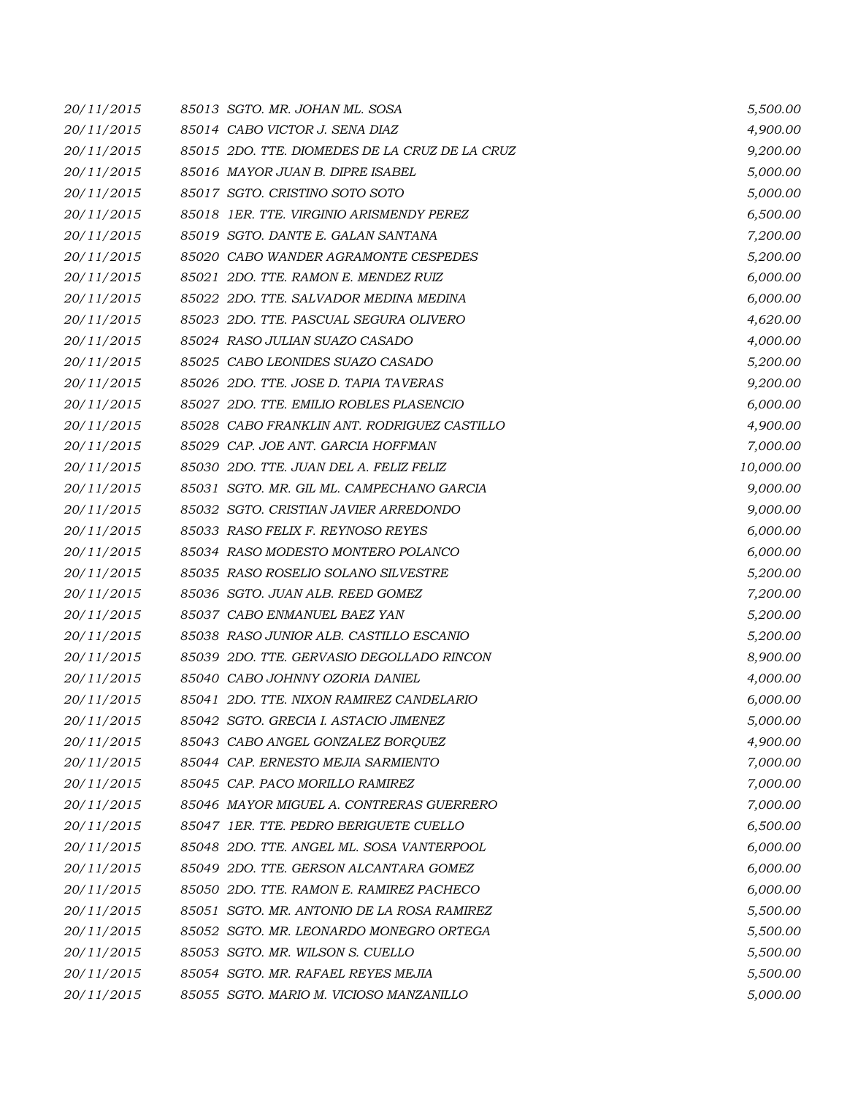| 20/11/2015 | 85013 SGTO. MR. JOHAN ML. SOSA                 | 5,500.00  |
|------------|------------------------------------------------|-----------|
| 20/11/2015 | 85014 CABO VICTOR J. SENA DIAZ                 | 4,900.00  |
| 20/11/2015 | 85015 2DO. TTE. DIOMEDES DE LA CRUZ DE LA CRUZ | 9,200.00  |
| 20/11/2015 | 85016 MAYOR JUAN B. DIPRE ISABEL               | 5,000.00  |
| 20/11/2015 | 85017 SGTO. CRISTINO SOTO SOTO                 | 5,000.00  |
| 20/11/2015 | 85018 1ER. TTE. VIRGINIO ARISMENDY PEREZ       | 6,500.00  |
| 20/11/2015 | 85019 SGTO, DANTE E. GALAN SANTANA             | 7,200.00  |
| 20/11/2015 | 85020 CABO WANDER AGRAMONTE CESPEDES           | 5,200.00  |
| 20/11/2015 | 85021 2DO. TTE, RAMON E. MENDEZ RUIZ           | 6,000.00  |
| 20/11/2015 | 85022 2DO. TTE. SALVADOR MEDINA MEDINA         | 6,000.00  |
| 20/11/2015 | 85023 2DO. TTE. PASCUAL SEGURA OLIVERO         | 4,620.00  |
| 20/11/2015 | 85024 RASO JULIAN SUAZO CASADO                 | 4,000.00  |
| 20/11/2015 | 85025 CABO LEONIDES SUAZO CASADO               | 5,200.00  |
| 20/11/2015 | 85026 2DO. TTE. JOSE D. TAPIA TAVERAS          | 9,200.00  |
| 20/11/2015 | 85027 2DO. TTE. EMILIO ROBLES PLASENCIO        | 6,000.00  |
| 20/11/2015 | 85028 CABO FRANKLIN ANT. RODRIGUEZ CASTILLO    | 4,900.00  |
| 20/11/2015 | 85029 CAP. JOE ANT. GARCIA HOFFMAN             | 7,000.00  |
| 20/11/2015 | 85030 2DO. TTE. JUAN DEL A. FELIZ FELIZ        | 10,000.00 |
| 20/11/2015 | 85031 SGTO. MR. GIL ML. CAMPECHANO GARCIA      | 9,000.00  |
| 20/11/2015 | 85032 SGTO. CRISTIAN JAVIER ARREDONDO          | 9,000.00  |
| 20/11/2015 | 85033 RASO FELIX F. REYNOSO REYES              | 6,000.00  |
| 20/11/2015 | 85034 RASO MODESTO MONTERO POLANCO             | 6,000.00  |
| 20/11/2015 | 85035 RASO ROSELIO SOLANO SILVESTRE            | 5,200.00  |
| 20/11/2015 | 85036 SGTO. JUAN ALB. REED GOMEZ               | 7,200.00  |
| 20/11/2015 | 85037 CABO ENMANUEL BAEZ YAN                   | 5,200.00  |
| 20/11/2015 | 85038 RASO JUNIOR ALB. CASTILLO ESCANIO        | 5,200.00  |
| 20/11/2015 | 85039 2DO. TTE, GERVASIO DEGOLLADO RINCON      | 8,900.00  |
| 20/11/2015 | 85040 CABO JOHNNY OZORIA DANIEL                | 4,000.00  |
| 20/11/2015 | 85041 2DO. TTE. NIXON RAMIREZ CANDELARIO       | 6,000.00  |
| 20/11/2015 | 85042 SGTO. GRECIA I. ASTACIO JIMENEZ          | 5,000.00  |
| 20/11/2015 | 85043 CABO ANGEL GONZALEZ BORQUEZ              | 4,900.00  |
| 20/11/2015 | 85044 CAP. ERNESTO MEJIA SARMIENTO             | 7,000.00  |
| 20/11/2015 | 85045 CAP. PACO MORILLO RAMIREZ                | 7,000.00  |
| 20/11/2015 | 85046 MAYOR MIGUEL A. CONTRERAS GUERRERO       | 7,000.00  |
| 20/11/2015 | 85047 1ER. TTE. PEDRO BERIGUETE CUELLO         | 6,500.00  |
| 20/11/2015 | 85048 2DO. TTE. ANGEL ML. SOSA VANTERPOOL      | 6,000.00  |
| 20/11/2015 | 85049 2DO. TTE, GERSON ALCANTARA GOMEZ         | 6,000.00  |
| 20/11/2015 | 85050 2DO. TTE. RAMON E. RAMIREZ PACHECO       | 6,000.00  |
| 20/11/2015 | 85051 SGTO. MR. ANTONIO DE LA ROSA RAMIREZ     | 5,500.00  |
| 20/11/2015 | 85052 SGTO. MR. LEONARDO MONEGRO ORTEGA        | 5,500.00  |
| 20/11/2015 | 85053 SGTO. MR. WILSON S. CUELLO               | 5,500.00  |
| 20/11/2015 | 85054 SGTO. MR. RAFAEL REYES MEJIA             | 5,500.00  |
| 20/11/2015 | 85055 SGTO. MARIO M. VICIOSO MANZANILLO        | 5,000.00  |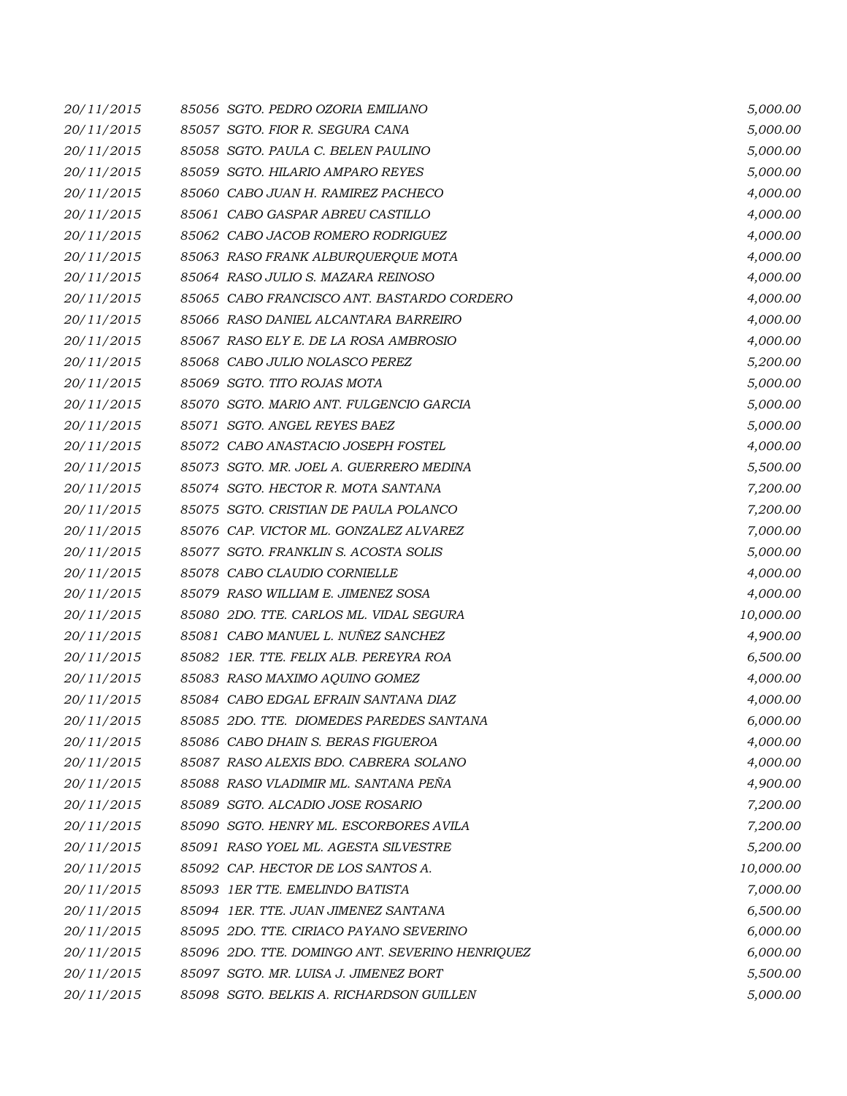| 20/11/2015 | 85056 SGTO. PEDRO OZORIA EMILIANO               | 5,000.00  |
|------------|-------------------------------------------------|-----------|
| 20/11/2015 | 85057 SGTO. FIOR R. SEGURA CANA                 | 5,000.00  |
| 20/11/2015 | 85058 SGTO. PAULA C. BELEN PAULINO              | 5,000.00  |
| 20/11/2015 | 85059 SGTO. HILARIO AMPARO REYES                | 5,000.00  |
| 20/11/2015 | 85060 CABO JUAN H. RAMIREZ PACHECO              | 4,000.00  |
| 20/11/2015 | 85061 CABO GASPAR ABREU CASTILLO                | 4,000.00  |
| 20/11/2015 | 85062 CABO JACOB ROMERO RODRIGUEZ               | 4,000.00  |
| 20/11/2015 | 85063 RASO FRANK ALBURQUERQUE MOTA              | 4,000.00  |
| 20/11/2015 | 85064 RASO JULIO S. MAZARA REINOSO              | 4,000.00  |
| 20/11/2015 | 85065 CABO FRANCISCO ANT. BASTARDO CORDERO      | 4,000.00  |
| 20/11/2015 | 85066 RASO DANIEL ALCANTARA BARREIRO            | 4,000.00  |
| 20/11/2015 | 85067 RASO ELY E. DE LA ROSA AMBROSIO           | 4,000.00  |
| 20/11/2015 | 85068 CABO JULIO NOLASCO PEREZ                  | 5,200.00  |
| 20/11/2015 | 85069 SGTO. TITO ROJAS MOTA                     | 5,000.00  |
| 20/11/2015 | 85070 SGTO. MARIO ANT. FULGENCIO GARCIA         | 5,000.00  |
| 20/11/2015 | 85071 SGTO. ANGEL REYES BAEZ                    | 5,000.00  |
| 20/11/2015 | 85072 CABO ANASTACIO JOSEPH FOSTEL              | 4,000.00  |
| 20/11/2015 | 85073 SGTO. MR. JOEL A. GUERRERO MEDINA         | 5,500.00  |
| 20/11/2015 | 85074 SGTO. HECTOR R. MOTA SANTANA              | 7,200.00  |
| 20/11/2015 | 85075 SGTO. CRISTIAN DE PAULA POLANCO           | 7,200.00  |
| 20/11/2015 | 85076 CAP. VICTOR ML. GONZALEZ ALVAREZ          | 7,000.00  |
| 20/11/2015 | 85077 SGTO. FRANKLIN S. ACOSTA SOLIS            | 5,000.00  |
| 20/11/2015 | 85078 CABO CLAUDIO CORNIELLE                    | 4,000.00  |
| 20/11/2015 | 85079 RASO WILLIAM E. JIMENEZ SOSA              | 4,000.00  |
| 20/11/2015 | 85080 2DO. TTE. CARLOS ML. VIDAL SEGURA         | 10,000.00 |
| 20/11/2015 | 85081 CABO MANUEL L. NUÑEZ SANCHEZ              | 4,900.00  |
| 20/11/2015 | 85082 IER. TTE, FELIX ALB. PEREYRA ROA          | 6,500.00  |
| 20/11/2015 | 85083 RASO MAXIMO AQUINO GOMEZ                  | 4,000.00  |
| 20/11/2015 | 85084 CABO EDGAL EFRAIN SANTANA DIAZ            | 4,000.00  |
| 20/11/2015 | 85085 2DO. TTE. DIOMEDES PAREDES SANTANA        | 6,000.00  |
| 20/11/2015 | 85086 CABO DHAIN S. BERAS FIGUEROA              | 4,000.00  |
| 20/11/2015 | 85087 RASO ALEXIS BDO. CABRERA SOLANO           | 4,000.00  |
| 20/11/2015 | 85088 RASO VLADIMIR ML. SANTANA PEÑA            | 4,900.00  |
| 20/11/2015 | 85089 SGTO. ALCADIO JOSE ROSARIO                | 7,200.00  |
| 20/11/2015 | 85090 SGTO. HENRY ML. ESCORBORES AVILA          | 7,200.00  |
| 20/11/2015 | 85091 RASO YOEL ML. AGESTA SILVESTRE            | 5,200.00  |
| 20/11/2015 | 85092 CAP. HECTOR DE LOS SANTOS A.              | 10,000.00 |
| 20/11/2015 | 85093 IER TTE. EMELINDO BATISTA                 | 7,000.00  |
| 20/11/2015 | 85094 1ER. TTE. JUAN JIMENEZ SANTANA            | 6,500.00  |
| 20/11/2015 | 85095 2DO. TTE. CIRIACO PAYANO SEVERINO         | 6,000.00  |
| 20/11/2015 | 85096 2DO. TTE. DOMINGO ANT. SEVERINO HENRIQUEZ | 6,000.00  |
| 20/11/2015 | 85097 SGTO. MR. LUISA J. JIMENEZ BORT           | 5,500.00  |
| 20/11/2015 | 85098 SGTO. BELKIS A. RICHARDSON GUILLEN        | 5,000.00  |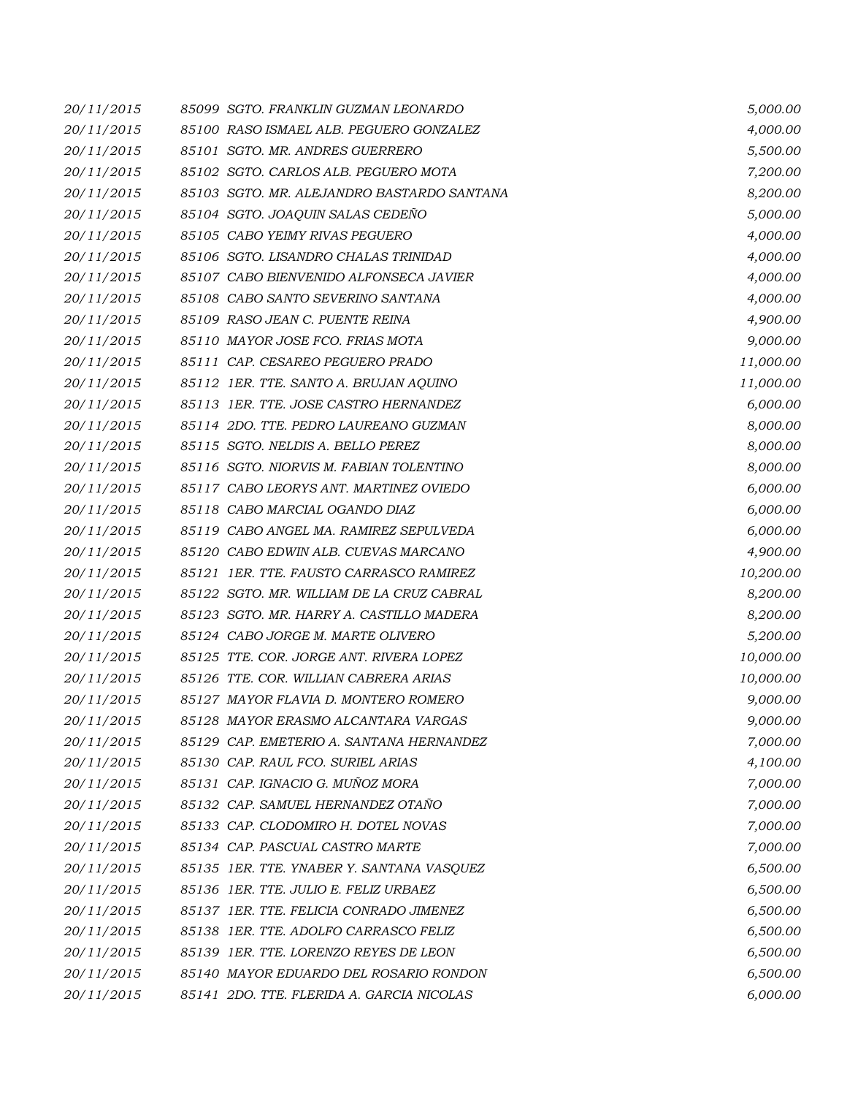| 20/11/2015 | 85099 SGTO. FRANKLIN GUZMAN LEONARDO       | 5,000.00  |
|------------|--------------------------------------------|-----------|
| 20/11/2015 | 85100 RASO ISMAEL ALB. PEGUERO GONZALEZ    | 4,000.00  |
| 20/11/2015 | 85101 SGTO. MR. ANDRES GUERRERO            | 5,500.00  |
| 20/11/2015 | 85102 SGTO. CARLOS ALB. PEGUERO MOTA       | 7,200.00  |
| 20/11/2015 | 85103 SGTO. MR. ALEJANDRO BASTARDO SANTANA | 8,200.00  |
| 20/11/2015 | 85104 SGTO. JOAQUIN SALAS CEDENO           | 5,000.00  |
| 20/11/2015 | 85105 CABO YEIMY RIVAS PEGUERO             | 4,000.00  |
| 20/11/2015 | 85106 SGTO. LISANDRO CHALAS TRINIDAD       | 4,000.00  |
| 20/11/2015 | 85107 CABO BIENVENIDO ALFONSECA JAVIER     | 4,000.00  |
| 20/11/2015 | 85108 CABO SANTO SEVERINO SANTANA          | 4,000.00  |
| 20/11/2015 | 85109 RASO JEAN C. PUENTE REINA            | 4,900.00  |
| 20/11/2015 | 85110 MAYOR JOSE FCO. FRIAS MOTA           | 9,000.00  |
| 20/11/2015 | 85111 CAP. CESAREO PEGUERO PRADO           | 11,000.00 |
| 20/11/2015 | 85112 IER. TTE. SANTO A. BRUJAN AQUINO     | 11,000.00 |
| 20/11/2015 | 85113 IER. TTE. JOSE CASTRO HERNANDEZ      | 6,000.00  |
| 20/11/2015 | 85114 2DO. TTE, PEDRO LAUREANO GUZMAN      | 8,000.00  |
| 20/11/2015 | 85115 SGTO. NELDIS A. BELLO PEREZ          | 8,000.00  |
| 20/11/2015 | 85116 SGTO. NIORVIS M. FABIAN TOLENTINO    | 8,000.00  |
| 20/11/2015 | 85117 CABO LEORYS ANT. MARTINEZ OVIEDO     | 6,000.00  |
| 20/11/2015 | 85118 CABO MARCIAL OGANDO DIAZ             | 6,000.00  |
| 20/11/2015 | 85119 CABO ANGEL MA. RAMIREZ SEPULVEDA     | 6,000.00  |
| 20/11/2015 | 85120 CABO EDWIN ALB. CUEVAS MARCANO       | 4,900.00  |
| 20/11/2015 | 85121 IER. TTE. FAUSTO CARRASCO RAMIREZ    | 10,200.00 |
| 20/11/2015 | 85122 SGTO. MR. WILLIAM DE LA CRUZ CABRAL  | 8,200.00  |
| 20/11/2015 | 85123 SGTO. MR. HARRY A. CASTILLO MADERA   | 8,200.00  |
| 20/11/2015 | 85124 CABO JORGE M. MARTE OLIVERO          | 5,200.00  |
| 20/11/2015 | 85125 TTE. COR. JORGE ANT. RIVERA LOPEZ    | 10,000.00 |
| 20/11/2015 | 85126 TTE. COR. WILLIAN CABRERA ARIAS      | 10,000.00 |
| 20/11/2015 | 85127 MAYOR FLAVIA D. MONTERO ROMERO       | 9,000.00  |
| 20/11/2015 | 85128 MAYOR ERASMO ALCANTARA VARGAS        | 9,000.00  |
| 20/11/2015 | 85129 CAP. EMETERIO A. SANTANA HERNANDEZ   | 7,000.00  |
| 20/11/2015 | 85130 CAP. RAUL FCO. SURIEL ARIAS          | 4,100.00  |
| 20/11/2015 | 85131 CAP. IGNACIO G. MUÑOZ MORA           | 7,000.00  |
| 20/11/2015 | 85132 CAP. SAMUEL HERNANDEZ OTAÑO          | 7,000.00  |
| 20/11/2015 | 85133 CAP. CLODOMIRO H. DOTEL NOVAS        | 7,000.00  |
| 20/11/2015 | 85134 CAP. PASCUAL CASTRO MARTE            | 7,000.00  |
| 20/11/2015 | 85135 IER. TTE. YNABER Y. SANTANA VASQUEZ  | 6,500.00  |
| 20/11/2015 | 85136 1ER. TTE. JULIO E. FELIZ URBAEZ      | 6,500.00  |
| 20/11/2015 | 85137 1ER. TTE. FELICIA CONRADO JIMENEZ    | 6,500.00  |
| 20/11/2015 | 85138 IER. TTE. ADOLFO CARRASCO FELIZ      | 6,500.00  |
| 20/11/2015 | 85139 1ER. TTE. LORENZO REYES DE LEON      | 6,500.00  |
| 20/11/2015 | 85140 MAYOR EDUARDO DEL ROSARIO RONDON     | 6,500.00  |
| 20/11/2015 | 85141 2DO. TTE. FLERIDA A. GARCIA NICOLAS  | 6,000.00  |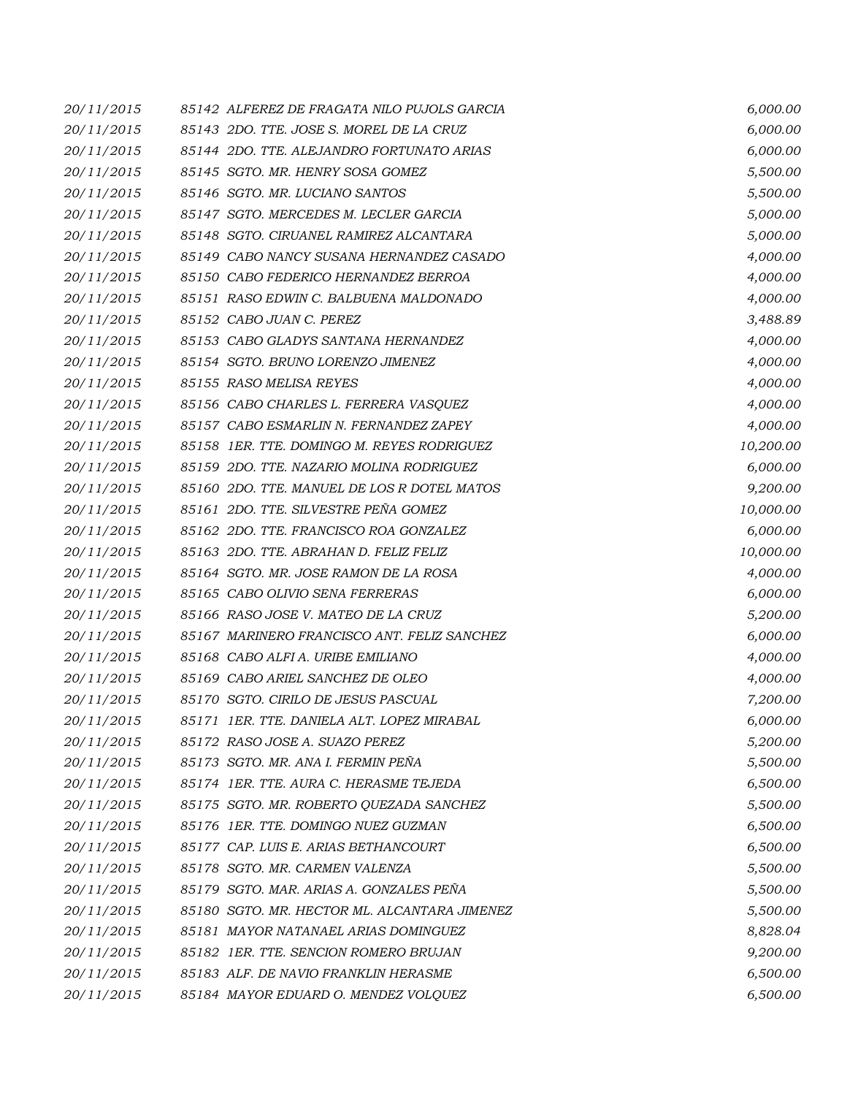| 20/11/2015 | 85142 ALFEREZ DE FRAGATA NILO PUJOLS GARCIA  | 6,000.00  |
|------------|----------------------------------------------|-----------|
| 20/11/2015 | 85143 2DO. TTE. JOSE S. MOREL DE LA CRUZ     | 6,000.00  |
| 20/11/2015 | 85144 2DO. TTE. ALEJANDRO FORTUNATO ARIAS    | 6,000.00  |
| 20/11/2015 | 85145 SGTO. MR. HENRY SOSA GOMEZ             | 5,500.00  |
| 20/11/2015 | 85146 SGTO. MR. LUCIANO SANTOS               | 5,500.00  |
| 20/11/2015 | 85147 SGTO. MERCEDES M. LECLER GARCIA        | 5,000.00  |
| 20/11/2015 | 85148 SGTO. CIRUANEL RAMIREZ ALCANTARA       | 5,000.00  |
| 20/11/2015 | 85149 CABO NANCY SUSANA HERNANDEZ CASADO     | 4,000.00  |
| 20/11/2015 | 85150 CABO FEDERICO HERNANDEZ BERROA         | 4,000.00  |
| 20/11/2015 | 85151 RASO EDWIN C. BALBUENA MALDONADO       | 4,000.00  |
| 20/11/2015 | 85152 CABO JUAN C. PEREZ                     | 3,488.89  |
| 20/11/2015 | 85153 CABO GLADYS SANTANA HERNANDEZ          | 4,000.00  |
| 20/11/2015 | 85154 SGTO. BRUNO LORENZO JIMENEZ            | 4,000.00  |
| 20/11/2015 | 85155 RASO MELISA REYES                      | 4,000.00  |
| 20/11/2015 | 85156 CABO CHARLES L. FERRERA VASQUEZ        | 4,000.00  |
| 20/11/2015 | 85157 CABO ESMARLIN N. FERNANDEZ ZAPEY       | 4,000.00  |
| 20/11/2015 | 85158 1ER. TTE. DOMINGO M. REYES RODRIGUEZ   | 10,200.00 |
| 20/11/2015 | 85159 2DO. TTE. NAZARIO MOLINA RODRIGUEZ     | 6,000.00  |
| 20/11/2015 | 85160 2DO. TTE. MANUEL DE LOS R DOTEL MATOS  | 9,200.00  |
| 20/11/2015 | 85161 2DO. TTE. SILVESTRE PEÑA GOMEZ         | 10,000.00 |
| 20/11/2015 | 85162 2DO. TTE. FRANCISCO ROA GONZALEZ       | 6,000.00  |
| 20/11/2015 | 85163 2DO. TTE. ABRAHAN D. FELIZ FELIZ       | 10,000.00 |
| 20/11/2015 | 85164 SGTO. MR. JOSE RAMON DE LA ROSA        | 4,000.00  |
| 20/11/2015 | 85165 CABO OLIVIO SENA FERRERAS              | 6,000.00  |
| 20/11/2015 | 85166 RASO JOSE V. MATEO DE LA CRUZ          | 5,200.00  |
| 20/11/2015 | 85167 MARINERO FRANCISCO ANT. FELIZ SANCHEZ  | 6,000.00  |
| 20/11/2015 | 85168 CABO ALFI A. URIBE EMILIANO            | 4,000.00  |
| 20/11/2015 | 85169 CABO ARIEL SANCHEZ DE OLEO             | 4,000.00  |
| 20/11/2015 | 85170 SGTO. CIRILO DE JESUS PASCUAL          | 7,200.00  |
| 20/11/2015 | 85171 IER. TTE. DANIELA ALT. LOPEZ MIRABAL   | 6,000.00  |
| 20/11/2015 | 85172 RASO JOSE A. SUAZO PEREZ               | 5,200.00  |
| 20/11/2015 | 85173 SGTO. MR. ANA I. FERMIN PEÑA           | 5,500.00  |
| 20/11/2015 | 85174 1ER. TTE, AURA C. HERASME TEJEDA       | 6,500.00  |
| 20/11/2015 | 85175 SGTO. MR. ROBERTO QUEZADA SANCHEZ      | 5,500.00  |
| 20/11/2015 | 85176 1ER. TTE. DOMINGO NUEZ GUZMAN          | 6,500.00  |
| 20/11/2015 | 85177 CAP. LUIS E. ARIAS BETHANCOURT         | 6,500.00  |
| 20/11/2015 | 85178 SGTO. MR. CARMEN VALENZA               | 5,500.00  |
| 20/11/2015 | 85179 SGTO. MAR. ARIAS A. GONZALES PEÑA      | 5,500.00  |
| 20/11/2015 | 85180 SGTO. MR. HECTOR ML. ALCANTARA JIMENEZ | 5,500.00  |
| 20/11/2015 | 85181 MAYOR NATANAEL ARIAS DOMINGUEZ         | 8,828.04  |
| 20/11/2015 | 85182 1ER. TTE. SENCION ROMERO BRUJAN        | 9,200.00  |
| 20/11/2015 | 85183 ALF. DE NAVIO FRANKLIN HERASME         | 6,500.00  |
| 20/11/2015 | 85184 MAYOR EDUARD O. MENDEZ VOLQUEZ         | 6,500.00  |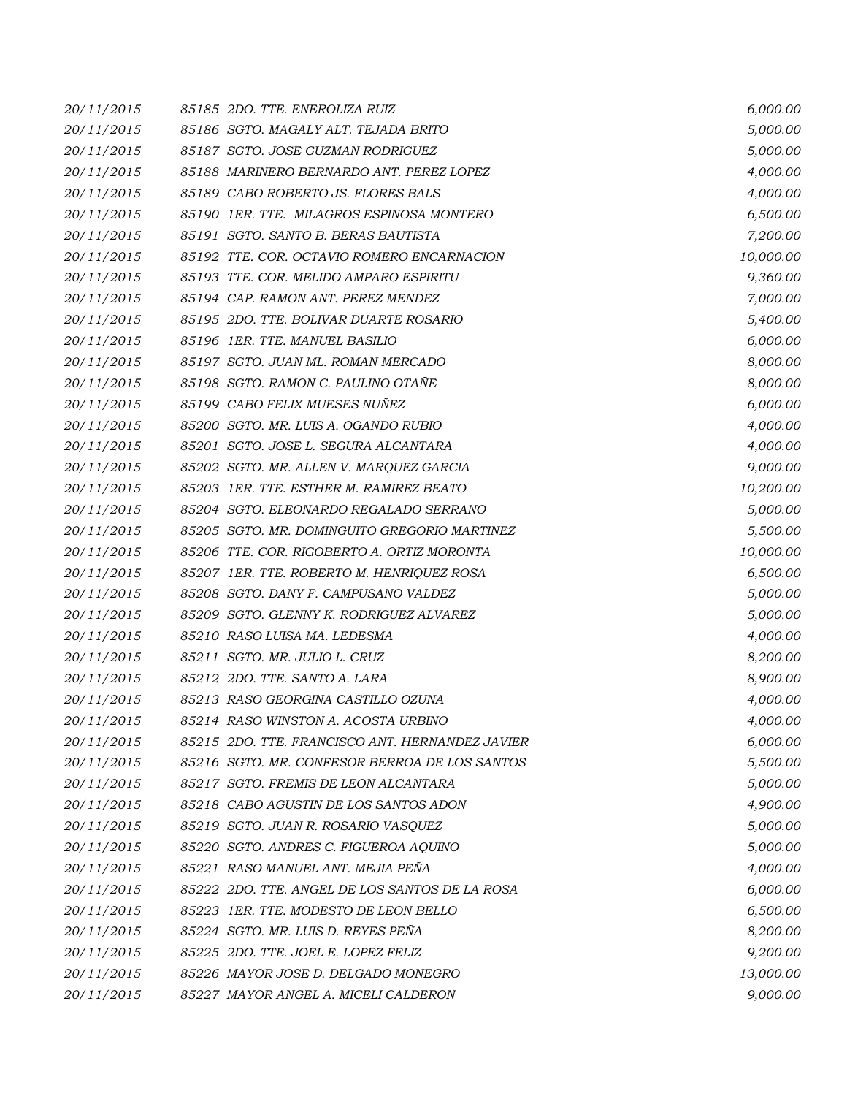| 20/11/2015 | 85185 2DO. TTE. ENEROLIZA RUIZ                  | 6,000.00  |
|------------|-------------------------------------------------|-----------|
| 20/11/2015 | 85186 SGTO. MAGALY ALT. TEJADA BRITO            | 5,000.00  |
| 20/11/2015 | 85187 SGTO. JOSE GUZMAN RODRIGUEZ               | 5,000.00  |
| 20/11/2015 | 85188 MARINERO BERNARDO ANT. PEREZ LOPEZ        | 4,000.00  |
| 20/11/2015 | 85189 CABO ROBERTO JS. FLORES BALS              | 4,000.00  |
| 20/11/2015 | 85190 1ER. TTE. MILAGROS ESPINOSA MONTERO       | 6,500.00  |
| 20/11/2015 | 85191 SGTO. SANTO B. BERAS BAUTISTA             | 7,200.00  |
| 20/11/2015 | 85192 TTE. COR. OCTAVIO ROMERO ENCARNACION      | 10,000.00 |
| 20/11/2015 | 85193 TTE. COR. MELIDO AMPARO ESPIRITU          | 9,360.00  |
| 20/11/2015 | 85194 CAP. RAMON ANT. PEREZ MENDEZ              | 7,000.00  |
| 20/11/2015 | 85195 2DO. TTE. BOLIVAR DUARTE ROSARIO          | 5,400.00  |
| 20/11/2015 | 85196 1ER. TTE. MANUEL BASILIO                  | 6,000.00  |
| 20/11/2015 | 85197 SGTO. JUAN ML. ROMAN MERCADO              | 8,000.00  |
| 20/11/2015 | 85198 SGTO. RAMON C. PAULINO OTAÑE              | 8,000.00  |
| 20/11/2015 | 85199 CABO FELIX MUESES NUÑEZ                   | 6,000.00  |
| 20/11/2015 | 85200 SGTO. MR. LUIS A. OGANDO RUBIO            | 4,000.00  |
| 20/11/2015 | 85201 SGTO. JOSE L. SEGURA ALCANTARA            | 4,000.00  |
| 20/11/2015 | 85202 SGTO. MR. ALLEN V. MARQUEZ GARCIA         | 9,000.00  |
| 20/11/2015 | 85203 IER. TTE. ESTHER M. RAMIREZ BEATO         | 10,200.00 |
| 20/11/2015 | 85204 SGTO. ELEONARDO REGALADO SERRANO          | 5,000.00  |
| 20/11/2015 | 85205 SGTO. MR. DOMINGUITO GREGORIO MARTINEZ    | 5,500.00  |
| 20/11/2015 | 85206 TTE. COR. RIGOBERTO A. ORTIZ MORONTA      | 10,000.00 |
| 20/11/2015 | 85207 1ER. TTE. ROBERTO M. HENRIQUEZ ROSA       | 6,500.00  |
| 20/11/2015 | 85208 SGTO. DANY F. CAMPUSANO VALDEZ            | 5,000.00  |
| 20/11/2015 | 85209 SGTO. GLENNY K. RODRIGUEZ ALVAREZ         | 5,000.00  |
| 20/11/2015 | 85210 RASO LUISA MA. LEDESMA                    | 4,000.00  |
| 20/11/2015 | 85211 SGTO. MR. JULIO L. CRUZ                   | 8,200.00  |
| 20/11/2015 | 85212 2DO. TTE. SANTO A. LARA                   | 8,900.00  |
| 20/11/2015 | 85213 RASO GEORGINA CASTILLO OZUNA              | 4,000.00  |
| 20/11/2015 | 85214 RASO WINSTON A. ACOSTA URBINO             | 4,000.00  |
| 20/11/2015 | 85215 2DO. TTE, FRANCISCO ANT, HERNANDEZ JAVIER | 6,000.00  |
| 20/11/2015 | 85216 SGTO. MR. CONFESOR BERROA DE LOS SANTOS   | 5,500.00  |
| 20/11/2015 | 85217 SGTO. FREMIS DE LEON ALCANTARA            | 5,000.00  |
| 20/11/2015 | 85218 CABO AGUSTIN DE LOS SANTOS ADON           | 4,900.00  |
| 20/11/2015 | 85219 SGTO. JUAN R. ROSARIO VASQUEZ             | 5,000.00  |
| 20/11/2015 | 85220 SGTO. ANDRES C. FIGUEROA AQUINO           | 5,000.00  |
| 20/11/2015 | 85221 RASO MANUEL ANT. MEJIA PEÑA               | 4,000.00  |
| 20/11/2015 | 85222 2DO. TTE. ANGEL DE LOS SANTOS DE LA ROSA  | 6,000.00  |
| 20/11/2015 | 85223 IER. TTE. MODESTO DE LEON BELLO           | 6,500.00  |
| 20/11/2015 | 85224 SGTO. MR. LUIS D. REYES PEÑA              | 8,200.00  |
| 20/11/2015 | 85225 2DO. TTE. JOEL E. LOPEZ FELIZ             | 9,200.00  |
| 20/11/2015 | 85226 MAYOR JOSE D. DELGADO MONEGRO             | 13,000.00 |
| 20/11/2015 | 85227 MAYOR ANGEL A. MICELI CALDERON            | 9,000.00  |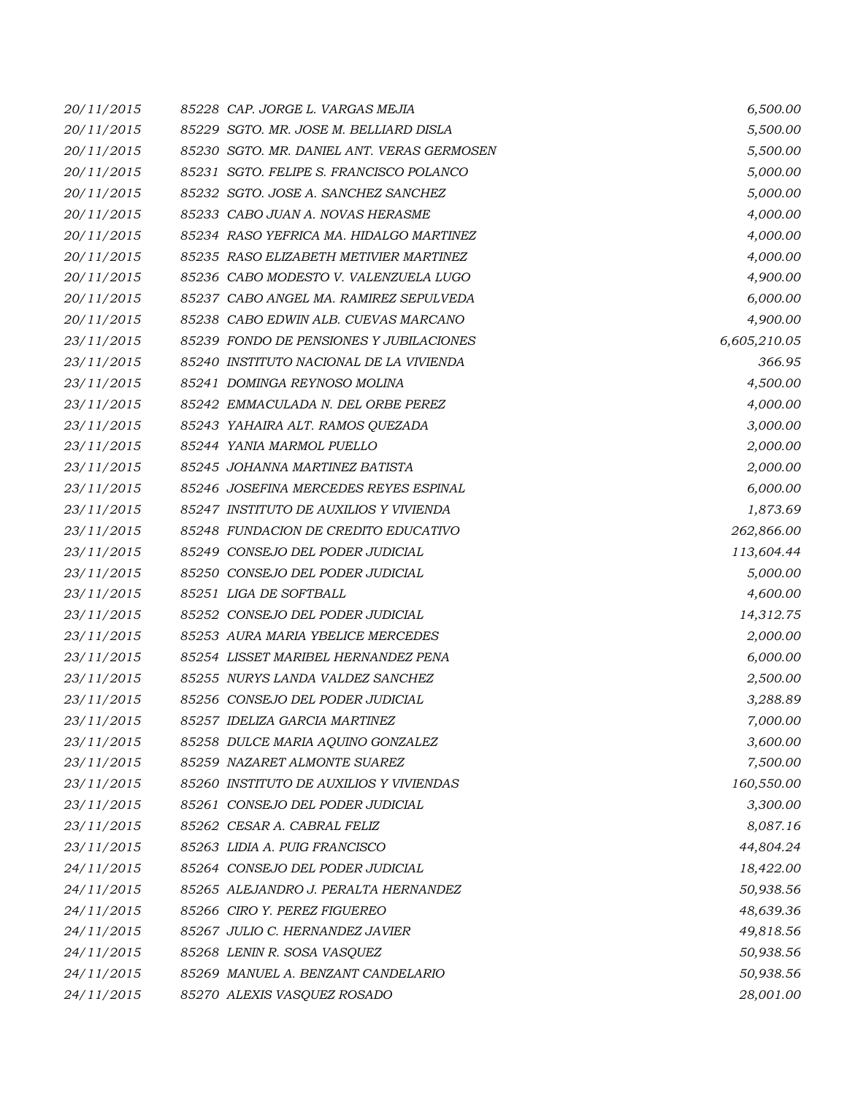| 20/11/2015 | 85228 CAP. JORGE L. VARGAS MEJIA           | 6,500.00     |
|------------|--------------------------------------------|--------------|
| 20/11/2015 | 85229 SGTO. MR. JOSE M. BELLIARD DISLA     | 5,500.00     |
| 20/11/2015 | 85230 SGTO. MR. DANIEL ANT. VERAS GERMOSEN | 5,500.00     |
| 20/11/2015 | 85231 SGTO. FELIPE S. FRANCISCO POLANCO    | 5,000.00     |
| 20/11/2015 | 85232 SGTO, JOSE A. SANCHEZ SANCHEZ        | 5,000.00     |
| 20/11/2015 | 85233 CABO JUAN A. NOVAS HERASME           | 4,000.00     |
| 20/11/2015 | 85234 RASO YEFRICA MA. HIDALGO MARTINEZ    | 4,000.00     |
| 20/11/2015 | 85235 RASO ELIZABETH METIVIER MARTINEZ     | 4,000.00     |
| 20/11/2015 | 85236 CABO MODESTO V. VALENZUELA LUGO      | 4,900.00     |
| 20/11/2015 | 85237 CABO ANGEL MA. RAMIREZ SEPULVEDA     | 6,000.00     |
| 20/11/2015 | 85238 CABO EDWIN ALB. CUEVAS MARCANO       | 4,900.00     |
| 23/11/2015 | 85239 FONDO DE PENSIONES Y JUBILACIONES    | 6,605,210.05 |
| 23/11/2015 | 85240 INSTITUTO NACIONAL DE LA VIVIENDA    | 366.95       |
| 23/11/2015 | 85241 DOMINGA REYNOSO MOLINA               | 4,500.00     |
| 23/11/2015 | 85242 EMMACULADA N. DEL ORBE PEREZ         | 4,000.00     |
| 23/11/2015 | 85243 YAHAIRA ALT. RAMOS QUEZADA           | 3,000.00     |
| 23/11/2015 | 85244 YANIA MARMOL PUELLO                  | 2,000.00     |
| 23/11/2015 | 85245 JOHANNA MARTINEZ BATISTA             | 2,000.00     |
| 23/11/2015 | 85246 JOSEFINA MERCEDES REYES ESPINAL      | 6,000.00     |
| 23/11/2015 | 85247 INSTITUTO DE AUXILIOS Y VIVIENDA     | 1,873.69     |
| 23/11/2015 | 85248 FUNDACION DE CREDITO EDUCATIVO       | 262,866.00   |
| 23/11/2015 | 85249 CONSEJO DEL PODER JUDICIAL           | 113,604.44   |
| 23/11/2015 | 85250 CONSEJO DEL PODER JUDICIAL           | 5,000.00     |
| 23/11/2015 | 85251 LIGA DE SOFTBALL                     | 4,600.00     |
| 23/11/2015 | 85252 CONSEJO DEL PODER JUDICIAL           | 14,312.75    |
| 23/11/2015 | 85253 AURA MARIA YBELICE MERCEDES          | 2,000.00     |
| 23/11/2015 | 85254 LISSET MARIBEL HERNANDEZ PENA        | 6,000.00     |
| 23/11/2015 | 85255 NURYS LANDA VALDEZ SANCHEZ           | 2,500.00     |
| 23/11/2015 | 85256 CONSEJO DEL PODER JUDICIAL           | 3,288.89     |
| 23/11/2015 | 85257 IDELIZA GARCIA MARTINEZ              | 7,000.00     |
| 23/11/2015 | 85258 DULCE MARIA AQUINO GONZALEZ          | 3,600.00     |
| 23/11/2015 | 85259 NAZARET ALMONTE SUAREZ               | 7,500.00     |
| 23/11/2015 | 85260 INSTITUTO DE AUXILIOS Y VIVIENDAS    | 160,550.00   |
| 23/11/2015 | 85261 CONSEJO DEL PODER JUDICIAL           | 3,300.00     |
| 23/11/2015 | 85262 CESAR A. CABRAL FELIZ                | 8,087.16     |
| 23/11/2015 | 85263 LIDIA A. PUIG FRANCISCO              | 44,804.24    |
| 24/11/2015 | 85264 CONSEJO DEL PODER JUDICIAL           | 18,422.00    |
| 24/11/2015 | 85265 ALEJANDRO J. PERALTA HERNANDEZ       | 50,938.56    |
| 24/11/2015 | 85266 CIRO Y. PEREZ FIGUEREO               | 48,639.36    |
| 24/11/2015 | 85267 JULIO C. HERNANDEZ JAVIER            | 49,818.56    |
| 24/11/2015 | 85268 LENIN R. SOSA VASQUEZ                | 50,938.56    |
| 24/11/2015 | 85269 MANUEL A. BENZANT CANDELARIO         | 50,938.56    |
| 24/11/2015 | 85270 ALEXIS VASQUEZ ROSADO                | 28,001.00    |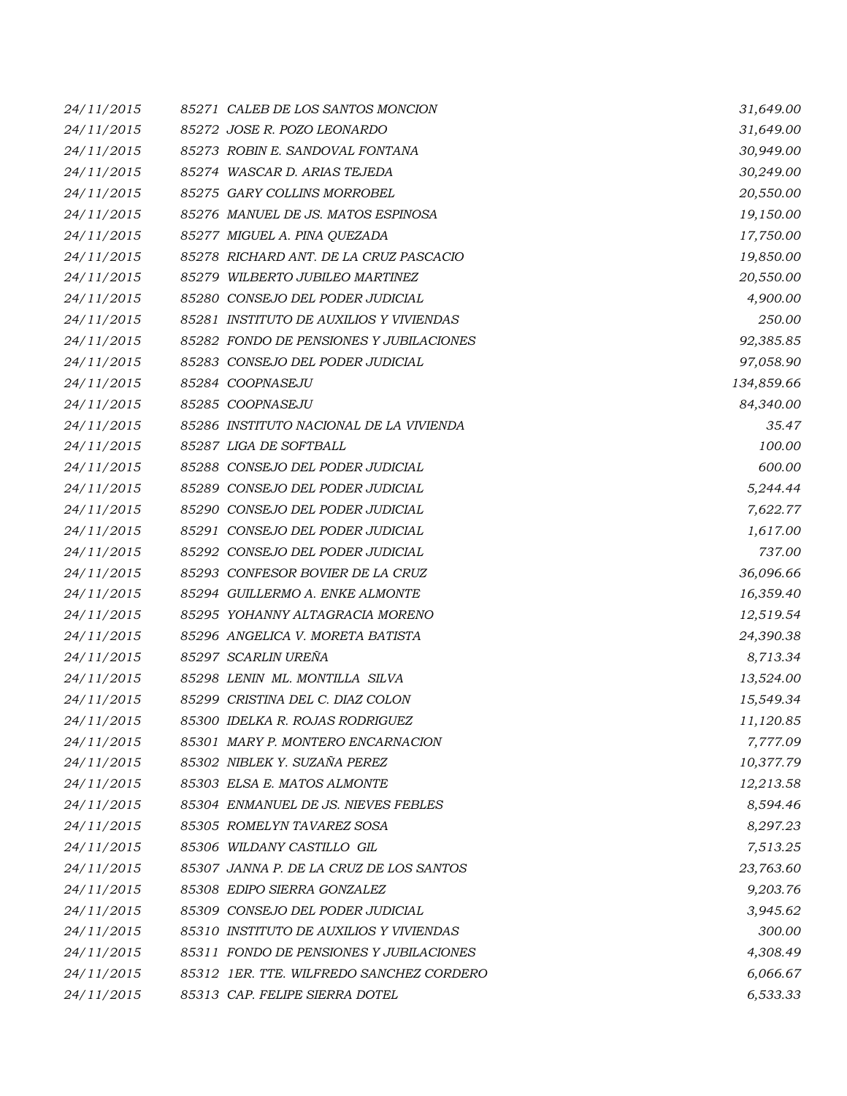| 24/11/2015 | 85271 CALEB DE LOS SANTOS MONCION        | 31,649.00  |
|------------|------------------------------------------|------------|
| 24/11/2015 | 85272 JOSE R. POZO LEONARDO              | 31,649.00  |
| 24/11/2015 | 85273 ROBIN E. SANDOVAL FONTANA          | 30,949.00  |
| 24/11/2015 | 85274 WASCAR D. ARIAS TEJEDA             | 30,249.00  |
| 24/11/2015 | 85275 GARY COLLINS MORROBEL              | 20,550.00  |
| 24/11/2015 | 85276 MANUEL DE JS. MATOS ESPINOSA       | 19,150.00  |
| 24/11/2015 | 85277 MIGUEL A. PINA QUEZADA             | 17,750.00  |
| 24/11/2015 | 85278 RICHARD ANT. DE LA CRUZ PASCACIO   | 19,850.00  |
| 24/11/2015 | 85279 WILBERTO JUBILEO MARTINEZ          | 20,550.00  |
| 24/11/2015 | 85280 CONSEJO DEL PODER JUDICIAL         | 4,900.00   |
| 24/11/2015 | 85281 INSTITUTO DE AUXILIOS Y VIVIENDAS  | 250.00     |
| 24/11/2015 | 85282 FONDO DE PENSIONES Y JUBILACIONES  | 92,385.85  |
| 24/11/2015 | 85283 CONSEJO DEL PODER JUDICIAL         | 97,058.90  |
| 24/11/2015 | 85284 COOPNASEJU                         | 134,859.66 |
| 24/11/2015 | 85285 COOPNASEJU                         | 84,340.00  |
| 24/11/2015 | 85286 INSTITUTO NACIONAL DE LA VIVIENDA  | 35.47      |
| 24/11/2015 | 85287 LIGA DE SOFTBALL                   | 100.00     |
| 24/11/2015 | 85288 CONSEJO DEL PODER JUDICIAL         | 600.00     |
| 24/11/2015 | 85289 CONSEJO DEL PODER JUDICIAL         | 5,244.44   |
| 24/11/2015 | 85290 CONSEJO DEL PODER JUDICIAL         | 7,622.77   |
| 24/11/2015 | 85291 CONSEJO DEL PODER JUDICIAL         | 1,617.00   |
| 24/11/2015 | 85292 CONSEJO DEL PODER JUDICIAL         | 737.00     |
| 24/11/2015 | 85293 CONFESOR BOVIER DE LA CRUZ         | 36,096.66  |
| 24/11/2015 | 85294 GUILLERMO A. ENKE ALMONTE          | 16,359.40  |
| 24/11/2015 | 85295 YOHANNY ALTAGRACIA MORENO          | 12,519.54  |
| 24/11/2015 | 85296 ANGELICA V. MORETA BATISTA         | 24,390.38  |
| 24/11/2015 | 85297 SCARLIN UREÑA                      | 8,713.34   |
| 24/11/2015 | 85298 LENIN ML. MONTILLA SILVA           | 13,524.00  |
| 24/11/2015 | 85299 CRISTINA DEL C. DIAZ COLON         | 15,549.34  |
| 24/11/2015 | 85300 IDELKA R. ROJAS RODRIGUEZ          | 11,120.85  |
| 24/11/2015 | 85301 MARY P. MONTERO ENCARNACION        | 7,777.09   |
| 24/11/2015 | 85302 NIBLEK Y. SUZAÑA PEREZ             | 10,377.79  |
| 24/11/2015 | 85303 ELSA E. MATOS ALMONTE              | 12,213.58  |
| 24/11/2015 | 85304 ENMANUEL DE JS. NIEVES FEBLES      | 8,594.46   |
| 24/11/2015 | 85305 ROMELYN TAVAREZ SOSA               | 8,297.23   |
| 24/11/2015 | 85306 WILDANY CASTILLO GIL               | 7,513.25   |
| 24/11/2015 | 85307 JANNA P. DE LA CRUZ DE LOS SANTOS  | 23,763.60  |
| 24/11/2015 | 85308 EDIPO SIERRA GONZALEZ              | 9,203.76   |
| 24/11/2015 | 85309 CONSEJO DEL PODER JUDICIAL         | 3,945.62   |
| 24/11/2015 | 85310 INSTITUTO DE AUXILIOS Y VIVIENDAS  | 300.00     |
| 24/11/2015 | 85311 FONDO DE PENSIONES Y JUBILACIONES  | 4,308.49   |
| 24/11/2015 | 85312 IER. TTE. WILFREDO SANCHEZ CORDERO | 6,066.67   |
| 24/11/2015 | 85313 CAP. FELIPE SIERRA DOTEL           | 6,533.33   |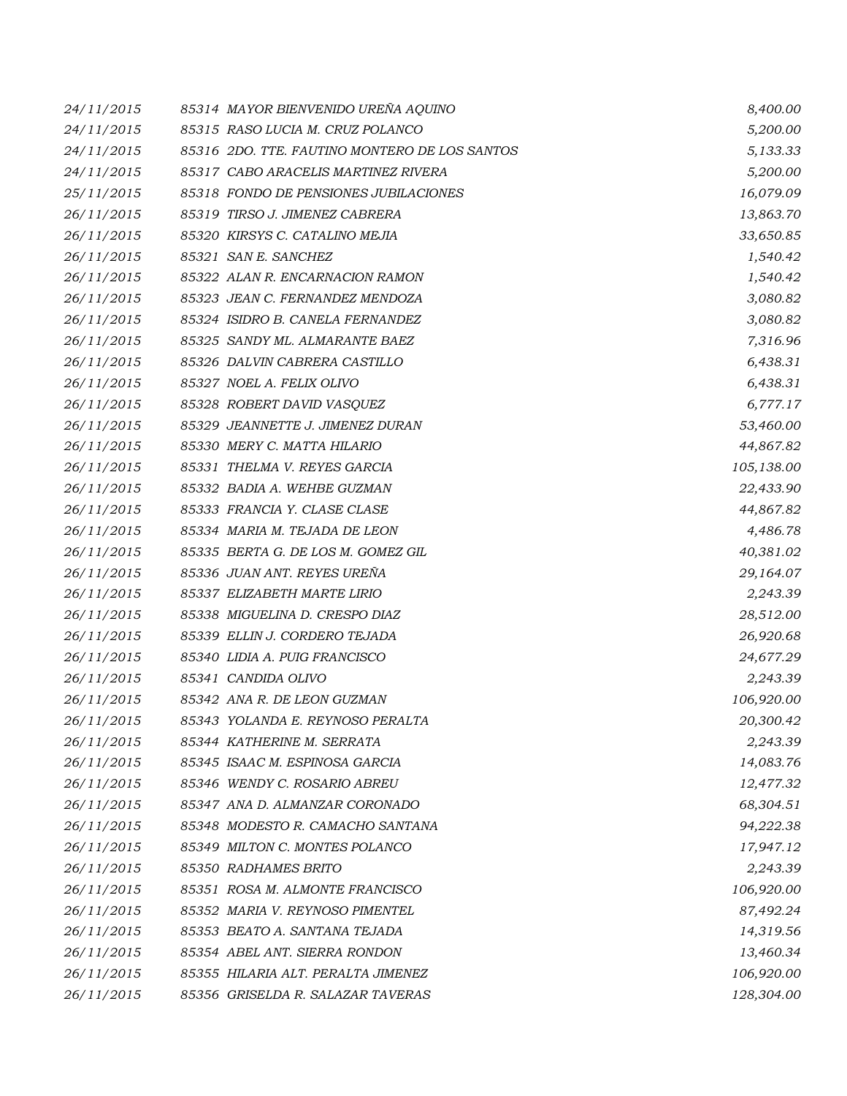| 24/11/2015 | 85314 MAYOR BIENVENIDO UREÑA AQUINO           | 8,400.00   |
|------------|-----------------------------------------------|------------|
| 24/11/2015 | 85315 RASO LUCIA M. CRUZ POLANCO              | 5,200.00   |
| 24/11/2015 | 85316 2DO. TTE. FAUTINO MONTERO DE LOS SANTOS | 5,133.33   |
| 24/11/2015 | 85317 CABO ARACELIS MARTINEZ RIVERA           | 5,200.00   |
| 25/11/2015 | 85318 FONDO DE PENSIONES JUBILACIONES         | 16,079.09  |
| 26/11/2015 | 85319 TIRSO J. JIMENEZ CABRERA                | 13,863.70  |
| 26/11/2015 | 85320 KIRSYS C. CATALINO MEJIA                | 33,650.85  |
| 26/11/2015 | 85321 SAN E. SANCHEZ                          | 1,540.42   |
| 26/11/2015 | 85322 ALAN R. ENCARNACION RAMON               | 1,540.42   |
| 26/11/2015 | 85323 JEAN C. FERNANDEZ MENDOZA               | 3,080.82   |
| 26/11/2015 | 85324 ISIDRO B. CANELA FERNANDEZ              | 3,080.82   |
| 26/11/2015 | 85325 SANDY ML. ALMARANTE BAEZ                | 7,316.96   |
| 26/11/2015 | 85326 DALVIN CABRERA CASTILLO                 | 6,438.31   |
| 26/11/2015 | 85327 NOEL A. FELIX OLIVO                     | 6,438.31   |
| 26/11/2015 | 85328 ROBERT DAVID VASQUEZ                    | 6,777.17   |
| 26/11/2015 | 85329 JEANNETTE J. JIMENEZ DURAN              | 53,460.00  |
| 26/11/2015 | 85330 MERY C. MATTA HILARIO                   | 44,867.82  |
| 26/11/2015 | 85331 THELMA V. REYES GARCIA                  | 105,138.00 |
| 26/11/2015 | 85332 BADIA A. WEHBE GUZMAN                   | 22,433.90  |
| 26/11/2015 | 85333 FRANCIA Y. CLASE CLASE                  | 44,867.82  |
| 26/11/2015 | 85334 MARIA M. TEJADA DE LEON                 | 4,486.78   |
| 26/11/2015 | 85335 BERTA G. DE LOS M. GOMEZ GIL            | 40,381.02  |
| 26/11/2015 | 85336 JUAN ANT. REYES UREÑA                   | 29,164.07  |
| 26/11/2015 | 85337 ELIZABETH MARTE LIRIO                   | 2,243.39   |
| 26/11/2015 | 85338 MIGUELINA D. CRESPO DIAZ                | 28,512.00  |
| 26/11/2015 | 85339 ELLIN J. CORDERO TEJADA                 | 26,920.68  |
| 26/11/2015 | 85340 LIDIA A. PUIG FRANCISCO                 | 24,677.29  |
| 26/11/2015 | 85341 CANDIDA OLIVO                           | 2,243.39   |
| 26/11/2015 | 85342 ANA R. DE LEON GUZMAN                   | 106,920.00 |
| 26/11/2015 | 85343 YOLANDA E. REYNOSO PERALTA              | 20,300.42  |
| 26/11/2015 | 85344 KATHERINE M. SERRATA                    | 2,243.39   |
| 26/11/2015 | 85345 ISAAC M. ESPINOSA GARCIA                | 14,083.76  |
| 26/11/2015 | 85346 WENDY C. ROSARIO ABREU                  | 12,477.32  |
| 26/11/2015 | 85347 ANA D. ALMANZAR CORONADO                | 68,304.51  |
| 26/11/2015 | 85348 MODESTO R. CAMACHO SANTANA              | 94,222.38  |
| 26/11/2015 | 85349 MILTON C. MONTES POLANCO                | 17,947.12  |
| 26/11/2015 | 85350 RADHAMES BRITO                          | 2,243.39   |
| 26/11/2015 | 85351 ROSA M. ALMONTE FRANCISCO               | 106,920.00 |
| 26/11/2015 | 85352 MARIA V. REYNOSO PIMENTEL               | 87,492.24  |
| 26/11/2015 | 85353 BEATO A. SANTANA TEJADA                 | 14,319.56  |
| 26/11/2015 | 85354 ABEL ANT. SIERRA RONDON                 | 13,460.34  |
| 26/11/2015 | 85355 HILARIA ALT. PERALTA JIMENEZ            | 106,920.00 |
| 26/11/2015 | 85356 GRISELDA R. SALAZAR TAVERAS             | 128,304.00 |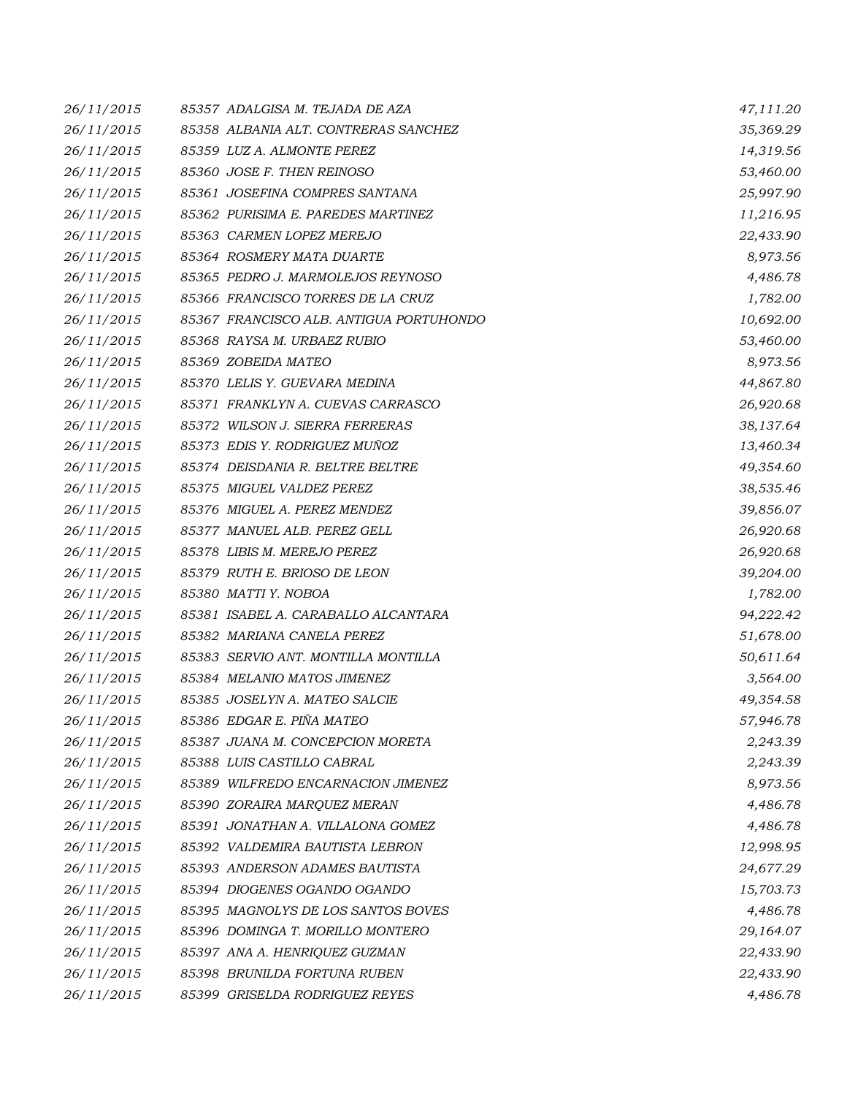| 26/11/2015 | 85357 ADALGISA M. TEJADA DE AZA         | 47,111.20 |
|------------|-----------------------------------------|-----------|
| 26/11/2015 | 85358 ALBANIA ALT. CONTRERAS SANCHEZ    | 35,369.29 |
| 26/11/2015 | 85359 LUZ A. ALMONTE PEREZ              | 14,319.56 |
| 26/11/2015 | 85360 JOSE F. THEN REINOSO              | 53,460.00 |
| 26/11/2015 | 85361 JOSEFINA COMPRES SANTANA          | 25,997.90 |
| 26/11/2015 | 85362 PURISIMA E. PAREDES MARTINEZ      | 11,216.95 |
| 26/11/2015 | 85363 CARMEN LOPEZ MEREJO               | 22,433.90 |
| 26/11/2015 | 85364 ROSMERY MATA DUARTE               | 8,973.56  |
| 26/11/2015 | 85365 PEDRO J. MARMOLEJOS REYNOSO       | 4,486.78  |
| 26/11/2015 | 85366 FRANCISCO TORRES DE LA CRUZ       | 1,782.00  |
| 26/11/2015 | 85367 FRANCISCO ALB. ANTIGUA PORTUHONDO | 10,692.00 |
| 26/11/2015 | 85368 RAYSA M. URBAEZ RUBIO             | 53,460.00 |
| 26/11/2015 | 85369 ZOBEIDA MATEO                     | 8,973.56  |
| 26/11/2015 | 85370 LELIS Y. GUEVARA MEDINA           | 44,867.80 |
| 26/11/2015 | 85371 FRANKLYN A. CUEVAS CARRASCO       | 26,920.68 |
| 26/11/2015 | 85372 WILSON J. SIERRA FERRERAS         | 38,137.64 |
| 26/11/2015 | 85373 EDIS Y. RODRIGUEZ MUÑOZ           | 13,460.34 |
| 26/11/2015 | 85374 DEISDANIA R. BELTRE BELTRE        | 49,354.60 |
| 26/11/2015 | 85375 MIGUEL VALDEZ PEREZ               | 38,535.46 |
| 26/11/2015 | 85376 MIGUEL A. PEREZ MENDEZ            | 39,856.07 |
| 26/11/2015 | 85377 MANUEL ALB. PEREZ GELL            | 26,920.68 |
| 26/11/2015 | 85378 LIBIS M. MEREJO PEREZ             | 26,920.68 |
| 26/11/2015 | 85379 RUTH E. BRIOSO DE LEON            | 39,204.00 |
| 26/11/2015 | 85380 MATTI Y. NOBOA                    | 1,782.00  |
| 26/11/2015 | 85381 ISABEL A. CARABALLO ALCANTARA     | 94,222.42 |
| 26/11/2015 | 85382 MARIANA CANELA PEREZ              | 51,678.00 |
| 26/11/2015 | 85383 SERVIO ANT. MONTILLA MONTILLA     | 50,611.64 |
| 26/11/2015 | 85384 MELANIO MATOS JIMENEZ             | 3,564.00  |
| 26/11/2015 | 85385 JOSELYN A. MATEO SALCIE           | 49,354.58 |
| 26/11/2015 | 85386 EDGAR E. PIÑA MATEO               | 57,946.78 |
| 26/11/2015 | 85387 JUANA M. CONCEPCION MORETA        | 2,243.39  |
| 26/11/2015 | 85388 LUIS CASTILLO CABRAL              | 2,243.39  |
| 26/11/2015 | 85389 WILFREDO ENCARNACION JIMENEZ      | 8,973.56  |
| 26/11/2015 | 85390 ZORAIRA MARQUEZ MERAN             | 4,486.78  |
| 26/11/2015 | 85391 JONATHAN A. VILLALONA GOMEZ       | 4,486.78  |
| 26/11/2015 | 85392 VALDEMIRA BAUTISTA LEBRON         | 12,998.95 |
| 26/11/2015 | 85393 ANDERSON ADAMES BAUTISTA          | 24,677.29 |
| 26/11/2015 | 85394 DIOGENES OGANDO OGANDO            | 15,703.73 |
| 26/11/2015 | 85395 MAGNOLYS DE LOS SANTOS BOVES      | 4,486.78  |
| 26/11/2015 | 85396 DOMINGA T. MORILLO MONTERO        | 29,164.07 |
| 26/11/2015 | 85397 ANA A. HENRIQUEZ GUZMAN           | 22,433.90 |
| 26/11/2015 | 85398 BRUNILDA FORTUNA RUBEN            | 22,433.90 |
| 26/11/2015 | 85399 GRISELDA RODRIGUEZ REYES          | 4,486.78  |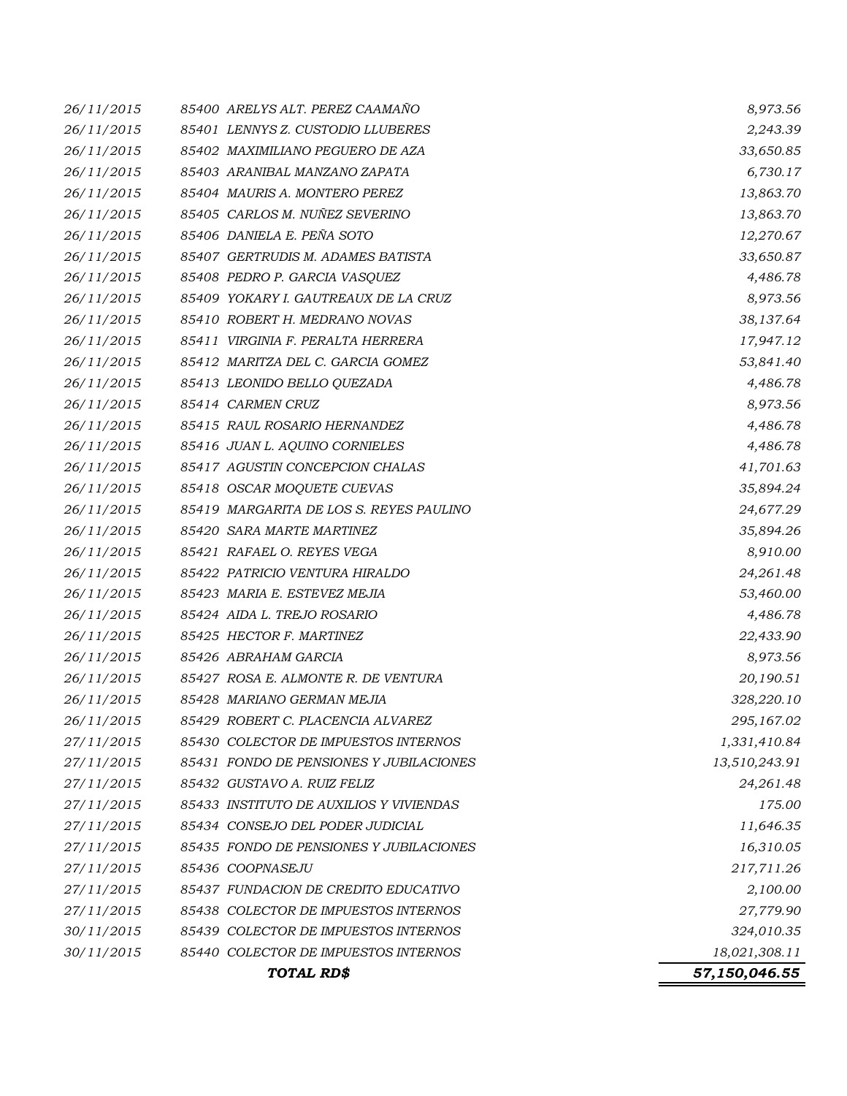| 26/11/2015 | 85400 ARELYS ALT. PEREZ CAAMAÑO         | 8,973.56      |
|------------|-----------------------------------------|---------------|
| 26/11/2015 | 85401 LENNYS Z. CUSTODIO LLUBERES       | 2,243.39      |
| 26/11/2015 | 85402 MAXIMILIANO PEGUERO DE AZA        | 33,650.85     |
| 26/11/2015 | 85403 ARANIBAL MANZANO ZAPATA           | 6,730.17      |
| 26/11/2015 | 85404 MAURIS A. MONTERO PEREZ           | 13,863.70     |
| 26/11/2015 | 85405 CARLOS M. NUÑEZ SEVERINO          | 13,863.70     |
| 26/11/2015 | 85406 DANIELA E. PEÑA SOTO              | 12,270.67     |
| 26/11/2015 | 85407 GERTRUDIS M. ADAMES BATISTA       | 33,650.87     |
| 26/11/2015 | 85408 PEDRO P. GARCIA VASQUEZ           | 4,486.78      |
| 26/11/2015 | 85409 YOKARY I. GAUTREAUX DE LA CRUZ    | 8,973.56      |
| 26/11/2015 | 85410 ROBERT H. MEDRANO NOVAS           | 38,137.64     |
| 26/11/2015 | 85411 VIRGINIA F. PERALTA HERRERA       | 17,947.12     |
| 26/11/2015 | 85412 MARITZA DEL C. GARCIA GOMEZ       | 53,841.40     |
| 26/11/2015 | 85413 LEONIDO BELLO QUEZADA             | 4,486.78      |
| 26/11/2015 | 85414 CARMEN CRUZ                       | 8,973.56      |
| 26/11/2015 | 85415 RAUL ROSARIO HERNANDEZ            | 4,486.78      |
| 26/11/2015 | 85416 JUAN L. AQUINO CORNIELES          | 4,486.78      |
| 26/11/2015 | 85417 AGUSTIN CONCEPCION CHALAS         | 41,701.63     |
| 26/11/2015 | 85418 OSCAR MOQUETE CUEVAS              | 35,894.24     |
| 26/11/2015 | 85419 MARGARITA DE LOS S. REYES PAULINO | 24,677.29     |
| 26/11/2015 | 85420 SARA MARTE MARTINEZ               | 35,894.26     |
| 26/11/2015 | 85421 RAFAEL O. REYES VEGA              | 8,910.00      |
| 26/11/2015 | 85422 PATRICIO VENTURA HIRALDO          | 24,261.48     |
| 26/11/2015 | 85423 MARIA E. ESTEVEZ MEJIA            | 53,460.00     |
| 26/11/2015 | 85424 AIDA L. TREJO ROSARIO             | 4,486.78      |
| 26/11/2015 | 85425 HECTOR F. MARTINEZ                | 22,433.90     |
| 26/11/2015 | 85426 ABRAHAM GARCIA                    | 8,973.56      |
| 26/11/2015 | 85427 ROSA E. ALMONTE R. DE VENTURA     | 20,190.51     |
| 26/11/2015 | 85428 MARIANO GERMAN MEJIA              | 328,220.10    |
| 26/11/2015 | 85429 ROBERT C. PLACENCIA ALVAREZ       | 295,167.02    |
| 27/11/2015 | 85430 COLECTOR DE IMPUESTOS INTERNOS    | 1,331,410.84  |
| 27/11/2015 | 85431 FONDO DE PENSIONES Y JUBILACIONES | 13,510,243.91 |
| 27/11/2015 | 85432 GUSTAVO A. RUIZ FELIZ             | 24,261.48     |
| 27/11/2015 | 85433 INSTITUTO DE AUXILIOS Y VIVIENDAS | 175.00        |
| 27/11/2015 | 85434 CONSEJO DEL PODER JUDICIAL        | 11,646.35     |
| 27/11/2015 | 85435 FONDO DE PENSIONES Y JUBILACIONES | 16,310.05     |
| 27/11/2015 | 85436 COOPNASEJU                        | 217,711.26    |
| 27/11/2015 | 85437 FUNDACION DE CREDITO EDUCATIVO    | 2,100.00      |
| 27/11/2015 | 85438 COLECTOR DE IMPUESTOS INTERNOS    | 27,779.90     |
| 30/11/2015 | 85439 COLECTOR DE IMPUESTOS INTERNOS    | 324,010.35    |
| 30/11/2015 | 85440 COLECTOR DE IMPUESTOS INTERNOS    | 18,021,308.11 |
|            | TOTAL RD\$                              | 57,150,046.55 |